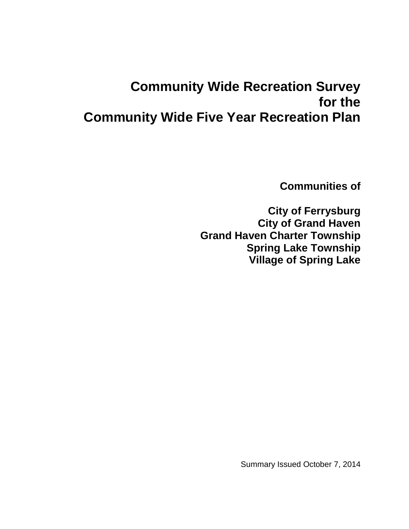# **Community Wide Recreation Survey for the Community Wide Five Year Recreation Plan**

**Communities of**

**City of Ferrysburg City of Grand Haven Grand Haven Charter Township Spring Lake Township Village of Spring Lake**

Summary Issued October 7, 2014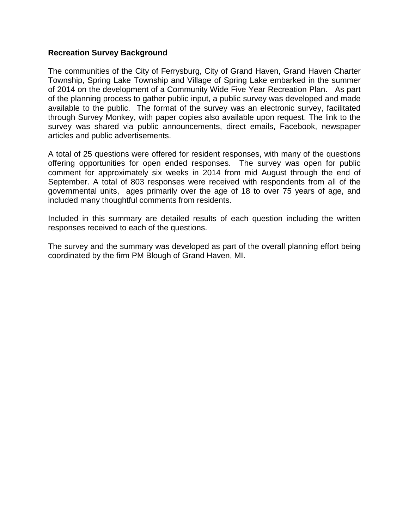### **Recreation Survey Background**

The communities of the City of Ferrysburg, City of Grand Haven, Grand Haven Charter Township, Spring Lake Township and Village of Spring Lake embarked in the summer of 2014 on the development of a Community Wide Five Year Recreation Plan. As part of the planning process to gather public input, a public survey was developed and made available to the public. The format of the survey was an electronic survey, facilitated through Survey Monkey, with paper copies also available upon request. The link to the survey was shared via public announcements, direct emails, Facebook, newspaper articles and public advertisements.

A total of 25 questions were offered for resident responses, with many of the questions offering opportunities for open ended responses. The survey was open for public comment for approximately six weeks in 2014 from mid August through the end of September. A total of 803 responses were received with respondents from all of the governmental units, ages primarily over the age of 18 to over 75 years of age, and included many thoughtful comments from residents.

Included in this summary are detailed results of each question including the written responses received to each of the questions.

The survey and the summary was developed as part of the overall planning effort being coordinated by the firm PM Blough of Grand Haven, MI.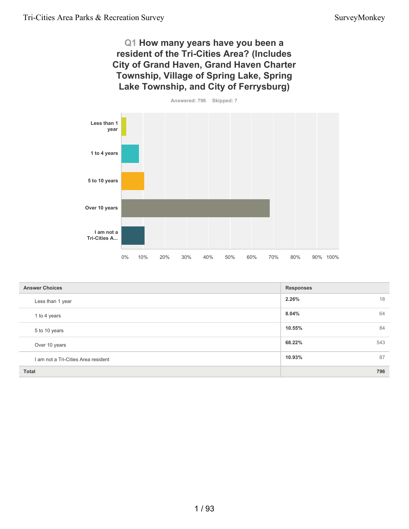**Q1 How many years have you been a resident of the Tri-Cities Area? (Includes City of Grand Haven, Grand Haven Charter Township, Village of Spring Lake, Spring Lake Township, and City of Ferrysburg)**



| <b>Answer Choices</b>               | <b>Responses</b> |
|-------------------------------------|------------------|
| Less than 1 year                    | 2.26%<br>18      |
| 1 to 4 years                        | 64<br>8.04%      |
| 5 to 10 years                       | 84<br>10.55%     |
| Over 10 years                       | 68.22%<br>543    |
| I am not a Tri-Cities Area resident | 87<br>10.93%     |
| <b>Total</b>                        | 796              |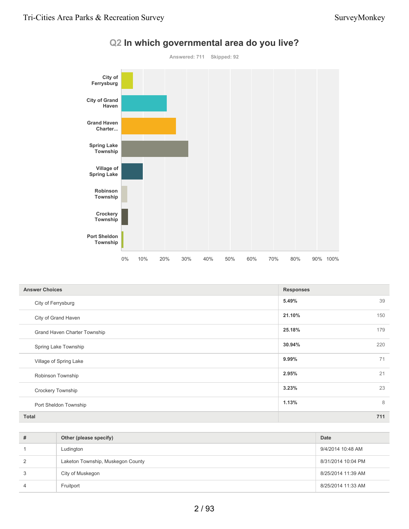

# **Q2 In which governmental area do you live?**

| <b>Answer Choices</b>        | <b>Responses</b> |     |
|------------------------------|------------------|-----|
| City of Ferrysburg           | 5.49%            | 39  |
| City of Grand Haven          | 21.10%           | 150 |
| Grand Haven Charter Township | 25.18%           | 179 |
| Spring Lake Township         | 30.94%           | 220 |
| Village of Spring Lake       | 9.99%            | 71  |
| Robinson Township            | 2.95%            | 21  |
| <b>Crockery Township</b>     | 3.23%            | 23  |
| Port Sheldon Township        | 1.13%            | 8   |
| <b>Total</b>                 |                  | 711 |

| # | Other (please specify)            | Date               |
|---|-----------------------------------|--------------------|
|   | Ludington                         | 9/4/2014 10:48 AM  |
| 2 | Laketon Township, Muskegon County | 8/31/2014 10:04 PM |
| 3 | City of Muskegon                  | 8/25/2014 11:39 AM |
| 4 | Fruitport                         | 8/25/2014 11:33 AM |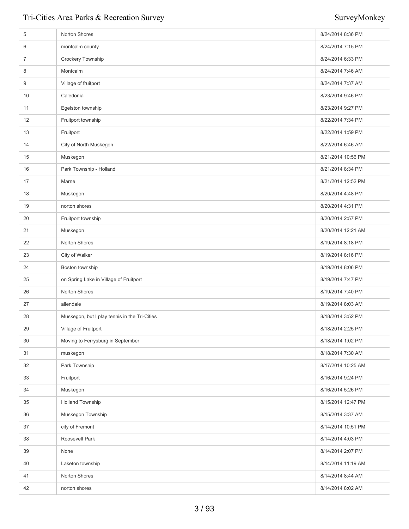| 5  | Norton Shores                                 | 8/24/2014 8:36 PM  |
|----|-----------------------------------------------|--------------------|
| 6  | montcalm county                               | 8/24/2014 7:15 PM  |
| 7  | Crockery Township                             | 8/24/2014 6:33 PM  |
| 8  | Montcalm                                      | 8/24/2014 7:46 AM  |
| 9  | Village of fruitport                          | 8/24/2014 7:37 AM  |
| 10 | Caledonia                                     | 8/23/2014 9:46 PM  |
| 11 | Egelston township                             | 8/23/2014 9:27 PM  |
| 12 | Fruitport township                            | 8/22/2014 7:34 PM  |
| 13 | Fruitport                                     | 8/22/2014 1:59 PM  |
| 14 | City of North Muskegon                        | 8/22/2014 6:46 AM  |
| 15 | Muskegon                                      | 8/21/2014 10:56 PM |
| 16 | Park Township - Holland                       | 8/21/2014 8:34 PM  |
| 17 | Marne                                         | 8/21/2014 12:52 PM |
| 18 | Muskegon                                      | 8/20/2014 4:48 PM  |
| 19 | norton shores                                 | 8/20/2014 4:31 PM  |
| 20 | Fruitport township                            | 8/20/2014 2:57 PM  |
| 21 | Muskegon                                      | 8/20/2014 12:21 AM |
| 22 | Norton Shores                                 | 8/19/2014 8:18 PM  |
| 23 | City of Walker                                | 8/19/2014 8:16 PM  |
| 24 | Boston township                               | 8/19/2014 8:06 PM  |
| 25 | on Spring Lake in Village of Fruitport        | 8/19/2014 7:47 PM  |
| 26 | Norton Shores                                 | 8/19/2014 7:40 PM  |
| 27 | allendale                                     | 8/19/2014 8:03 AM  |
| 28 | Muskegon, but I play tennis in the Tri-Cities | 8/18/2014 3:52 PM  |
| 29 | Village of Fruitport                          | 8/18/2014 2:25 PM  |
| 30 | Moving to Ferrysburg in September             | 8/18/2014 1:02 PM  |
| 31 | muskegon                                      | 8/18/2014 7:30 AM  |
| 32 | Park Township                                 | 8/17/2014 10:25 AM |
| 33 | Fruitport                                     | 8/16/2014 9:24 PM  |
| 34 | Muskegon                                      | 8/16/2014 5:26 PM  |
| 35 | Holland Township                              | 8/15/2014 12:47 PM |
| 36 | Muskegon Township                             | 8/15/2014 3:37 AM  |
| 37 | city of Fremont                               | 8/14/2014 10:51 PM |
| 38 | Roosevelt Park                                | 8/14/2014 4:03 PM  |
| 39 | None                                          | 8/14/2014 2:07 PM  |
| 40 | Laketon township                              | 8/14/2014 11:19 AM |
| 41 | Norton Shores                                 | 8/14/2014 8:44 AM  |
| 42 | norton shores                                 | 8/14/2014 8:02 AM  |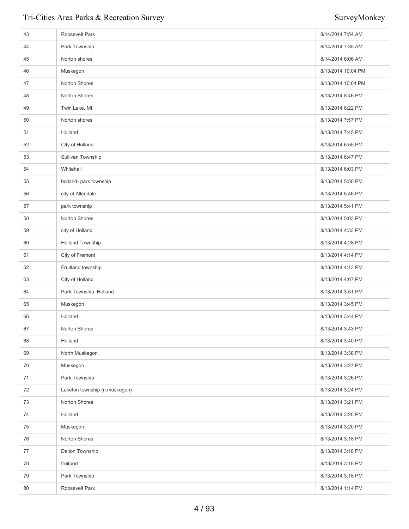| 43 | Roosevelt Park                | 8/14/2014 7:54 AM  |
|----|-------------------------------|--------------------|
| 44 | Park Township                 | 8/14/2014 7:35 AM  |
| 45 | Norton shores                 | 8/14/2014 6:06 AM  |
| 46 | Muskegon                      | 8/13/2014 10:04 PM |
| 47 | Norton Shores                 | 8/13/2014 10:04 PM |
| 48 | Norton Shores                 | 8/13/2014 8:46 PM  |
| 49 | Twin Lake, MI                 | 8/13/2014 8:22 PM  |
| 50 | Norton shores                 | 8/13/2014 7:57 PM  |
| 51 | Holland                       | 8/13/2014 7:45 PM  |
| 52 | City of Holland               | 8/13/2014 6:55 PM  |
| 53 | Sullivan Township             | 8/13/2014 6:47 PM  |
| 54 | Whitehall                     | 8/13/2014 6:03 PM  |
| 55 | holland- park township        | 8/13/2014 5:50 PM  |
| 56 | city of Allendale             | 8/13/2014 5:46 PM  |
| 57 | park township                 | 8/13/2014 5:41 PM  |
| 58 | Norton Shores                 | 8/13/2014 5:03 PM  |
| 59 | city of Holland               | 8/13/2014 4:33 PM  |
| 60 | <b>Holland Township</b>       | 8/13/2014 4:28 PM  |
| 61 | City of Fremont               | 8/13/2014 4:14 PM  |
| 62 | Fruitland township            | 8/13/2014 4:13 PM  |
| 63 | City of Holland               | 8/13/2014 4:07 PM  |
| 64 | Park Township, Holland        | 8/13/2014 3:51 PM  |
| 65 | Muskegon                      | 8/13/2014 3:45 PM  |
| 66 | Holland                       | 8/13/2014 3:44 PM  |
| 67 | Norton Shores                 | 8/13/2014 3:43 PM  |
| 68 | Holland                       | 8/13/2014 3:40 PM  |
| 69 | North Muskegon                | 8/13/2014 3:38 PM  |
| 70 | Muskegon                      | 8/13/2014 3:27 PM  |
| 71 | Park Township                 | 8/13/2014 3:26 PM  |
| 72 | Laketon township (n.muskegon) | 8/13/2014 3:24 PM  |
| 73 | Norton Shores                 | 8/13/2014 3:21 PM  |
| 74 | Holland                       | 8/13/2014 3:20 PM  |
| 75 | Muskegon                      | 8/13/2014 3:20 PM  |
| 76 | Norton Shores                 | 8/13/2014 3:18 PM  |
| 77 | Dalton Township               | 8/13/2014 3:18 PM  |
| 78 | fruitport                     | 8/13/2014 3:18 PM  |
| 79 | Park Township                 | 8/13/2014 3:18 PM  |
| 80 | Roosevelt Park                | 8/13/2014 1:14 PM  |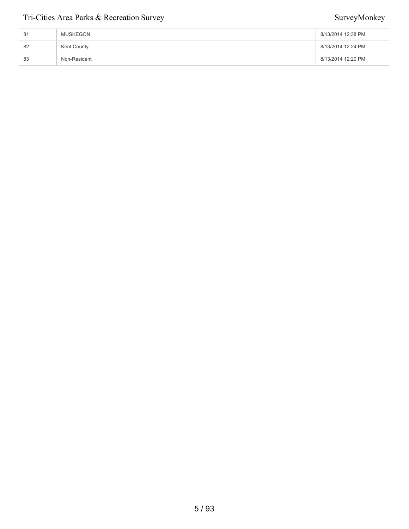| 81 | MUSKEGON     | 8/13/2014 12:38 PM |
|----|--------------|--------------------|
| 82 | Kent County  | 8/13/2014 12:24 PM |
| 83 | Non-Resident | 8/13/2014 12:20 PM |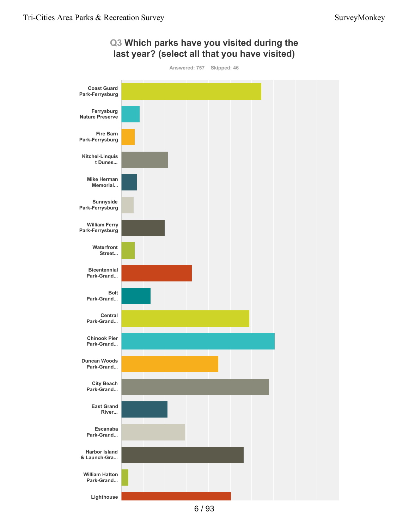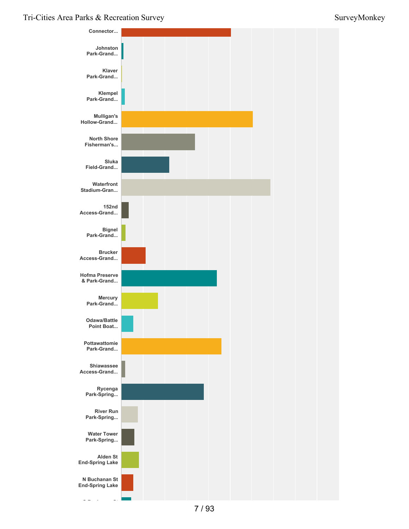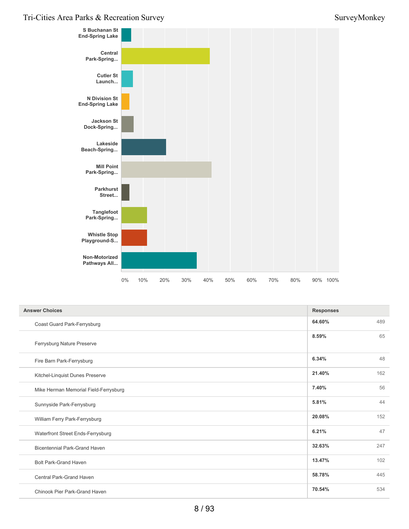

| <b>Answer Choices</b>                 | <b>Responses</b> |     |
|---------------------------------------|------------------|-----|
| Coast Guard Park-Ferrysburg           | 64.60%           | 489 |
| Ferrysburg Nature Preserve            | 8.59%            | 65  |
| Fire Barn Park-Ferrysburg             | 6.34%            | 48  |
| Kitchel-Linquist Dunes Preserve       | 21.40%           | 162 |
| Mike Herman Memorial Field-Ferrysburg | 7.40%            | 56  |
| Sunnyside Park-Ferrysburg             | 5.81%            | 44  |
| William Ferry Park-Ferrysburg         | 20.08%           | 152 |
| Waterfront Street Ends-Ferrysburg     | 6.21%            | 47  |
| <b>Bicentennial Park-Grand Haven</b>  | 32.63%           | 247 |
| <b>Bolt Park-Grand Haven</b>          | 13.47%           | 102 |
| <b>Central Park-Grand Haven</b>       | 58.78%           | 445 |
| Chinook Pier Park-Grand Haven         | 70.54%           | 534 |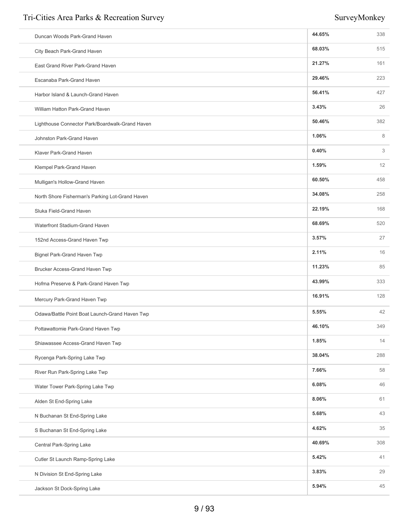| Duncan Woods Park-Grand Haven                   | 44.65% | 338 |
|-------------------------------------------------|--------|-----|
| City Beach Park-Grand Haven                     | 68.03% | 515 |
| East Grand River Park-Grand Haven               | 21.27% | 161 |
| Escanaba Park-Grand Haven                       | 29.46% | 223 |
| Harbor Island & Launch-Grand Haven              | 56.41% | 427 |
| William Hatton Park-Grand Haven                 | 3.43%  | 26  |
| Lighthouse Connector Park/Boardwalk-Grand Haven | 50.46% | 382 |
| Johnston Park-Grand Haven                       | 1.06%  | 8   |
| Klaver Park-Grand Haven                         | 0.40%  | 3   |
| Klempel Park-Grand Haven                        | 1.59%  | 12  |
| Mulligan's Hollow-Grand Haven                   | 60.50% | 458 |
| North Shore Fisherman's Parking Lot-Grand Haven | 34.08% | 258 |
| Sluka Field-Grand Haven                         | 22.19% | 168 |
| Waterfront Stadium-Grand Haven                  | 68.69% | 520 |
| 152nd Access-Grand Haven Twp                    | 3.57%  | 27  |
| Bignel Park-Grand Haven Twp                     | 2.11%  | 16  |
| Brucker Access-Grand Haven Twp                  | 11.23% | 85  |
| Hofma Preserve & Park-Grand Haven Twp           | 43.99% | 333 |
| Mercury Park-Grand Haven Twp                    | 16.91% | 128 |
| Odawa/Battle Point Boat Launch-Grand Haven Twp  | 5.55%  | 42  |
| Pottawattomie Park-Grand Haven Twp              | 46.10% | 349 |
| Shiawassee Access-Grand Haven Twp               | 1.85%  | 14  |
| Rycenga Park-Spring Lake Twp                    | 38.04% | 288 |
| River Run Park-Spring Lake Twp                  | 7.66%  | 58  |
| Water Tower Park-Spring Lake Twp                | 6.08%  | 46  |
| Alden St End-Spring Lake                        | 8.06%  | 61  |
| N Buchanan St End-Spring Lake                   | 5.68%  | 43  |
| S Buchanan St End-Spring Lake                   | 4.62%  | 35  |
| Central Park-Spring Lake                        | 40.69% | 308 |
| Cutler St Launch Ramp-Spring Lake               | 5.42%  | 41  |
| N Division St End-Spring Lake                   | 3.83%  | 29  |
| Jackson St Dock-Spring Lake                     | 5.94%  | 45  |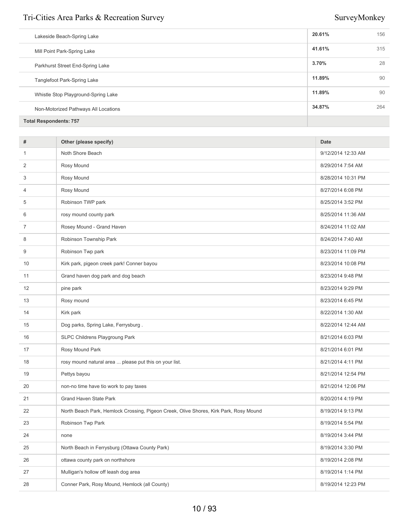| Lakeside Beach-Spring Lake           | 20.61% | 156 |
|--------------------------------------|--------|-----|
| Mill Point Park-Spring Lake          | 41.61% | 315 |
| Parkhurst Street End-Spring Lake     | 3.70%  | 28  |
| <b>Tanglefoot Park-Spring Lake</b>   | 11.89% | 90  |
| Whistle Stop Playground-Spring Lake  | 11.89% | 90  |
| Non-Motorized Pathways All Locations | 34.87% | 264 |
| <b>Total Respondents: 757</b>        |        |     |

| 9/12/2014 12:33 AM<br>8/29/2014 7:54 AM<br>8/28/2014 10:31 PM<br>8/27/2014 6:08 PM<br>8/25/2014 3:52 PM<br>8/25/2014 11:36 AM<br>8/24/2014 11:02 AM<br>8/24/2014 7:40 AM<br>8/23/2014 11:09 PM |
|------------------------------------------------------------------------------------------------------------------------------------------------------------------------------------------------|
|                                                                                                                                                                                                |
|                                                                                                                                                                                                |
|                                                                                                                                                                                                |
|                                                                                                                                                                                                |
|                                                                                                                                                                                                |
|                                                                                                                                                                                                |
|                                                                                                                                                                                                |
|                                                                                                                                                                                                |
|                                                                                                                                                                                                |
| 8/23/2014 10:08 PM                                                                                                                                                                             |
| 8/23/2014 9:48 PM                                                                                                                                                                              |
| 8/23/2014 9:29 PM                                                                                                                                                                              |
| 8/23/2014 6:45 PM                                                                                                                                                                              |
| 8/22/2014 1:30 AM                                                                                                                                                                              |
| 8/22/2014 12:44 AM                                                                                                                                                                             |
| 8/21/2014 6:03 PM                                                                                                                                                                              |
| 8/21/2014 6:01 PM                                                                                                                                                                              |
| 8/21/2014 4:11 PM                                                                                                                                                                              |
| 8/21/2014 12:54 PM                                                                                                                                                                             |
| 8/21/2014 12:06 PM                                                                                                                                                                             |
| 8/20/2014 4:19 PM                                                                                                                                                                              |
| 8/19/2014 9:13 PM                                                                                                                                                                              |
| 8/19/2014 5:54 PM                                                                                                                                                                              |
| 8/19/2014 3:44 PM                                                                                                                                                                              |
| 8/19/2014 3:30 PM                                                                                                                                                                              |
| 8/19/2014 2:08 PM                                                                                                                                                                              |
| 8/19/2014 1:14 PM                                                                                                                                                                              |
| 8/19/2014 12:23 PM                                                                                                                                                                             |
|                                                                                                                                                                                                |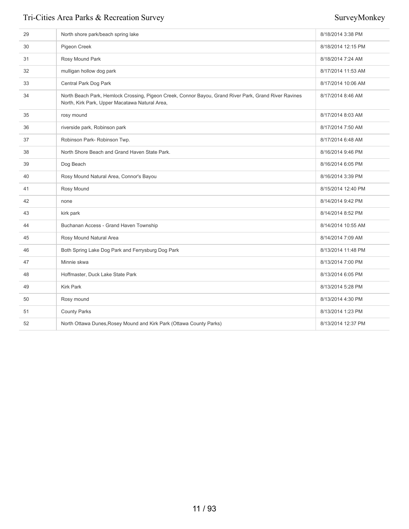| 29 | North shore park/beach spring lake                                                                                                                      | 8/18/2014 3:38 PM  |
|----|---------------------------------------------------------------------------------------------------------------------------------------------------------|--------------------|
| 30 | Pigeon Creek                                                                                                                                            | 8/18/2014 12:15 PM |
| 31 | Rosy Mound Park                                                                                                                                         | 8/18/2014 7:24 AM  |
| 32 | mulligan hollow dog park                                                                                                                                | 8/17/2014 11:53 AM |
| 33 | Central Park Dog Park                                                                                                                                   | 8/17/2014 10:06 AM |
| 34 | North Beach Park, Hemlock Crossing, Pigeon Creek, Connor Bayou, Grand River Park, Grand River Ravines<br>North, Kirk Park, Upper Macatawa Natural Area, | 8/17/2014 8:46 AM  |
| 35 | rosy mound                                                                                                                                              | 8/17/2014 8:03 AM  |
| 36 | riverside park, Robinson park                                                                                                                           | 8/17/2014 7:50 AM  |
| 37 | Robinson Park-Robinson Twp.                                                                                                                             | 8/17/2014 6:48 AM  |
| 38 | North Shore Beach and Grand Haven State Park.                                                                                                           | 8/16/2014 9:46 PM  |
| 39 | Dog Beach                                                                                                                                               | 8/16/2014 6:05 PM  |
| 40 | Rosy Mound Natural Area, Connor's Bayou                                                                                                                 | 8/16/2014 3:39 PM  |
| 41 | Rosy Mound                                                                                                                                              | 8/15/2014 12:40 PM |
| 42 | none                                                                                                                                                    | 8/14/2014 9:42 PM  |
| 43 | kirk park                                                                                                                                               | 8/14/2014 8:52 PM  |
| 44 | Buchanan Access - Grand Haven Township                                                                                                                  | 8/14/2014 10:55 AM |
| 45 | Rosy Mound Natural Area                                                                                                                                 | 8/14/2014 7:09 AM  |
| 46 | Both Spring Lake Dog Park and Ferrysburg Dog Park                                                                                                       | 8/13/2014 11:48 PM |
| 47 | Minnie skwa                                                                                                                                             | 8/13/2014 7:00 PM  |
| 48 | Hoffmaster, Duck Lake State Park                                                                                                                        | 8/13/2014 6:05 PM  |
| 49 | <b>Kirk Park</b>                                                                                                                                        | 8/13/2014 5:28 PM  |
| 50 | Rosy mound                                                                                                                                              | 8/13/2014 4:30 PM  |
| 51 | <b>County Parks</b>                                                                                                                                     | 8/13/2014 1:23 PM  |
| 52 | North Ottawa Dunes, Rosey Mound and Kirk Park (Ottawa County Parks)                                                                                     | 8/13/2014 12:37 PM |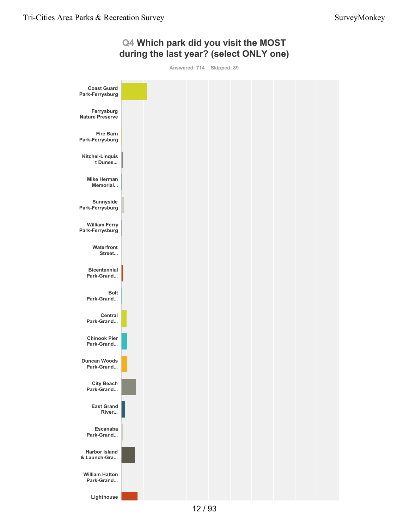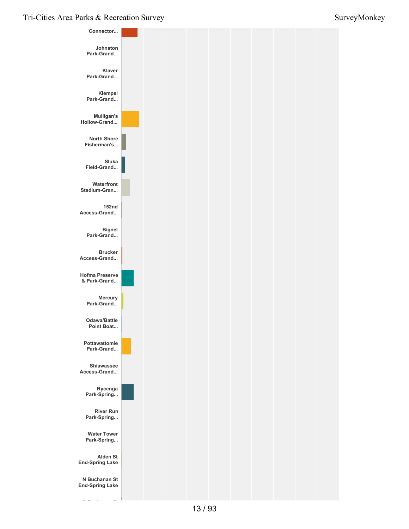

**S Buchanan St**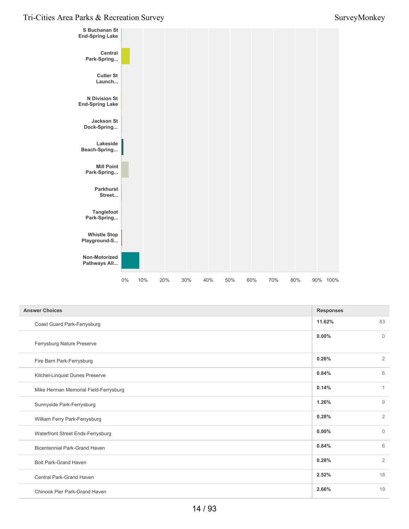

| <b>Answer Choices</b>                 |          |                |
|---------------------------------------|----------|----------------|
| Coast Guard Park-Ferrysburg           | 11.62%   | 83             |
| Ferrysburg Nature Preserve            | $0.00\%$ | $\mathbf{0}$   |
| Fire Barn Park-Ferrysburg             | 0.28%    | $\overline{2}$ |
| Kitchel-Linquist Dunes Preserve       | 0.84%    | 6              |
| Mike Herman Memorial Field-Ferrysburg | 0.14%    | $\mathbf{1}$   |
| Sunnyside Park-Ferrysburg             | 1.26%    | 9              |
| William Ferry Park-Ferrysburg         | 0.28%    | $\overline{2}$ |
| Waterfront Street Ends-Ferrysburg     | 0.00%    | $\mathbf{0}$   |
| <b>Bicentennial Park-Grand Haven</b>  | 0.84%    | 6              |
| <b>Bolt Park-Grand Haven</b>          | 0.28%    | $\overline{2}$ |
| Central Park-Grand Haven              | 2.52%    | 18             |
| Chinook Pier Park-Grand Haven         | 2.66%    | 19             |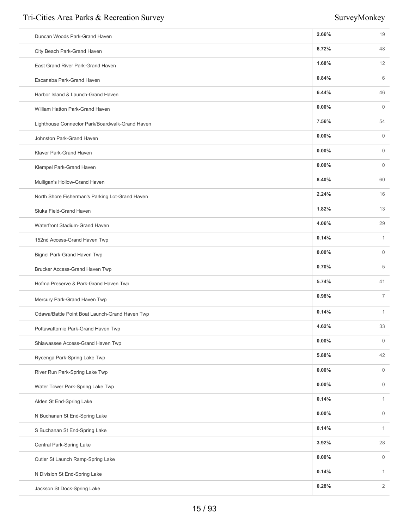| Duncan Woods Park-Grand Haven                   | 2.66%    | 19             |
|-------------------------------------------------|----------|----------------|
| City Beach Park-Grand Haven                     | 6.72%    | 48             |
| East Grand River Park-Grand Haven               | 1.68%    | 12             |
| Escanaba Park-Grand Haven                       | 0.84%    | 6              |
| Harbor Island & Launch-Grand Haven              | 6.44%    | 46             |
| William Hatton Park-Grand Haven                 | 0.00%    | $\mathbf{0}$   |
| Lighthouse Connector Park/Boardwalk-Grand Haven | 7.56%    | 54             |
| Johnston Park-Grand Haven                       | 0.00%    | $\mathbf{0}$   |
| Klaver Park-Grand Haven                         | 0.00%    | $\overline{0}$ |
| Klempel Park-Grand Haven                        | 0.00%    | $\mathbf{0}$   |
| Mulligan's Hollow-Grand Haven                   | 8.40%    | 60             |
| North Shore Fisherman's Parking Lot-Grand Haven | 2.24%    | 16             |
| Sluka Field-Grand Haven                         | 1.82%    | 13             |
| Waterfront Stadium-Grand Haven                  | 4.06%    | 29             |
| 152nd Access-Grand Haven Twp                    | 0.14%    | $\mathbf{1}$   |
| Bignel Park-Grand Haven Twp                     | 0.00%    | $\mathbf{0}$   |
| Brucker Access-Grand Haven Twp                  | 0.70%    | 5              |
| Hofma Preserve & Park-Grand Haven Twp           | 5.74%    | 41             |
| Mercury Park-Grand Haven Twp                    | 0.98%    | $\overline{7}$ |
| Odawa/Battle Point Boat Launch-Grand Haven Twp  | 0.14%    | $\mathbf{1}$   |
| Pottawattomie Park-Grand Haven Twp              | 4.62%    | 33             |
| Shiawassee Access-Grand Haven Twp               | $0.00\%$ | $\mathbf 0$    |
| Rycenga Park-Spring Lake Twp                    | 5.88%    | 42             |
| River Run Park-Spring Lake Twp                  | $0.00\%$ | $\mathbb O$    |
| Water Tower Park-Spring Lake Twp                | $0.00\%$ | $\mathbb O$    |
| Alden St End-Spring Lake                        | 0.14%    | $\mathbf{1}$   |
| N Buchanan St End-Spring Lake                   | 0.00%    | $\circ$        |
| S Buchanan St End-Spring Lake                   | 0.14%    | $\mathbf{1}$   |
| Central Park-Spring Lake                        | 3.92%    | 28             |
| Cutler St Launch Ramp-Spring Lake               | $0.00\%$ | $\mathbf 0$    |
| N Division St End-Spring Lake                   | 0.14%    | $\mathbf{1}$   |
| Jackson St Dock-Spring Lake                     | 0.28%    | $\overline{2}$ |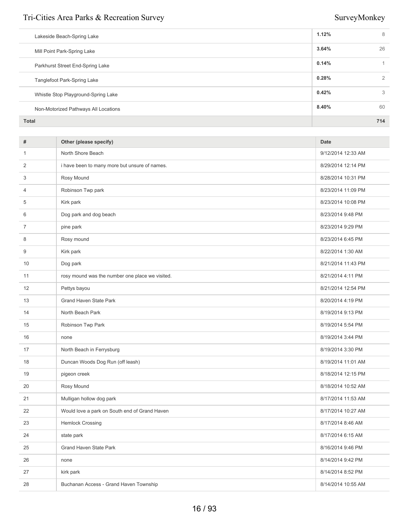| <b>Total</b>                         |       | 714 |
|--------------------------------------|-------|-----|
| Non-Motorized Pathways All Locations | 8.40% | 60  |
| Whistle Stop Playground-Spring Lake  | 0.42% | 3   |
| Tanglefoot Park-Spring Lake          | 0.28% | 2   |
| Parkhurst Street End-Spring Lake     | 0.14% |     |
| Mill Point Park-Spring Lake          | 3.64% | 26  |
| Lakeside Beach-Spring Lake           | 1.12% | 8   |
|                                      |       |     |

| #  | Other (please specify)                          | <b>Date</b>        |
|----|-------------------------------------------------|--------------------|
| 1  | North Shore Beach                               | 9/12/2014 12:33 AM |
| 2  | i have been to many more but unsure of names.   | 8/29/2014 12:14 PM |
| 3  | Rosy Mound                                      | 8/28/2014 10:31 PM |
| 4  | Robinson Twp park                               | 8/23/2014 11:09 PM |
| 5  | Kirk park                                       | 8/23/2014 10:08 PM |
| 6  | Dog park and dog beach                          | 8/23/2014 9:48 PM  |
| 7  | pine park                                       | 8/23/2014 9:29 PM  |
| 8  | Rosy mound                                      | 8/23/2014 6:45 PM  |
| 9  | Kirk park                                       | 8/22/2014 1:30 AM  |
| 10 | Dog park                                        | 8/21/2014 11:43 PM |
| 11 | rosy mound was the number one place we visited. | 8/21/2014 4:11 PM  |
| 12 | Pettys bayou                                    | 8/21/2014 12:54 PM |
| 13 | <b>Grand Haven State Park</b>                   | 8/20/2014 4:19 PM  |
| 14 | North Beach Park                                | 8/19/2014 9:13 PM  |
| 15 | Robinson Twp Park                               | 8/19/2014 5:54 PM  |
| 16 | none                                            | 8/19/2014 3:44 PM  |
| 17 | North Beach in Ferrysburg                       | 8/19/2014 3:30 PM  |
| 18 | Duncan Woods Dog Run (off leash)                | 8/19/2014 11:01 AM |
| 19 | pigeon creek                                    | 8/18/2014 12:15 PM |
| 20 | Rosy Mound                                      | 8/18/2014 10:52 AM |
| 21 | Mulligan hollow dog park                        | 8/17/2014 11:53 AM |
| 22 | Would love a park on South end of Grand Haven   | 8/17/2014 10:27 AM |
| 23 | <b>Hemlock Crossing</b>                         | 8/17/2014 8:46 AM  |
| 24 | state park                                      | 8/17/2014 6:15 AM  |
| 25 | Grand Haven State Park                          | 8/16/2014 9:46 PM  |
| 26 | none                                            | 8/14/2014 9:42 PM  |
| 27 | kirk park                                       | 8/14/2014 8:52 PM  |
| 28 | Buchanan Access - Grand Haven Township          | 8/14/2014 10:55 AM |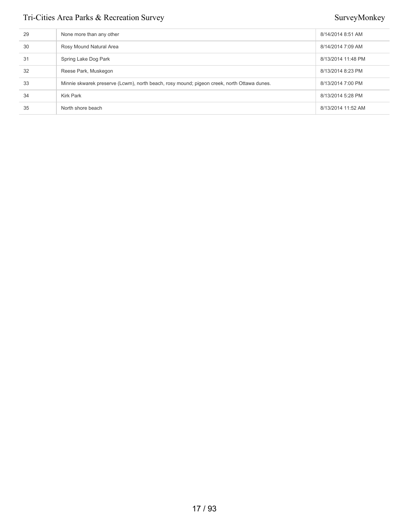| 29 | None more than any other                                                                   | 8/14/2014 8:51 AM  |
|----|--------------------------------------------------------------------------------------------|--------------------|
| 30 | Rosy Mound Natural Area                                                                    | 8/14/2014 7:09 AM  |
| 31 | Spring Lake Dog Park                                                                       | 8/13/2014 11:48 PM |
| 32 | Reese Park, Muskegon                                                                       | 8/13/2014 8:23 PM  |
| 33 | Minnie skwarek preserve (Lcwm), north beach, rosy mound; pigeon creek, north Ottawa dunes. | 8/13/2014 7:00 PM  |
| 34 | Kirk Park                                                                                  | 8/13/2014 5:28 PM  |
| 35 | North shore beach                                                                          | 8/13/2014 11:52 AM |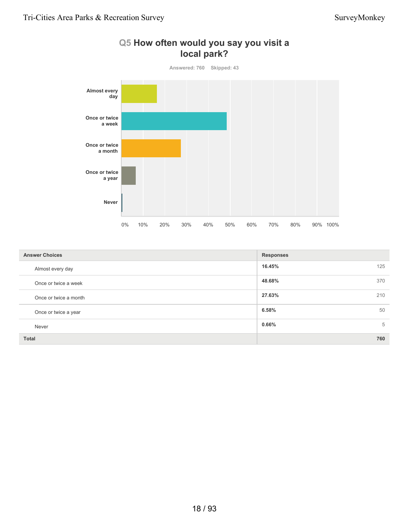

| Q5 How often would you say you visit a |
|----------------------------------------|
| local park?                            |

| <b>Answer Choices</b> | <b>Responses</b> |  |
|-----------------------|------------------|--|
| Almost every day      | 16.45%<br>125    |  |
| Once or twice a week  | 48.68%<br>370    |  |
| Once or twice a month | 27.63%<br>210    |  |
| Once or twice a year  | 6.58%<br>50      |  |
| Never                 | $0.66\%$<br>5    |  |
| <b>Total</b>          | 760              |  |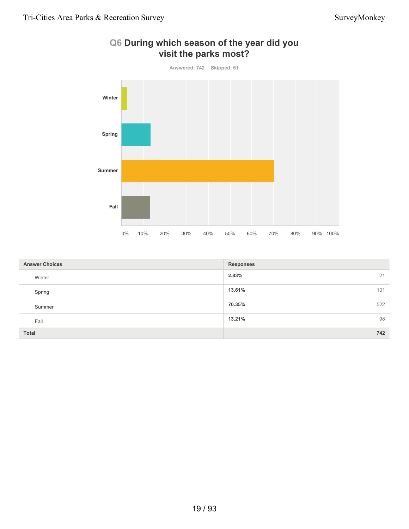

### **Q6 During which season of the year did you visit the parks most?**

| <b>Answer Choices</b> | <b>Responses</b> |
|-----------------------|------------------|
| Winter                | 2.83%<br>21      |
| Spring                | 13.61%<br>101    |
| Summer                | 70.35%<br>522    |
| Fall                  | 98<br>13.21%     |
| <b>Total</b>          | 742              |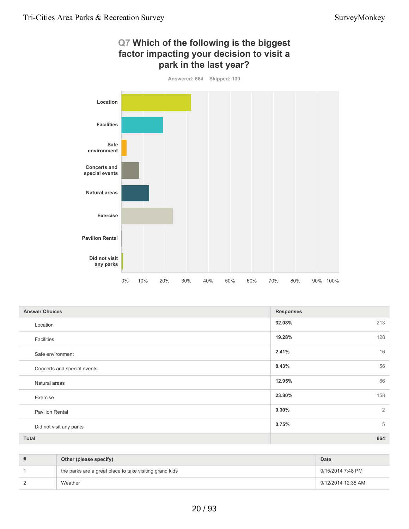

| <b>Answer Choices</b>       | <b>Responses</b>        |
|-----------------------------|-------------------------|
| Location                    | 213<br>32.08%           |
| Facilities                  | 19.28%<br>128           |
| Safe environment            | 16<br>2.41%             |
| Concerts and special events | 56<br>8.43%             |
| Natural areas               | 86<br>12.95%            |
| Exercise                    | 158<br>23.80%           |
| <b>Pavilion Rental</b>      | $\overline{2}$<br>0.30% |
| Did not visit any parks     | 5<br>0.75%              |
| Total                       | 664                     |

| Other (please specify)                                  | Date               |
|---------------------------------------------------------|--------------------|
| the parks are a great place to take visiting grand kids | 9/15/2014 7:48 PM  |
| Weather                                                 | 9/12/2014 12:35 AM |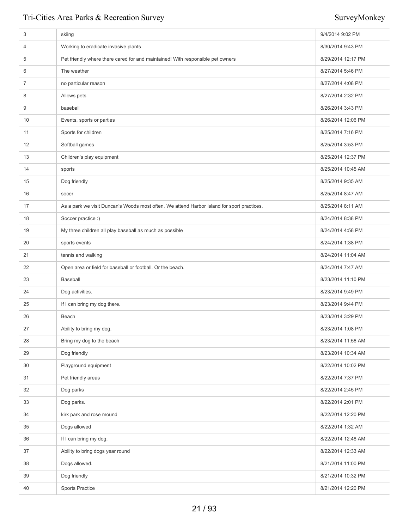| 3  | skiing                                                                                     | 9/4/2014 9:02 PM   |
|----|--------------------------------------------------------------------------------------------|--------------------|
| 4  | Working to eradicate invasive plants                                                       | 8/30/2014 9:43 PM  |
| 5  | Pet friendly where there cared for and maintained! With responsible pet owners             | 8/29/2014 12:17 PM |
| 6  | The weather                                                                                | 8/27/2014 5:46 PM  |
| 7  | no particular reason                                                                       | 8/27/2014 4:08 PM  |
| 8  | Allows pets                                                                                | 8/27/2014 2:32 PM  |
| 9  | baseball                                                                                   | 8/26/2014 3:43 PM  |
| 10 | Events, sports or parties                                                                  | 8/26/2014 12:06 PM |
| 11 | Sports for children                                                                        | 8/25/2014 7:16 PM  |
| 12 | Softball games                                                                             | 8/25/2014 3:53 PM  |
| 13 | Children's play equipment                                                                  | 8/25/2014 12:37 PM |
| 14 | sports                                                                                     | 8/25/2014 10:45 AM |
| 15 | Dog friendly                                                                               | 8/25/2014 9:35 AM  |
| 16 | socer                                                                                      | 8/25/2014 8:47 AM  |
| 17 | As a park we visit Duncan's Woods most often. We attend Harbor Island for sport practices. | 8/25/2014 8:11 AM  |
| 18 | Soccer practice :)                                                                         | 8/24/2014 8:38 PM  |
| 19 | My three children all play baseball as much as possible                                    | 8/24/2014 4:58 PM  |
| 20 | sports events                                                                              | 8/24/2014 1:38 PM  |
| 21 | tennis and walking                                                                         | 8/24/2014 11:04 AM |
| 22 | Open area or field for baseball or football. Or the beach.                                 | 8/24/2014 7:47 AM  |
| 23 | Baseball                                                                                   | 8/23/2014 11:10 PM |
| 24 | Dog activities.                                                                            | 8/23/2014 9:49 PM  |
| 25 | If I can bring my dog there.                                                               | 8/23/2014 9:44 PM  |
| 26 | Beach                                                                                      | 8/23/2014 3:29 PM  |
| 27 | Ability to bring my dog.                                                                   | 8/23/2014 1:08 PM  |
| 28 | Bring my dog to the beach                                                                  | 8/23/2014 11:56 AM |
| 29 | Dog friendly                                                                               | 8/23/2014 10:34 AM |
| 30 | Playground equipment                                                                       | 8/22/2014 10:02 PM |
| 31 | Pet friendly areas                                                                         | 8/22/2014 7:37 PM  |
| 32 | Dog parks                                                                                  | 8/22/2014 2:45 PM  |
| 33 | Dog parks.                                                                                 | 8/22/2014 2:01 PM  |
| 34 | kirk park and rose mound                                                                   | 8/22/2014 12:20 PM |
| 35 | Dogs allowed                                                                               | 8/22/2014 1:32 AM  |
| 36 | If I can bring my dog.                                                                     | 8/22/2014 12:48 AM |
| 37 | Ability to bring dogs year round                                                           | 8/22/2014 12:33 AM |
| 38 | Dogs allowed.                                                                              | 8/21/2014 11:00 PM |
| 39 | Dog friendly                                                                               | 8/21/2014 10:32 PM |
| 40 | <b>Sports Practice</b>                                                                     | 8/21/2014 12:20 PM |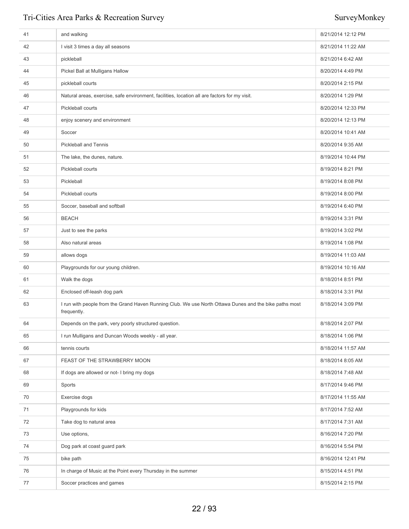| 41 | and walking                                                                                                           | 8/21/2014 12:12 PM |
|----|-----------------------------------------------------------------------------------------------------------------------|--------------------|
| 42 | I visit 3 times a day all seasons                                                                                     | 8/21/2014 11:22 AM |
| 43 | pickleball                                                                                                            | 8/21/2014 6:42 AM  |
| 44 | Pickel Ball at Mulligans Hallow                                                                                       | 8/20/2014 4:49 PM  |
| 45 | pickleball courts                                                                                                     | 8/20/2014 2:15 PM  |
| 46 | Natural areas, exercise, safe environment, facilities, location all are factors for my visit.                         | 8/20/2014 1:29 PM  |
| 47 | Pickleball courts                                                                                                     | 8/20/2014 12:33 PM |
| 48 | enjoy scenery and environment                                                                                         | 8/20/2014 12:13 PM |
| 49 | Soccer                                                                                                                | 8/20/2014 10:41 AM |
| 50 | <b>Pickleball and Tennis</b>                                                                                          | 8/20/2014 9:35 AM  |
| 51 | The lake, the dunes, nature.                                                                                          | 8/19/2014 10:44 PM |
| 52 | Pickleball courts                                                                                                     | 8/19/2014 8:21 PM  |
| 53 | Pickleball                                                                                                            | 8/19/2014 8:08 PM  |
| 54 | Pickleball courts                                                                                                     | 8/19/2014 8:00 PM  |
| 55 | Soccer, baseball and softball                                                                                         | 8/19/2014 6:40 PM  |
| 56 | <b>BEACH</b>                                                                                                          | 8/19/2014 3:31 PM  |
| 57 | Just to see the parks                                                                                                 | 8/19/2014 3:02 PM  |
| 58 | Also natural areas                                                                                                    | 8/19/2014 1:08 PM  |
| 59 | allows dogs                                                                                                           | 8/19/2014 11:03 AM |
| 60 | Playgrounds for our young children.                                                                                   | 8/19/2014 10:16 AM |
| 61 | Walk the dogs                                                                                                         | 8/18/2014 8:51 PM  |
| 62 | Enclosed off-leash dog park                                                                                           | 8/18/2014 3:31 PM  |
| 63 | I run with people from the Grand Haven Running Club. We use North Ottawa Dunes and the bike paths most<br>frequently. | 8/18/2014 3:09 PM  |
| 64 | Depends on the park, very poorly structured question.                                                                 | 8/18/2014 2:07 PM  |
| 65 | I run Mulligans and Duncan Woods weekly - all year.                                                                   | 8/18/2014 1:06 PM  |
| 66 | tennis courts                                                                                                         | 8/18/2014 11:57 AM |
| 67 | FEAST OF THE STRAWBERRY MOON                                                                                          | 8/18/2014 8:05 AM  |
| 68 | If dogs are allowed or not- I bring my dogs                                                                           | 8/18/2014 7:48 AM  |
| 69 | Sports                                                                                                                | 8/17/2014 9:46 PM  |
| 70 | Exercise dogs                                                                                                         | 8/17/2014 11:55 AM |
| 71 | Playgrounds for kids                                                                                                  | 8/17/2014 7:52 AM  |
| 72 | Take dog to natural area                                                                                              | 8/17/2014 7:31 AM  |
| 73 | Use options,                                                                                                          | 8/16/2014 7:20 PM  |
| 74 | Dog park at coast guard park                                                                                          | 8/16/2014 5:54 PM  |
| 75 | bike path                                                                                                             | 8/16/2014 12:41 PM |
| 76 | In charge of Music at the Point every Thursday in the summer                                                          | 8/15/2014 4:51 PM  |
| 77 | Soccer practices and games                                                                                            | 8/15/2014 2:15 PM  |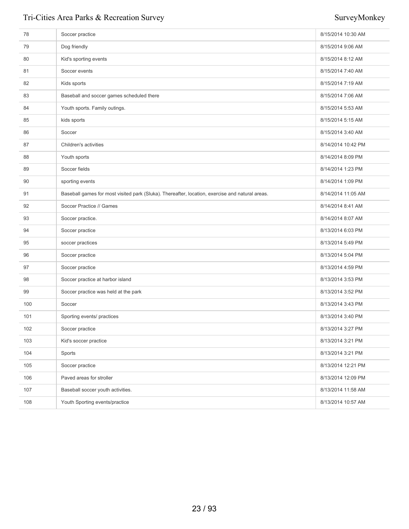| 78  | Soccer practice                                                                                 | 8/15/2014 10:30 AM |
|-----|-------------------------------------------------------------------------------------------------|--------------------|
| 79  | Dog friendly                                                                                    | 8/15/2014 9:06 AM  |
| 80  | Kid's sporting events                                                                           | 8/15/2014 8:12 AM  |
| 81  | Soccer events                                                                                   | 8/15/2014 7:40 AM  |
| 82  | Kids sports                                                                                     | 8/15/2014 7:19 AM  |
| 83  | Baseball and soccer games scheduled there                                                       | 8/15/2014 7:06 AM  |
| 84  | Youth sports. Family outings.                                                                   | 8/15/2014 5:53 AM  |
| 85  | kids sports                                                                                     | 8/15/2014 5:15 AM  |
| 86  | Soccer                                                                                          | 8/15/2014 3:40 AM  |
| 87  | Children's activities                                                                           | 8/14/2014 10:42 PM |
| 88  | Youth sports                                                                                    | 8/14/2014 8:09 PM  |
| 89  | Soccer fields                                                                                   | 8/14/2014 1:23 PM  |
| 90  | sporting events                                                                                 | 8/14/2014 1:09 PM  |
| 91  | Baseball games for most visited park (Sluka). Thereafter, location, exercise and natural areas. | 8/14/2014 11:05 AM |
| 92  | Soccer Practice // Games                                                                        | 8/14/2014 8:41 AM  |
| 93  | Soccer practice.                                                                                | 8/14/2014 8:07 AM  |
| 94  | Soccer practice                                                                                 | 8/13/2014 6:03 PM  |
| 95  | soccer practices                                                                                | 8/13/2014 5:49 PM  |
| 96  | Soccer practice                                                                                 | 8/13/2014 5:04 PM  |
| 97  | Soccer practice                                                                                 | 8/13/2014 4:59 PM  |
| 98  | Soccer practice at harbor island                                                                | 8/13/2014 3:53 PM  |
| 99  | Soccer practice was held at the park                                                            | 8/13/2014 3:52 PM  |
| 100 | Soccer                                                                                          | 8/13/2014 3:43 PM  |
| 101 | Sporting events/ practices                                                                      | 8/13/2014 3:40 PM  |
| 102 | Soccer practice                                                                                 | 8/13/2014 3:27 PM  |
| 103 | Kid's soccer practice                                                                           | 8/13/2014 3:21 PM  |
| 104 | Sports                                                                                          | 8/13/2014 3:21 PM  |
| 105 | Soccer practice                                                                                 | 8/13/2014 12:21 PM |
| 106 | Paved areas for stroller                                                                        | 8/13/2014 12:09 PM |
| 107 | Baseball soccer youth activities.                                                               | 8/13/2014 11:58 AM |
| 108 | Youth Sporting events/practice                                                                  | 8/13/2014 10:57 AM |
|     |                                                                                                 |                    |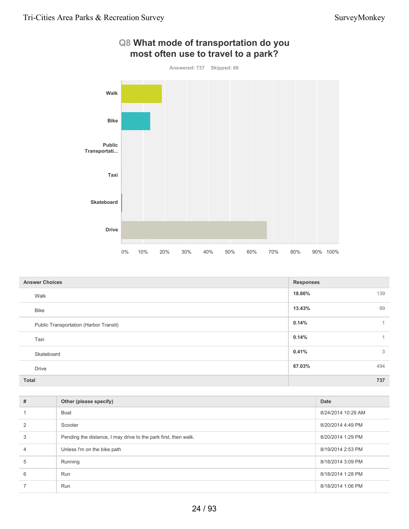

| <b>Answer Choices</b>                  | <b>Responses</b> |
|----------------------------------------|------------------|
| Walk                                   | 18.86%<br>139    |
| <b>Bike</b>                            | 99<br>13.43%     |
| Public Transportation (Harbor Transit) | 0.14%            |
| Taxi                                   | 0.14%            |
| Skateboard                             | 0.41%<br>3       |
| <b>Drive</b>                           | 67.03%<br>494    |
| <b>Total</b>                           | 737              |

| #              | Other (please specify)                                          | Date               |
|----------------|-----------------------------------------------------------------|--------------------|
|                | Boat                                                            | 8/24/2014 10:29 AM |
| $\mathcal{P}$  | Scooter                                                         | 8/20/2014 4:49 PM  |
| 3              | Pending the distance, I may drive to the park first, then walk. | 8/20/2014 1:29 PM  |
| $\overline{4}$ | Unless I'm on the bike path                                     | 8/19/2014 2:53 PM  |
| 5              | Running                                                         | 8/18/2014 3:09 PM  |
| 6              | Run                                                             | 8/18/2014 1:28 PM  |
|                | Run                                                             | 8/18/2014 1:06 PM  |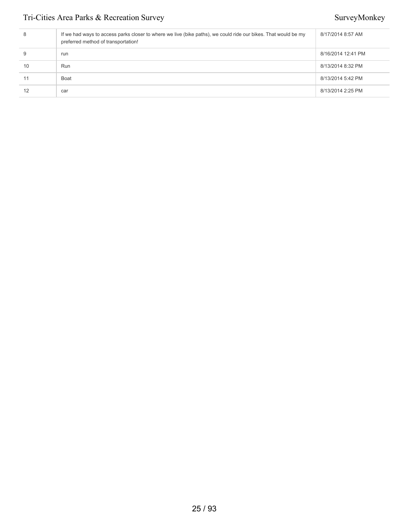| 8  | If we had ways to access parks closer to where we live (bike paths), we could ride our bikes. That would be my<br>preferred method of transportation! | 8/17/2014 8:57 AM  |
|----|-------------------------------------------------------------------------------------------------------------------------------------------------------|--------------------|
| 9  | run                                                                                                                                                   | 8/16/2014 12:41 PM |
| 10 | Run                                                                                                                                                   | 8/13/2014 8:32 PM  |
| 11 | Boat                                                                                                                                                  | 8/13/2014 5:42 PM  |
| 12 | car                                                                                                                                                   | 8/13/2014 2:25 PM  |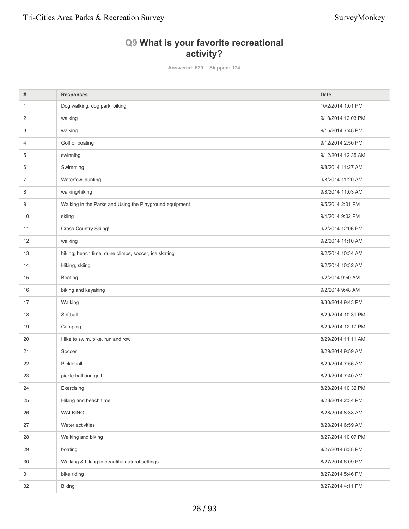### **Q9 What is your favorite recreational activity?**

**Answered: 629 Skipped: 174**

| #              | <b>Responses</b>                                        | Date               |
|----------------|---------------------------------------------------------|--------------------|
| $\mathbf{1}$   | Dog walking, dog park, biking                           | 10/2/2014 1:01 PM  |
| 2              | walking                                                 | 9/18/2014 12:03 PM |
| 3              | walking                                                 | 9/15/2014 7:48 PM  |
| 4              | Golf or boating                                         | 9/12/2014 2:50 PM  |
| 5              | swinnibg                                                | 9/12/2014 12:35 AM |
| 6              | Swimming                                                | 9/8/2014 11:27 AM  |
| $\overline{7}$ | Waterfowl hunting.                                      | 9/8/2014 11:20 AM  |
| 8              | walking/hiking                                          | 9/8/2014 11:03 AM  |
| 9              | Walking in the Parks and Using the Playground equipment | 9/5/2014 2:01 PM   |
| 10             | skiing                                                  | 9/4/2014 9:02 PM   |
| 11             | Cross Country Skiing!                                   | 9/2/2014 12:06 PM  |
| 12             | walking                                                 | 9/2/2014 11:10 AM  |
| 13             | hiking, beach time, dune climbs, soccer, ice skating    | 9/2/2014 10:34 AM  |
| 14             | Hiking, skiing                                          | 9/2/2014 10:32 AM  |
| 15             | Boating                                                 | 9/2/2014 9:50 AM   |
| 16             | biking and kayaking                                     | 9/2/2014 9:48 AM   |
| 17             | Walking                                                 | 8/30/2014 9:43 PM  |
| 18             | Softball                                                | 8/29/2014 10:31 PM |
| 19             | Camping                                                 | 8/29/2014 12:17 PM |
| 20             | I like to swim, bike, run and row                       | 8/29/2014 11:11 AM |
| 21             | Soccer                                                  | 8/29/2014 9:59 AM  |
| 22             | Pickleball                                              | 8/29/2014 7:56 AM  |
| 23             | pickle ball and golf                                    | 8/29/2014 7:40 AM  |
| 24             | Exercising                                              | 8/28/2014 10:32 PM |
| 25             | Hiking and beach time                                   | 8/28/2014 2:34 PM  |
| 26             | <b>WALKING</b>                                          | 8/28/2014 8:38 AM  |
| 27             | Water activities                                        | 8/28/2014 6:59 AM  |
| 28             | Walking and biking                                      | 8/27/2014 10:07 PM |
| 29             | boating                                                 | 8/27/2014 6:38 PM  |
| 30             | Walking & hiking in beautiful natural settings          | 8/27/2014 6:09 PM  |
| 31             | bike riding                                             | 8/27/2014 5:46 PM  |
| 32             | <b>Biking</b>                                           | 8/27/2014 4:11 PM  |
|                |                                                         |                    |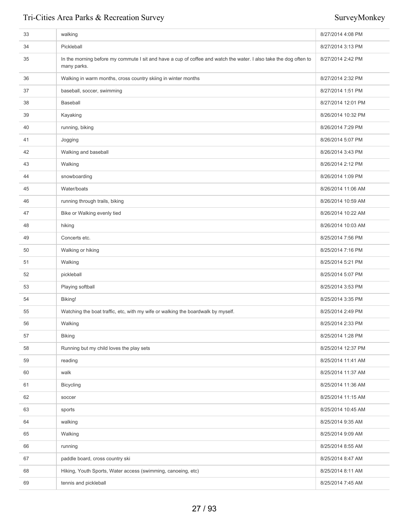| 33 | walking                                                                                                                          | 8/27/2014 4:08 PM  |
|----|----------------------------------------------------------------------------------------------------------------------------------|--------------------|
| 34 | Pickleball                                                                                                                       | 8/27/2014 3:13 PM  |
| 35 | In the morning before my commute I sit and have a cup of coffee and watch the water. I also take the dog often to<br>many parks. | 8/27/2014 2:42 PM  |
| 36 | Walking in warm months, cross country skiing in winter months                                                                    | 8/27/2014 2:32 PM  |
| 37 | baseball, soccer, swimming                                                                                                       | 8/27/2014 1:51 PM  |
| 38 | <b>Baseball</b>                                                                                                                  | 8/27/2014 12:01 PM |
| 39 | Kayaking                                                                                                                         | 8/26/2014 10:32 PM |
| 40 | running, biking                                                                                                                  | 8/26/2014 7:29 PM  |
| 41 | Jogging                                                                                                                          | 8/26/2014 5:07 PM  |
| 42 | Walking and baseball                                                                                                             | 8/26/2014 3:43 PM  |
| 43 | Walking                                                                                                                          | 8/26/2014 2:12 PM  |
| 44 | snowboarding                                                                                                                     | 8/26/2014 1:09 PM  |
| 45 | Water/boats                                                                                                                      | 8/26/2014 11:06 AM |
| 46 | running through trails, biking                                                                                                   | 8/26/2014 10:59 AM |
| 47 | Bike or Walking evenly tied                                                                                                      | 8/26/2014 10:22 AM |
| 48 | hiking                                                                                                                           | 8/26/2014 10:03 AM |
| 49 | Concerts etc.                                                                                                                    | 8/25/2014 7:56 PM  |
| 50 | Walking or hiking                                                                                                                | 8/25/2014 7:16 PM  |
| 51 | Walking                                                                                                                          | 8/25/2014 5:21 PM  |
| 52 | pickleball                                                                                                                       | 8/25/2014 5:07 PM  |
| 53 | Playing softball                                                                                                                 | 8/25/2014 3:53 PM  |
| 54 | Biking!                                                                                                                          | 8/25/2014 3:35 PM  |
| 55 | Watching the boat traffic, etc, with my wife or walking the boardwalk by myself.                                                 | 8/25/2014 2:49 PM  |
| 56 | Walking                                                                                                                          | 8/25/2014 2:33 PM  |
| 57 | <b>Biking</b>                                                                                                                    | 8/25/2014 1:28 PM  |
| 58 | Running but my child loves the play sets                                                                                         | 8/25/2014 12:37 PM |
| 59 | reading                                                                                                                          | 8/25/2014 11:41 AM |
| 60 | walk                                                                                                                             | 8/25/2014 11:37 AM |
| 61 | <b>Bicycling</b>                                                                                                                 | 8/25/2014 11:36 AM |
| 62 | soccer                                                                                                                           | 8/25/2014 11:15 AM |
| 63 | sports                                                                                                                           | 8/25/2014 10:45 AM |
| 64 | walking                                                                                                                          | 8/25/2014 9:35 AM  |
| 65 | Walking                                                                                                                          | 8/25/2014 9:09 AM  |
| 66 | running                                                                                                                          | 8/25/2014 8:55 AM  |
| 67 | paddle board, cross country ski                                                                                                  | 8/25/2014 8:47 AM  |
| 68 | Hiking, Youth Sports, Water access (swimming, canoeing, etc)                                                                     | 8/25/2014 8:11 AM  |
| 69 | tennis and pickleball                                                                                                            | 8/25/2014 7:45 AM  |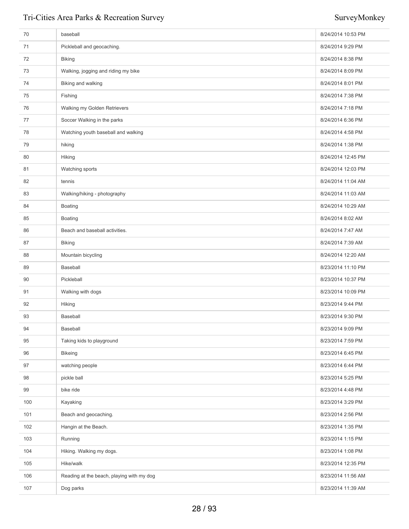| 70  | baseball                                  | 8/24/2014 10:53 PM |
|-----|-------------------------------------------|--------------------|
| 71  | Pickleball and geocaching.                | 8/24/2014 9:29 PM  |
| 72  | <b>Biking</b>                             | 8/24/2014 8:38 PM  |
| 73  | Walking, jogging and riding my bike       | 8/24/2014 8:09 PM  |
| 74  | Biking and walking                        | 8/24/2014 8:01 PM  |
| 75  | Fishing                                   | 8/24/2014 7:38 PM  |
| 76  | Walking my Golden Retrievers              | 8/24/2014 7:18 PM  |
| 77  | Soccer Walking in the parks               | 8/24/2014 6:36 PM  |
| 78  | Watching youth baseball and walking       | 8/24/2014 4:58 PM  |
| 79  | hiking                                    | 8/24/2014 1:38 PM  |
| 80  | Hiking                                    | 8/24/2014 12:45 PM |
| 81  | Watching sports                           | 8/24/2014 12:03 PM |
| 82  | tennis                                    | 8/24/2014 11:04 AM |
| 83  | Walking/hiking - photography              | 8/24/2014 11:03 AM |
| 84  | Boating                                   | 8/24/2014 10:29 AM |
| 85  | Boating                                   | 8/24/2014 8:02 AM  |
| 86  | Beach and baseball activities.            | 8/24/2014 7:47 AM  |
| 87  | <b>Biking</b>                             | 8/24/2014 7:39 AM  |
| 88  | Mountain bicycling                        | 8/24/2014 12:20 AM |
| 89  | Baseball                                  | 8/23/2014 11:10 PM |
| 90  | Pickleball                                | 8/23/2014 10:37 PM |
| 91  | Walking with dogs                         | 8/23/2014 10:09 PM |
| 92  | Hiking                                    | 8/23/2014 9:44 PM  |
| 93  | Baseball                                  | 8/23/2014 9:30 PM  |
| 94  | Baseball                                  | 8/23/2014 9:09 PM  |
| 95  | Taking kids to playground                 | 8/23/2014 7:59 PM  |
| 96  | <b>Bikeing</b>                            | 8/23/2014 6:45 PM  |
| 97  | watching people                           | 8/23/2014 6:44 PM  |
| 98  | pickle ball                               | 8/23/2014 5:25 PM  |
| 99  | bike ride                                 | 8/23/2014 4:48 PM  |
| 100 | Kayaking                                  | 8/23/2014 3:29 PM  |
| 101 | Beach and geocaching.                     | 8/23/2014 2:56 PM  |
| 102 | Hangin at the Beach.                      | 8/23/2014 1:35 PM  |
| 103 | Running                                   | 8/23/2014 1:15 PM  |
| 104 | Hiking. Walking my dogs.                  | 8/23/2014 1:08 PM  |
| 105 | Hike/walk                                 | 8/23/2014 12:35 PM |
| 106 | Reading at the beach, playing with my dog | 8/23/2014 11:56 AM |
| 107 | Dog parks                                 | 8/23/2014 11:39 AM |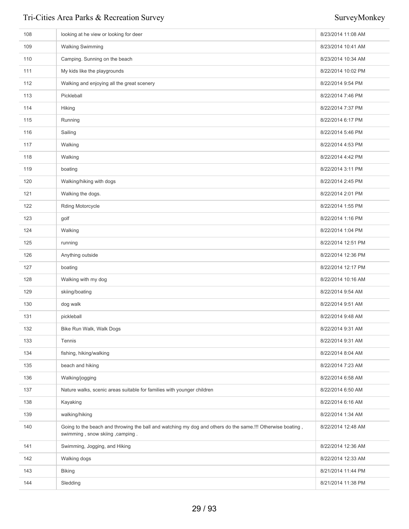| 108 | looking at he view or looking for deer                                                                                                        | 8/23/2014 11:08 AM |
|-----|-----------------------------------------------------------------------------------------------------------------------------------------------|--------------------|
| 109 | <b>Walking Swimming</b>                                                                                                                       | 8/23/2014 10:41 AM |
| 110 | Camping. Sunning on the beach                                                                                                                 | 8/23/2014 10:34 AM |
| 111 | My kids like the playgrounds                                                                                                                  | 8/22/2014 10:02 PM |
| 112 | Walking and enjoying all the great scenery                                                                                                    | 8/22/2014 9:54 PM  |
| 113 | Pickleball                                                                                                                                    | 8/22/2014 7:46 PM  |
| 114 | Hiking                                                                                                                                        | 8/22/2014 7:37 PM  |
| 115 | Running                                                                                                                                       | 8/22/2014 6:17 PM  |
| 116 | Sailing                                                                                                                                       | 8/22/2014 5:46 PM  |
| 117 | Walking                                                                                                                                       | 8/22/2014 4:53 PM  |
| 118 | Walking                                                                                                                                       | 8/22/2014 4:42 PM  |
| 119 | boating                                                                                                                                       | 8/22/2014 3:11 PM  |
| 120 | Walking/hiking with dogs                                                                                                                      | 8/22/2014 2:45 PM  |
| 121 | Walking the dogs.                                                                                                                             | 8/22/2014 2:01 PM  |
| 122 | Rding Motorcycle                                                                                                                              | 8/22/2014 1:55 PM  |
| 123 | golf                                                                                                                                          | 8/22/2014 1:16 PM  |
| 124 | Walking                                                                                                                                       | 8/22/2014 1:04 PM  |
| 125 | running                                                                                                                                       | 8/22/2014 12:51 PM |
| 126 | Anything outside                                                                                                                              | 8/22/2014 12:36 PM |
| 127 | boating                                                                                                                                       | 8/22/2014 12:17 PM |
| 128 | Walking with my dog                                                                                                                           | 8/22/2014 10:16 AM |
| 129 | skiing/boating                                                                                                                                | 8/22/2014 9:54 AM  |
| 130 | dog walk                                                                                                                                      | 8/22/2014 9:51 AM  |
| 131 | pickleball                                                                                                                                    | 8/22/2014 9:48 AM  |
| 132 | Bike Run Walk, Walk Dogs                                                                                                                      | 8/22/2014 9:31 AM  |
| 133 | Tennis                                                                                                                                        | 8/22/2014 9:31 AM  |
| 134 | fishing, hiking/walking                                                                                                                       | 8/22/2014 8:04 AM  |
| 135 | beach and hiking                                                                                                                              | 8/22/2014 7:23 AM  |
| 136 | Walking/jogging                                                                                                                               | 8/22/2014 6:58 AM  |
| 137 | Nature walks, scenic areas suitable for families with younger children                                                                        | 8/22/2014 6:50 AM  |
| 138 | Kayaking                                                                                                                                      | 8/22/2014 6:16 AM  |
| 139 | walking/hiking                                                                                                                                | 8/22/2014 1:34 AM  |
| 140 | Going to the beach and throwing the ball and watching my dog and others do the same.!!! Otherwise boating,<br>swimming, snow skiing, camping. | 8/22/2014 12:48 AM |
| 141 | Swimming, Jogging, and Hiking                                                                                                                 | 8/22/2014 12:36 AM |
| 142 | Walking dogs                                                                                                                                  | 8/22/2014 12:33 AM |
| 143 | <b>Biking</b>                                                                                                                                 | 8/21/2014 11:44 PM |
| 144 | Sledding                                                                                                                                      | 8/21/2014 11:38 PM |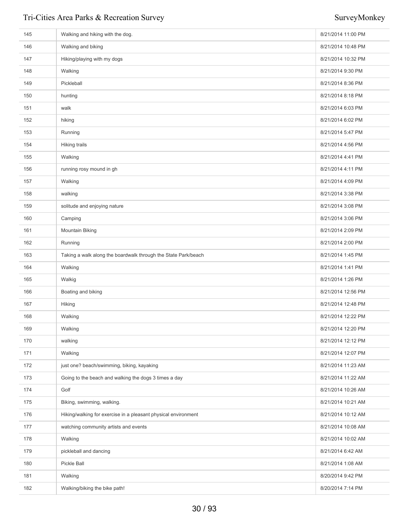| 145 | Walking and hiking with the dog.                               | 8/21/2014 11:00 PM |
|-----|----------------------------------------------------------------|--------------------|
| 146 | Walking and biking                                             | 8/21/2014 10:48 PM |
| 147 | Hiking/playing with my dogs                                    | 8/21/2014 10:32 PM |
| 148 | Walking                                                        | 8/21/2014 9:30 PM  |
| 149 | Pickleball                                                     | 8/21/2014 8:36 PM  |
| 150 | hunting                                                        | 8/21/2014 8:18 PM  |
| 151 | walk                                                           | 8/21/2014 6:03 PM  |
| 152 | hiking                                                         | 8/21/2014 6:02 PM  |
| 153 | Running                                                        | 8/21/2014 5:47 PM  |
| 154 | Hiking trails                                                  | 8/21/2014 4:56 PM  |
| 155 | Walking                                                        | 8/21/2014 4:41 PM  |
| 156 | running rosy mound in gh                                       | 8/21/2014 4:11 PM  |
| 157 | Walking                                                        | 8/21/2014 4:09 PM  |
| 158 | walking                                                        | 8/21/2014 3:38 PM  |
| 159 | solitude and enjoying nature                                   | 8/21/2014 3:08 PM  |
| 160 | Camping                                                        | 8/21/2014 3:06 PM  |
| 161 | <b>Mountain Biking</b>                                         | 8/21/2014 2:09 PM  |
| 162 | Running                                                        | 8/21/2014 2:00 PM  |
| 163 | Taking a walk along the boardwalk through the State Park/beach | 8/21/2014 1:45 PM  |
| 164 | Walking                                                        | 8/21/2014 1:41 PM  |
| 165 | Walkig                                                         | 8/21/2014 1:26 PM  |
| 166 | Boating and biking                                             | 8/21/2014 12:56 PM |
| 167 | Hiking                                                         | 8/21/2014 12:48 PM |
| 168 | Walking                                                        | 8/21/2014 12:22 PM |
| 169 | Walking                                                        | 8/21/2014 12:20 PM |
| 170 | walking                                                        | 8/21/2014 12:12 PM |
| 171 | Walking                                                        | 8/21/2014 12:07 PM |
| 172 | just one? beach/swimming, biking, kayaking                     | 8/21/2014 11:23 AM |
| 173 | Going to the beach and walking the dogs 3 times a day          | 8/21/2014 11:22 AM |
| 174 | Golf                                                           | 8/21/2014 10:26 AM |
| 175 | Biking, swimming, walking.                                     | 8/21/2014 10:21 AM |
| 176 | Hiking/walking for exercise in a pleasant physical environment | 8/21/2014 10:12 AM |
| 177 | watching community artists and events                          | 8/21/2014 10:08 AM |
| 178 | Walking                                                        | 8/21/2014 10:02 AM |
| 179 | pickleball and dancing                                         | 8/21/2014 6:42 AM  |
| 180 | Pickle Ball                                                    | 8/21/2014 1:08 AM  |
| 181 | Walking                                                        | 8/20/2014 9:42 PM  |
| 182 | Walking/biking the bike path!                                  | 8/20/2014 7:14 PM  |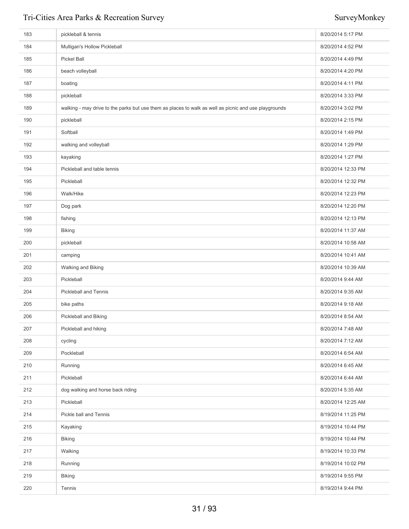| 183 | pickleball & tennis                                                                                   | 8/20/2014 5:17 PM  |
|-----|-------------------------------------------------------------------------------------------------------|--------------------|
| 184 | Mulligan's Hollow Pickleball                                                                          | 8/20/2014 4:52 PM  |
| 185 | Pickel Ball                                                                                           | 8/20/2014 4:49 PM  |
| 186 | beach volleyball                                                                                      | 8/20/2014 4:20 PM  |
| 187 | boating                                                                                               | 8/20/2014 4:11 PM  |
| 188 | pickleball                                                                                            | 8/20/2014 3:33 PM  |
| 189 | walking - may drive to the parks but use them as places to walk as well as picnic and use playgrounds | 8/20/2014 3:02 PM  |
| 190 | pickleball                                                                                            | 8/20/2014 2:15 PM  |
| 191 | Softball                                                                                              | 8/20/2014 1:49 PM  |
| 192 | walking and volleyball                                                                                | 8/20/2014 1:29 PM  |
| 193 | kayaking                                                                                              | 8/20/2014 1:27 PM  |
| 194 | Pickleball and table tennis                                                                           | 8/20/2014 12:33 PM |
| 195 | Pickleball                                                                                            | 8/20/2014 12:32 PM |
| 196 | Walk/Hike                                                                                             | 8/20/2014 12:23 PM |
| 197 | Dog park                                                                                              | 8/20/2014 12:20 PM |
| 198 | fishing                                                                                               | 8/20/2014 12:13 PM |
| 199 | <b>Biking</b>                                                                                         | 8/20/2014 11:37 AM |
| 200 | pickleball                                                                                            | 8/20/2014 10:58 AM |
| 201 | camping                                                                                               | 8/20/2014 10:41 AM |
| 202 | Walking and Biking                                                                                    | 8/20/2014 10:39 AM |
| 203 | Pickleball                                                                                            | 8/20/2014 9:44 AM  |
| 204 | <b>Pickleball and Tennis</b>                                                                          | 8/20/2014 9:35 AM  |
| 205 | bike paths                                                                                            | 8/20/2014 9:18 AM  |
| 206 | Pickleball and Biking                                                                                 | 8/20/2014 8:54 AM  |
| 207 | Pickleball and hiking                                                                                 | 8/20/2014 7:48 AM  |
| 208 | cycling                                                                                               | 8/20/2014 7:12 AM  |
| 209 | Pockleball                                                                                            | 8/20/2014 6:54 AM  |
| 210 | Running                                                                                               | 8/20/2014 6:45 AM  |
| 211 | Pickleball                                                                                            | 8/20/2014 6:44 AM  |
| 212 | dog walking and horse back riding                                                                     | 8/20/2014 5:35 AM  |
| 213 | Pickleball                                                                                            | 8/20/2014 12:25 AM |
| 214 | Pickle ball and Tennis                                                                                | 8/19/2014 11:25 PM |
| 215 | Kayaking                                                                                              | 8/19/2014 10:44 PM |
| 216 | <b>Biking</b>                                                                                         | 8/19/2014 10:44 PM |
| 217 | Walking                                                                                               | 8/19/2014 10:33 PM |
| 218 | Running                                                                                               | 8/19/2014 10:02 PM |
| 219 | <b>Biking</b>                                                                                         | 8/19/2014 9:55 PM  |
| 220 | Tennis                                                                                                | 8/19/2014 9:44 PM  |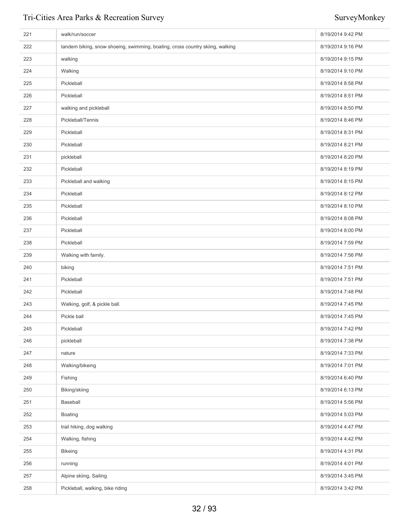| 221 | walk/run/soccer                                                               | 8/19/2014 9:42 PM |
|-----|-------------------------------------------------------------------------------|-------------------|
| 222 | tandem biking, snow shoeing, swimming, boating, cross country skiing, walking | 8/19/2014 9:16 PM |
| 223 | walking                                                                       | 8/19/2014 9:15 PM |
| 224 | Walking                                                                       | 8/19/2014 9:10 PM |
| 225 | Pickleball                                                                    | 8/19/2014 8:58 PM |
| 226 | Pickleball                                                                    | 8/19/2014 8:51 PM |
| 227 | walking and pickleball                                                        | 8/19/2014 8:50 PM |
| 228 | Pickleball/Tennis                                                             | 8/19/2014 8:46 PM |
| 229 | Pickleball                                                                    | 8/19/2014 8:31 PM |
| 230 | Pickleball                                                                    | 8/19/2014 8:21 PM |
| 231 | pickleball                                                                    | 8/19/2014 8:20 PM |
| 232 | Pickleball                                                                    | 8/19/2014 8:19 PM |
| 233 | Pickleball and walking                                                        | 8/19/2014 8:15 PM |
| 234 | Pickleball                                                                    | 8/19/2014 8:12 PM |
| 235 | Pickleball                                                                    | 8/19/2014 8:10 PM |
| 236 | Pickleball                                                                    | 8/19/2014 8:08 PM |
| 237 | Pickleball                                                                    | 8/19/2014 8:00 PM |
| 238 | Pickleball                                                                    | 8/19/2014 7:59 PM |
| 239 | Walking with family.                                                          | 8/19/2014 7:56 PM |
| 240 | biking                                                                        | 8/19/2014 7:51 PM |
| 241 | Pickleball                                                                    | 8/19/2014 7:51 PM |
| 242 | Pickleball                                                                    | 8/19/2014 7:48 PM |
| 243 | Walking, golf, & pickle ball.                                                 | 8/19/2014 7:45 PM |
| 244 | Pickle ball                                                                   | 8/19/2014 7:45 PM |
| 245 | Pickleball                                                                    | 8/19/2014 7:42 PM |
| 246 | pickleball                                                                    | 8/19/2014 7:38 PM |
| 247 | nature                                                                        | 8/19/2014 7:33 PM |
| 248 | Walking/bikeing                                                               | 8/19/2014 7:01 PM |
| 249 | Fishing                                                                       | 8/19/2014 6:40 PM |
| 250 | Biking/skiing                                                                 | 8/19/2014 6:13 PM |
| 251 | Baseball                                                                      | 8/19/2014 5:56 PM |
| 252 | <b>Boating</b>                                                                | 8/19/2014 5:03 PM |
| 253 | trail hikingdog walking                                                       | 8/19/2014 4:47 PM |
| 254 | Walking, fishing                                                              | 8/19/2014 4:42 PM |
| 255 | <b>Bikeing</b>                                                                | 8/19/2014 4:31 PM |
| 256 | running                                                                       | 8/19/2014 4:01 PM |
| 257 | Alpine skiing, Sailing                                                        | 8/19/2014 3:45 PM |
| 258 | Pickleball, walking, bike riding                                              | 8/19/2014 3:42 PM |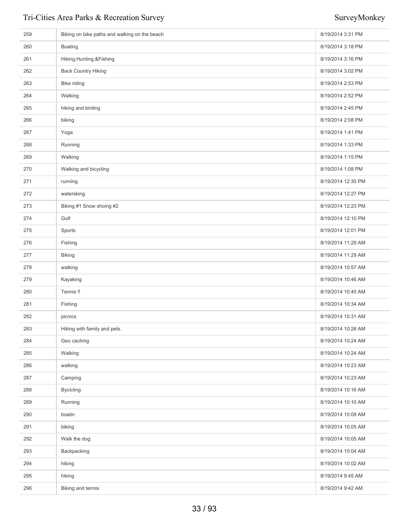| 259 | Biking on bike paths and walking on the beach | 8/19/2014 3:31 PM  |
|-----|-----------------------------------------------|--------------------|
| 260 | <b>Boating</b>                                | 8/19/2014 3:18 PM  |
| 261 | Hiking, Hunting, & Fishing                    | 8/19/2014 3:16 PM  |
| 262 | <b>Back Country Hiking</b>                    | 8/19/2014 3:02 PM  |
| 263 | Bike riding                                   | 8/19/2014 2:53 PM  |
| 264 | Walking                                       | 8/19/2014 2:52 PM  |
| 265 | hiking and birding                            | 8/19/2014 2:45 PM  |
| 266 | biking                                        | 8/19/2014 2:08 PM  |
| 267 | Yoga                                          | 8/19/2014 1:41 PM  |
| 268 | Running                                       | 8/19/2014 1:33 PM  |
| 269 | Walking                                       | 8/19/2014 1:15 PM  |
| 270 | Walking and bicycling                         | 8/19/2014 1:08 PM  |
| 271 | running                                       | 8/19/2014 12:30 PM |
| 272 | watersking                                    | 8/19/2014 12:27 PM |
| 273 | Biking #1 Snow shoing #2                      | 8/19/2014 12:23 PM |
| 274 | Golf                                          | 8/19/2014 12:10 PM |
| 275 | Sports                                        | 8/19/2014 12:01 PM |
| 276 | Fishing                                       | 8/19/2014 11:29 AM |
| 277 | <b>Biking</b>                                 | 8/19/2014 11:29 AM |
| 278 | walking                                       | 8/19/2014 10:57 AM |
| 279 | Kayaking                                      | 8/19/2014 10:46 AM |
| 280 | Tennis !!                                     | 8/19/2014 10:45 AM |
| 281 | Fishing                                       | 8/19/2014 10:34 AM |
| 282 | picnics                                       | 8/19/2014 10:31 AM |
| 283 | Hiking with family and pets.                  | 8/19/2014 10:28 AM |
| 284 | Geo caching                                   | 8/19/2014 10:24 AM |
| 285 | Walking                                       | 8/19/2014 10:24 AM |
| 286 | walking                                       | 8/19/2014 10:23 AM |
| 287 | Camping                                       | 8/19/2014 10:23 AM |
| 288 | <b>Bycicling</b>                              | 8/19/2014 10:16 AM |
| 289 | Running                                       | 8/19/2014 10:10 AM |
| 290 | boatin                                        | 8/19/2014 10:09 AM |
| 291 | biking                                        | 8/19/2014 10:05 AM |
| 292 | Walk the dog.                                 | 8/19/2014 10:05 AM |
| 293 | Backpacking                                   | 8/19/2014 10:04 AM |
| 294 | hiking                                        | 8/19/2014 10:02 AM |
| 295 | hiking                                        | 8/19/2014 9:45 AM  |
| 296 | Biking and tennis                             | 8/19/2014 9:42 AM  |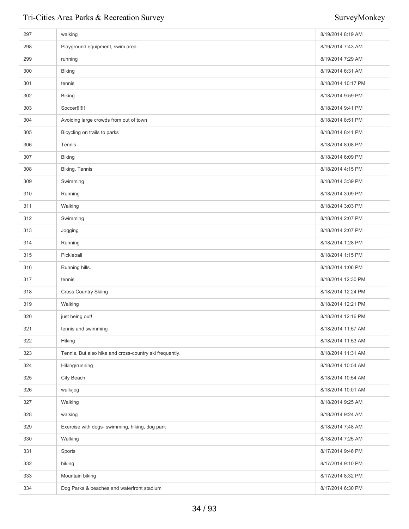| 297 | walking                                                 | 8/19/2014 8:19 AM  |
|-----|---------------------------------------------------------|--------------------|
| 298 | Playground equipment, swim area                         | 8/19/2014 7:43 AM  |
| 299 | running                                                 | 8/19/2014 7:29 AM  |
| 300 | <b>Biking</b>                                           | 8/19/2014 6:31 AM  |
| 301 | tennis                                                  | 8/18/2014 10:17 PM |
| 302 | <b>Biking</b>                                           | 8/18/2014 9:59 PM  |
| 303 | Soccer!!!!!!                                            | 8/18/2014 9:41 PM  |
| 304 | Avoiding large crowds from out of town                  | 8/18/2014 8:51 PM  |
| 305 | Bicycling on trails to parks                            | 8/18/2014 8:41 PM  |
| 306 | Tennis                                                  | 8/18/2014 8:08 PM  |
| 307 | <b>Biking</b>                                           | 8/18/2014 6:09 PM  |
| 308 | Biking, Tennis                                          | 8/18/2014 4:15 PM  |
| 309 | Swimming                                                | 8/18/2014 3:39 PM  |
| 310 | Running                                                 | 8/18/2014 3:09 PM  |
| 311 | Walking                                                 | 8/18/2014 3:03 PM  |
| 312 | Swimming                                                | 8/18/2014 2:07 PM  |
| 313 | Jogging                                                 | 8/18/2014 2:07 PM  |
| 314 | Running                                                 | 8/18/2014 1:28 PM  |
| 315 | Pickleball                                              | 8/18/2014 1:15 PM  |
| 316 | Running hills.                                          | 8/18/2014 1:06 PM  |
| 317 | tennis                                                  | 8/18/2014 12:30 PM |
| 318 | <b>Cross Country Skiing</b>                             | 8/18/2014 12:24 PM |
| 319 | Walking                                                 | 8/18/2014 12:21 PM |
| 320 | just being out!                                         | 8/18/2014 12:16 PM |
| 321 | tennis and swimming                                     | 8/18/2014 11:57 AM |
| 322 | Hiking                                                  | 8/18/2014 11:53 AM |
| 323 | Tennis. But also hike and cross-country ski frequently. | 8/18/2014 11:31 AM |
| 324 | Hiking/running                                          | 8/18/2014 10:54 AM |
| 325 | City Beach                                              | 8/18/2014 10:54 AM |
| 326 | walk/jog                                                | 8/18/2014 10:01 AM |
| 327 | Walking                                                 | 8/18/2014 9:25 AM  |
| 328 | walking                                                 | 8/18/2014 9:24 AM  |
| 329 | Exercise with dogs- swimming, hiking, dog park          | 8/18/2014 7:48 AM  |
| 330 | Walking                                                 | 8/18/2014 7:25 AM  |
| 331 | Sports                                                  | 8/17/2014 9:46 PM  |
| 332 | biking                                                  | 8/17/2014 9:10 PM  |
| 333 | Mountain biking                                         | 8/17/2014 8:32 PM  |
| 334 | Dog Parks & beaches and waterfront stadium              | 8/17/2014 6:30 PM  |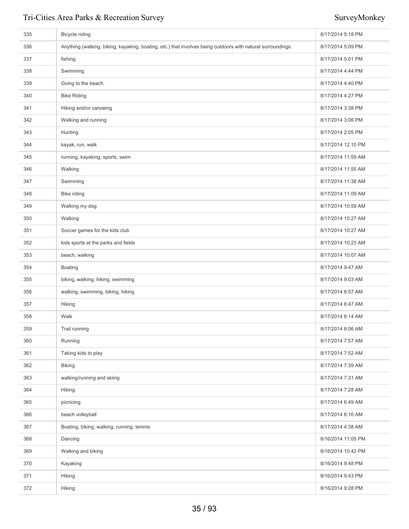| 335 | Bicycle riding                                                                                              | 8/17/2014 5:18 PM  |
|-----|-------------------------------------------------------------------------------------------------------------|--------------------|
| 336 | Anything (walking, biking, kayaking, boating, etc.) that involves being outdoors with natural surroundings. | 8/17/2014 5:09 PM  |
| 337 | fishing                                                                                                     | 8/17/2014 5:01 PM  |
| 338 | Swimming                                                                                                    | 8/17/2014 4:44 PM  |
| 339 | Going to the beach.                                                                                         | 8/17/2014 4:40 PM  |
| 340 | <b>Bike Riding</b>                                                                                          | 8/17/2014 4:27 PM  |
| 341 | Hiking and/or canoeing                                                                                      | 8/17/2014 3:38 PM  |
| 342 | Walking and running                                                                                         | 8/17/2014 3:06 PM  |
| 343 | Hunting                                                                                                     | 8/17/2014 2:05 PM  |
| 344 | kayak, run, walk                                                                                            | 8/17/2014 12:10 PM |
| 345 | running, kayaking, sports, swim                                                                             | 8/17/2014 11:59 AM |
| 346 | Walking                                                                                                     | 8/17/2014 11:55 AM |
| 347 | Swimming                                                                                                    | 8/17/2014 11:38 AM |
| 348 | Bike riding                                                                                                 | 8/17/2014 11:09 AM |
| 349 | Walking my dog                                                                                              | 8/17/2014 10:59 AM |
| 350 | Walking                                                                                                     | 8/17/2014 10:27 AM |
| 351 | Soccer games for the kids club                                                                              | 8/17/2014 10:27 AM |
| 352 | kids sports at the parks and fields                                                                         | 8/17/2014 10:23 AM |
| 353 | beach, walking                                                                                              | 8/17/2014 10:07 AM |
| 354 | Boating                                                                                                     | 8/17/2014 9:47 AM  |
| 355 | biking, walking, hiking, swimming                                                                           | 8/17/2014 9:03 AM  |
| 356 | walking, swimming, biking, hiking                                                                           | 8/17/2014 8:57 AM  |
| 357 | Hiking                                                                                                      | 8/17/2014 8:47 AM  |
| 358 | Walk                                                                                                        | 8/17/2014 8:14 AM  |
| 359 | Trail running                                                                                               | 8/17/2014 8:06 AM  |
| 360 | Running                                                                                                     | 8/17/2014 7:57 AM  |
| 361 | Taking kids to play                                                                                         | 8/17/2014 7:52 AM  |
| 362 | <b>Biking</b>                                                                                               | 8/17/2014 7:39 AM  |
| 363 | walking/running and skiing                                                                                  | 8/17/2014 7:31 AM  |
| 364 | Hiking                                                                                                      | 8/17/2014 7:28 AM  |
| 365 | picnicing                                                                                                   | 8/17/2014 6:49 AM  |
| 366 | beach volleyball                                                                                            | 8/17/2014 6:16 AM  |
| 367 | Boating, biking, walking, running, temnis                                                                   | 8/17/2014 4:38 AM  |
| 368 | Dancing                                                                                                     | 8/16/2014 11:05 PM |
| 369 | Walking and biking                                                                                          | 8/16/2014 10:42 PM |
| 370 | Kayaking                                                                                                    | 8/16/2014 9:48 PM  |
| 371 | Hiking                                                                                                      | 8/16/2014 9:43 PM  |
| 372 | Hiking                                                                                                      | 8/16/2014 9:28 PM  |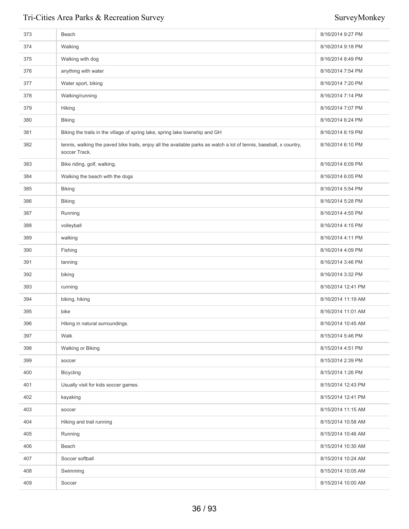| 373 | Beach                                                                                                                                | 8/16/2014 9:27 PM  |
|-----|--------------------------------------------------------------------------------------------------------------------------------------|--------------------|
| 374 | Walking                                                                                                                              | 8/16/2014 9:18 PM  |
| 375 | Walking with dog                                                                                                                     | 8/16/2014 8:49 PM  |
| 376 | anything with water                                                                                                                  | 8/16/2014 7:54 PM  |
| 377 | Water sport, biking                                                                                                                  | 8/16/2014 7:20 PM  |
| 378 | Walking/running                                                                                                                      | 8/16/2014 7:14 PM  |
| 379 | Hiking                                                                                                                               | 8/16/2014 7:07 PM  |
| 380 | <b>Biking</b>                                                                                                                        | 8/16/2014 6:24 PM  |
| 381 | Biking the trails in the village of spring lake, spring lake township and GH                                                         | 8/16/2014 6:19 PM  |
| 382 | tennis, walking the paved bike trails, enjoy all the available parks as watch a lot of tennis, baseball, x country,<br>soccer Track. | 8/16/2014 6:10 PM  |
| 383 | Bike riding, golf, walking,                                                                                                          | 8/16/2014 6:09 PM  |
| 384 | Walking the beach with the dogs                                                                                                      | 8/16/2014 6:05 PM  |
| 385 | <b>Biking</b>                                                                                                                        | 8/16/2014 5:54 PM  |
| 386 | <b>Biking</b>                                                                                                                        | 8/16/2014 5:28 PM  |
| 387 | Running                                                                                                                              | 8/16/2014 4:55 PM  |
| 388 | volleyball                                                                                                                           | 8/16/2014 4:15 PM  |
| 389 | walking                                                                                                                              | 8/16/2014 4:11 PM  |
| 390 | Fishing                                                                                                                              | 8/16/2014 4:09 PM  |
| 391 | tanning                                                                                                                              | 8/16/2014 3:46 PM  |
| 392 | biking                                                                                                                               | 8/16/2014 3:32 PM  |
| 393 | running                                                                                                                              | 8/16/2014 12:41 PM |
| 394 | biking, hiking                                                                                                                       | 8/16/2014 11:19 AM |
| 395 | bike                                                                                                                                 | 8/16/2014 11:01 AM |
| 396 | Hiking in natural surroundings.                                                                                                      | 8/16/2014 10:45 AM |
| 397 | Walk                                                                                                                                 | 8/15/2014 5:46 PM  |
| 398 | Walking or Biking                                                                                                                    | 8/15/2014 4:51 PM  |
| 399 | soccer                                                                                                                               | 8/15/2014 2:39 PM  |
| 400 | <b>Bicycling</b>                                                                                                                     | 8/15/2014 1:26 PM  |
| 401 | Usually visit for kids soccer games.                                                                                                 | 8/15/2014 12:43 PM |
| 402 | kayaking                                                                                                                             | 8/15/2014 12:41 PM |
| 403 | soccer                                                                                                                               | 8/15/2014 11:15 AM |
| 404 | Hiking and trail running                                                                                                             | 8/15/2014 10:58 AM |
| 405 | Running                                                                                                                              | 8/15/2014 10:46 AM |
| 406 | Beach                                                                                                                                | 8/15/2014 10:30 AM |
| 407 | Soccer softball                                                                                                                      | 8/15/2014 10:24 AM |
| 408 | Swimming                                                                                                                             | 8/15/2014 10:05 AM |
| 409 | Soccer                                                                                                                               | 8/15/2014 10:00 AM |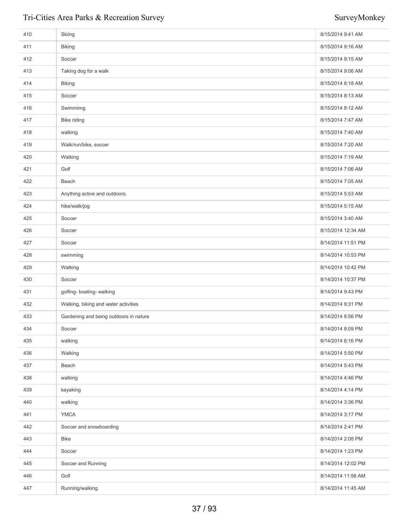| 410 | Skiing                                 | 8/15/2014 9:41 AM  |
|-----|----------------------------------------|--------------------|
| 411 | <b>Biking</b>                          | 8/15/2014 9:16 AM  |
| 412 | Soccer                                 | 8/15/2014 9:15 AM  |
| 413 | Taking dog for a walk                  | 8/15/2014 9:06 AM  |
| 414 | <b>Biking</b>                          | 8/15/2014 8:18 AM  |
| 415 | Soccer                                 | 8/15/2014 8:13 AM  |
| 416 | Swimmimg                               | 8/15/2014 8:12 AM  |
| 417 | Bike riding                            | 8/15/2014 7:47 AM  |
| 418 | walking                                | 8/15/2014 7:40 AM  |
| 419 | Walk/run/bike, soccer                  | 8/15/2014 7:20 AM  |
| 420 | Walking                                | 8/15/2014 7:19 AM  |
| 421 | Golf                                   | 8/15/2014 7:06 AM  |
| 422 | Beach                                  | 8/15/2014 7:05 AM  |
| 423 | Anything active and outdoors.          | 8/15/2014 5:53 AM  |
| 424 | hike/walk/jog                          | 8/15/2014 5:15 AM  |
| 425 | Soccer                                 | 8/15/2014 3:40 AM  |
| 426 | Soccer                                 | 8/15/2014 12:34 AM |
| 427 | Soccer                                 | 8/14/2014 11:51 PM |
| 428 | swimming                               | 8/14/2014 10:53 PM |
| 429 | Walking                                | 8/14/2014 10:42 PM |
| 430 | Soccer                                 | 8/14/2014 10:37 PM |
| 431 | golfing- boating- walking              | 8/14/2014 9:43 PM  |
| 432 | Walking, biking and water activities   | 8/14/2014 9:31 PM  |
| 433 | Gardening and being outdoors in nature | 8/14/2014 8:56 PM  |
| 434 | Soccer                                 | 8/14/2014 8:09 PM  |
| 435 | walking                                | 8/14/2014 6:16 PM  |
| 436 | Walking                                | 8/14/2014 5:50 PM  |
| 437 | Beach                                  | 8/14/2014 5:43 PM  |
| 438 | walking                                | 8/14/2014 4:46 PM  |
| 439 | kayaking                               | 8/14/2014 4:14 PM  |
| 440 | walking                                | 8/14/2014 3:36 PM  |
| 441 | <b>YMCA</b>                            | 8/14/2014 3:17 PM  |
| 442 | Soccer and snowboarding                | 8/14/2014 2:41 PM  |
| 443 | Bike                                   | 8/14/2014 2:08 PM  |
| 444 | Soccer                                 | 8/14/2014 1:23 PM  |
| 445 | Soccer and Running                     | 8/14/2014 12:02 PM |
| 446 | Golf                                   | 8/14/2014 11:56 AM |
| 447 | Running/walking                        | 8/14/2014 11:45 AM |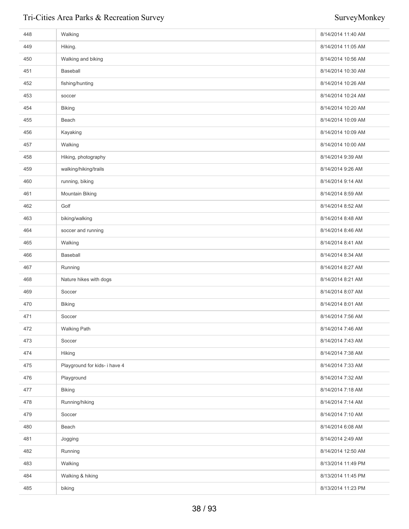| 448 | Walking                       | 8/14/2014 11:40 AM |
|-----|-------------------------------|--------------------|
| 449 | Hiking.                       | 8/14/2014 11:05 AM |
| 450 | Walking and biking            | 8/14/2014 10:56 AM |
| 451 | Baseball                      | 8/14/2014 10:30 AM |
| 452 | fishing/hunting               | 8/14/2014 10:26 AM |
| 453 | soccer                        | 8/14/2014 10:24 AM |
| 454 | <b>Biking</b>                 | 8/14/2014 10:20 AM |
| 455 | Beach                         | 8/14/2014 10:09 AM |
| 456 | Kayaking                      | 8/14/2014 10:09 AM |
| 457 | Walking                       | 8/14/2014 10:00 AM |
| 458 | Hiking, photography           | 8/14/2014 9:39 AM  |
| 459 | walking/hiking/trails         | 8/14/2014 9:26 AM  |
| 460 | running, biking               | 8/14/2014 9:14 AM  |
| 461 | Mountain Biking               | 8/14/2014 8:59 AM  |
| 462 | Golf                          | 8/14/2014 8:52 AM  |
| 463 | biking/walking                | 8/14/2014 8:48 AM  |
| 464 | soccer and running            | 8/14/2014 8:46 AM  |
| 465 | Walking                       | 8/14/2014 8:41 AM  |
| 466 | Baseball                      | 8/14/2014 8:34 AM  |
| 467 | Running                       | 8/14/2014 8:27 AM  |
| 468 | Nature hikes with dogs        | 8/14/2014 8:21 AM  |
| 469 | Soccer                        | 8/14/2014 8:07 AM  |
| 470 | <b>Biking</b>                 | 8/14/2014 8:01 AM  |
| 471 | Soccer                        | 8/14/2014 7:56 AM  |
| 472 | <b>Walking Path</b>           | 8/14/2014 7:46 AM  |
| 473 | Soccer                        | 8/14/2014 7:43 AM  |
| 474 | Hiking                        | 8/14/2014 7:38 AM  |
| 475 | Playground for kids- i have 4 | 8/14/2014 7:33 AM  |
| 476 | Playground                    | 8/14/2014 7:32 AM  |
| 477 | <b>Biking</b>                 | 8/14/2014 7:18 AM  |
| 478 | Running/hiking                | 8/14/2014 7:14 AM  |
| 479 | Soccer                        | 8/14/2014 7:10 AM  |
| 480 | Beach                         | 8/14/2014 6:08 AM  |
| 481 | Jogging                       | 8/14/2014 2:49 AM  |
| 482 | Running                       | 8/14/2014 12:50 AM |
| 483 | Walking                       | 8/13/2014 11:49 PM |
| 484 | Walking & hiking              | 8/13/2014 11:45 PM |
| 485 | biking                        | 8/13/2014 11:23 PM |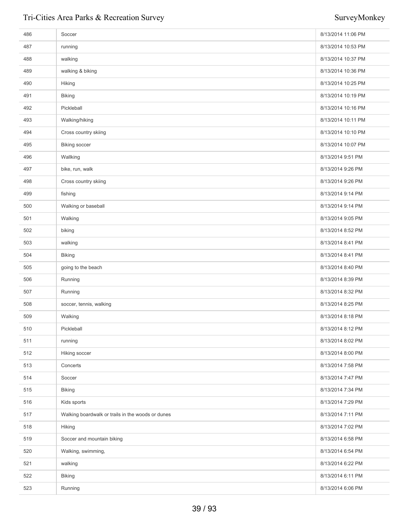| 486 | Soccer                                            | 8/13/2014 11:06 PM |
|-----|---------------------------------------------------|--------------------|
| 487 | running                                           | 8/13/2014 10:53 PM |
| 488 | walking                                           | 8/13/2014 10:37 PM |
| 489 | walking & biking                                  | 8/13/2014 10:36 PM |
| 490 | Hiking                                            | 8/13/2014 10:25 PM |
| 491 | <b>Biking</b>                                     | 8/13/2014 10:19 PM |
| 492 | Pickleball                                        | 8/13/2014 10:16 PM |
| 493 | Walking/hiking                                    | 8/13/2014 10:11 PM |
| 494 | Cross country skiing                              | 8/13/2014 10:10 PM |
| 495 | <b>Biking soccer</b>                              | 8/13/2014 10:07 PM |
| 496 | Wallking                                          | 8/13/2014 9:51 PM  |
| 497 | bike, run, walk                                   | 8/13/2014 9:26 PM  |
| 498 | Cross country skiing                              | 8/13/2014 9:26 PM  |
| 499 | fishing                                           | 8/13/2014 9:14 PM  |
| 500 | Walking or baseball                               | 8/13/2014 9:14 PM  |
| 501 | Walking                                           | 8/13/2014 9:05 PM  |
| 502 | biking                                            | 8/13/2014 8:52 PM  |
| 503 | walking                                           | 8/13/2014 8:41 PM  |
| 504 | <b>Biking</b>                                     | 8/13/2014 8:41 PM  |
| 505 | going to the beach                                | 8/13/2014 8:40 PM  |
| 506 | Running                                           | 8/13/2014 8:39 PM  |
| 507 | Running                                           | 8/13/2014 8:32 PM  |
| 508 | soccer, tennis, walking                           | 8/13/2014 8:25 PM  |
| 509 | Walking                                           | 8/13/2014 8:18 PM  |
| 510 | Pickleball                                        | 8/13/2014 8:12 PM  |
| 511 | running                                           | 8/13/2014 8:02 PM  |
| 512 | Hiking soccer                                     | 8/13/2014 8:00 PM  |
| 513 | Concerts                                          | 8/13/2014 7:58 PM  |
| 514 | Soccer                                            | 8/13/2014 7:47 PM  |
| 515 | <b>Biking</b>                                     | 8/13/2014 7:34 PM  |
| 516 | Kids sports                                       | 8/13/2014 7:29 PM  |
| 517 | Walking boardwalk or trails in the woods or dunes | 8/13/2014 7:11 PM  |
| 518 | Hiking                                            | 8/13/2014 7:02 PM  |
| 519 | Soccer and mountain biking                        | 8/13/2014 6:58 PM  |
| 520 | Walking, swimming,                                | 8/13/2014 6:54 PM  |
| 521 | walking                                           | 8/13/2014 6:22 PM  |
| 522 | <b>Biking</b>                                     | 8/13/2014 6:11 PM  |
| 523 | Running                                           | 8/13/2014 6:06 PM  |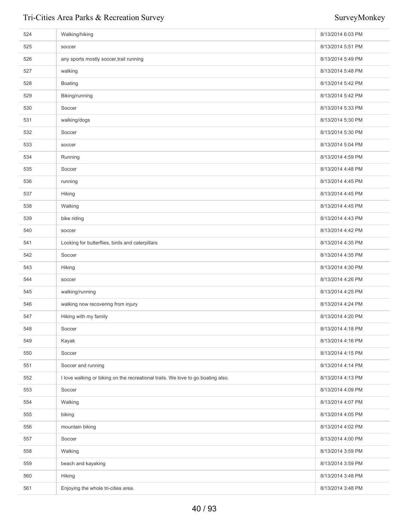| 524 | Walking/hiking                                                                   | 8/13/2014 6:03 PM |
|-----|----------------------------------------------------------------------------------|-------------------|
| 525 | soccer                                                                           | 8/13/2014 5:51 PM |
| 526 | any sports mostly soccer, trail running                                          | 8/13/2014 5:49 PM |
| 527 | walking                                                                          | 8/13/2014 5:48 PM |
| 528 | <b>Boating</b>                                                                   | 8/13/2014 5:42 PM |
| 529 | Biking/running                                                                   | 8/13/2014 5:42 PM |
| 530 | Soccer                                                                           | 8/13/2014 5:33 PM |
| 531 | walking/dogs                                                                     | 8/13/2014 5:30 PM |
| 532 | Soccer                                                                           | 8/13/2014 5:30 PM |
| 533 | soccer                                                                           | 8/13/2014 5:04 PM |
| 534 | Running                                                                          | 8/13/2014 4:59 PM |
| 535 | Soccer                                                                           | 8/13/2014 4:48 PM |
| 536 | running                                                                          | 8/13/2014 4:45 PM |
| 537 | Hiking                                                                           | 8/13/2014 4:45 PM |
| 538 | Walking                                                                          | 8/13/2014 4:45 PM |
| 539 | bike riding                                                                      | 8/13/2014 4:43 PM |
| 540 | soccer                                                                           | 8/13/2014 4:42 PM |
| 541 | Looking for butterflies, birds and caterpillars                                  | 8/13/2014 4:35 PM |
| 542 | Soccer                                                                           | 8/13/2014 4:35 PM |
| 543 | Hiking                                                                           | 8/13/2014 4:30 PM |
| 544 | soccer                                                                           | 8/13/2014 4:26 PM |
| 545 | walking/running                                                                  | 8/13/2014 4:25 PM |
| 546 | walking now recovering from injury                                               | 8/13/2014 4:24 PM |
| 547 | Hiking with my family                                                            | 8/13/2014 4:20 PM |
| 548 | Soccer                                                                           | 8/13/2014 4:18 PM |
| 549 | Kayak                                                                            | 8/13/2014 4:16 PM |
| 550 | Soccer                                                                           | 8/13/2014 4:15 PM |
| 551 | Soccer and running                                                               | 8/13/2014 4:14 PM |
| 552 | I love walking or biking on the recreational trails. We love to go boating also. | 8/13/2014 4:13 PM |
| 553 | Soccer                                                                           | 8/13/2014 4:09 PM |
| 554 | Walking                                                                          | 8/13/2014 4:07 PM |
| 555 | biking                                                                           | 8/13/2014 4:05 PM |
| 556 | mountain biking                                                                  | 8/13/2014 4:02 PM |
| 557 | Soccer                                                                           | 8/13/2014 4:00 PM |
| 558 | Walking                                                                          | 8/13/2014 3:59 PM |
| 559 | beach and kayaking                                                               | 8/13/2014 3:59 PM |
| 560 | Hiking                                                                           | 8/13/2014 3:48 PM |
| 561 | Enjoying the whole tri-cities area.                                              | 8/13/2014 3:48 PM |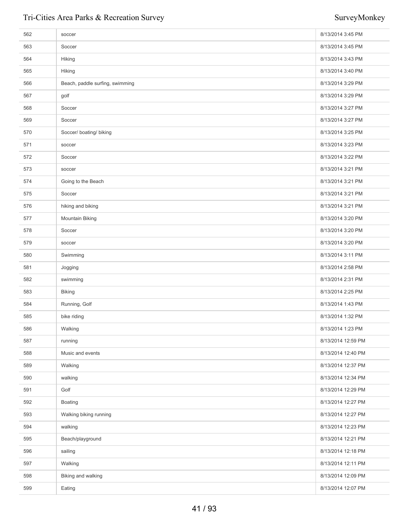| 562 | soccer                          | 8/13/2014 3:45 PM  |
|-----|---------------------------------|--------------------|
| 563 | Soccer                          | 8/13/2014 3:45 PM  |
| 564 | Hiking                          | 8/13/2014 3:43 PM  |
| 565 | Hiking                          | 8/13/2014 3:40 PM  |
| 566 | Beach, paddle surfing, swimming | 8/13/2014 3:29 PM  |
| 567 | golf                            | 8/13/2014 3:29 PM  |
| 568 | Soccer                          | 8/13/2014 3:27 PM  |
| 569 | Soccer                          | 8/13/2014 3:27 PM  |
| 570 | Soccer/ boating/ biking         | 8/13/2014 3:25 PM  |
| 571 | soccer                          | 8/13/2014 3:23 PM  |
| 572 | Soccer                          | 8/13/2014 3:22 PM  |
| 573 | soccer                          | 8/13/2014 3:21 PM  |
| 574 | Going to the Beach              | 8/13/2014 3:21 PM  |
| 575 | Soccer                          | 8/13/2014 3:21 PM  |
| 576 | hiking and biking               | 8/13/2014 3:21 PM  |
| 577 | Mountain Biking                 | 8/13/2014 3:20 PM  |
| 578 | Soccer                          | 8/13/2014 3:20 PM  |
| 579 | soccer                          | 8/13/2014 3:20 PM  |
| 580 | Swimming                        | 8/13/2014 3:11 PM  |
| 581 | Jogging                         | 8/13/2014 2:58 PM  |
| 582 | swimming                        | 8/13/2014 2:31 PM  |
| 583 | <b>Biking</b>                   | 8/13/2014 2:25 PM  |
| 584 | Running, Golf                   | 8/13/2014 1:43 PM  |
| 585 | bike riding                     | 8/13/2014 1:32 PM  |
| 586 | Walking                         | 8/13/2014 1:23 PM  |
| 587 | running                         | 8/13/2014 12:59 PM |
| 588 | Music and events                | 8/13/2014 12:40 PM |
| 589 | Walking                         | 8/13/2014 12:37 PM |
| 590 | walking                         | 8/13/2014 12:34 PM |
| 591 | Golf                            | 8/13/2014 12:29 PM |
| 592 | <b>Boating</b>                  | 8/13/2014 12:27 PM |
| 593 | Walking biking running          | 8/13/2014 12:27 PM |
| 594 | walking                         | 8/13/2014 12:23 PM |
| 595 | Beach/playground                | 8/13/2014 12:21 PM |
| 596 | sailing                         | 8/13/2014 12:18 PM |
| 597 | Walking                         | 8/13/2014 12:11 PM |
| 598 | Biking and walking              | 8/13/2014 12:09 PM |
| 599 | Eating                          | 8/13/2014 12:07 PM |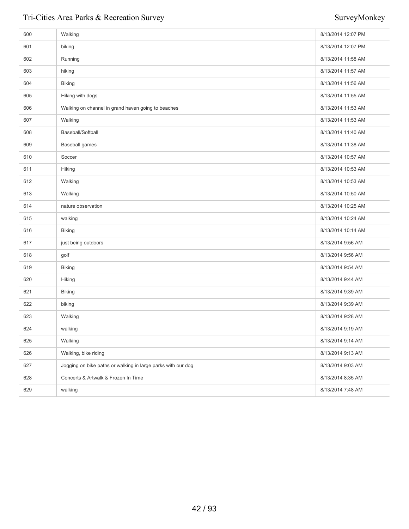| 600 | Walking                                                      | 8/13/2014 12:07 PM |
|-----|--------------------------------------------------------------|--------------------|
| 601 | biking                                                       | 8/13/2014 12:07 PM |
| 602 | Running                                                      | 8/13/2014 11:58 AM |
| 603 | hiking                                                       | 8/13/2014 11:57 AM |
| 604 | <b>Biking</b>                                                | 8/13/2014 11:56 AM |
| 605 | Hiking with dogs                                             | 8/13/2014 11:55 AM |
| 606 | Walking on channel in grand haven going to beaches           | 8/13/2014 11:53 AM |
| 607 | Walking                                                      | 8/13/2014 11:53 AM |
| 608 | Baseball/Softball                                            | 8/13/2014 11:40 AM |
| 609 | <b>Baseball games</b>                                        | 8/13/2014 11:38 AM |
| 610 | Soccer                                                       | 8/13/2014 10:57 AM |
| 611 | Hiking                                                       | 8/13/2014 10:53 AM |
| 612 | Walking                                                      | 8/13/2014 10:53 AM |
| 613 | Walking                                                      | 8/13/2014 10:50 AM |
| 614 | nature observation                                           | 8/13/2014 10:25 AM |
| 615 | walking                                                      | 8/13/2014 10:24 AM |
| 616 | <b>Biking</b>                                                | 8/13/2014 10:14 AM |
| 617 | just being outdoors                                          | 8/13/2014 9:56 AM  |
| 618 | golf                                                         | 8/13/2014 9:56 AM  |
| 619 | <b>Biking</b>                                                | 8/13/2014 9:54 AM  |
| 620 | Hiking                                                       | 8/13/2014 9:44 AM  |
| 621 | <b>Biking</b>                                                | 8/13/2014 9:39 AM  |
| 622 | biking                                                       | 8/13/2014 9:39 AM  |
| 623 | Walking                                                      | 8/13/2014 9:28 AM  |
| 624 | walking                                                      | 8/13/2014 9:19 AM  |
| 625 | Walking                                                      | 8/13/2014 9:14 AM  |
| 626 | Walking, bike riding                                         | 8/13/2014 9:13 AM  |
| 627 | Jogging on bike paths or walking in large parks with our dog | 8/13/2014 9:03 AM  |
| 628 | Concerts & Artwalk & Frozen In Time                          | 8/13/2014 8:35 AM  |
| 629 | walking                                                      | 8/13/2014 7:48 AM  |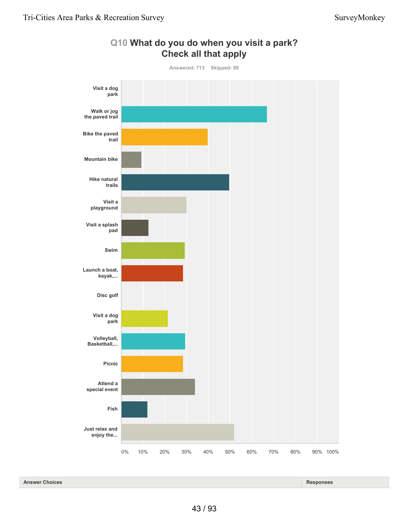

**Q10 What do you do when you visit a park?**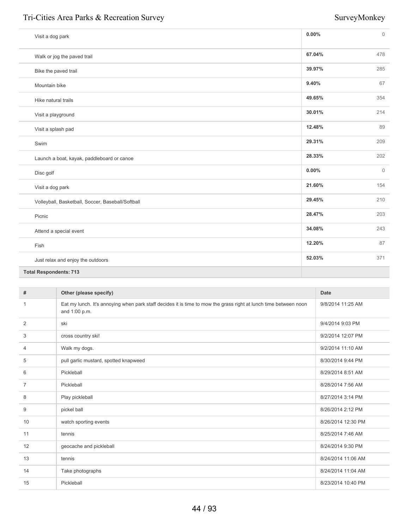| Visit a dog park                                  | 0.00%  | $\overline{0}$ |
|---------------------------------------------------|--------|----------------|
| Walk or jog the paved trail                       | 67.04% | 478            |
| Bike the paved trail                              | 39.97% | 285            |
| Mountain bike                                     | 9.40%  | 67             |
| Hike natural trails                               | 49.65% | 354            |
| Visit a playground                                | 30.01% | 214            |
| Visit a splash pad                                | 12.48% | 89             |
| Swim                                              | 29.31% | 209            |
| Launch a boat, kayak, paddleboard or canoe        | 28.33% | 202            |
| Disc golf                                         | 0.00%  | $\overline{0}$ |
| Visit a dog park                                  | 21.60% | 154            |
| Volleyball, Basketball, Soccer, Baseball/Softball | 29.45% | 210            |
| Picnic                                            | 28.47% | 203            |
| Attend a special event                            | 34.08% | 243            |
| Fish                                              | 12.20% | 87             |
| Just relax and enjoy the outdoors                 | 52.03% | 371            |
| <b>Total Respondents: 713</b>                     |        |                |

| #              | Other (please specify)                                                                                                            | Date               |
|----------------|-----------------------------------------------------------------------------------------------------------------------------------|--------------------|
| -1             | Eat my lunch. It's annoying when park staff decides it is time to mow the grass right at lunch time between noon<br>and 1:00 p.m. | 9/8/2014 11:25 AM  |
| 2              | ski                                                                                                                               | 9/4/2014 9:03 PM   |
| 3              | cross country ski!                                                                                                                | 9/2/2014 12:07 PM  |
| 4              | Walk my dogs.                                                                                                                     | 9/2/2014 11:10 AM  |
| 5              | pull garlic mustard, spotted knapweed                                                                                             | 8/30/2014 9:44 PM  |
| 6              | Pickleball                                                                                                                        | 8/29/2014 8:51 AM  |
| $\overline{7}$ | Pickleball                                                                                                                        | 8/28/2014 7:56 AM  |
| 8              | Play pickleball                                                                                                                   | 8/27/2014 3:14 PM  |
| 9              | pickel ball                                                                                                                       | 8/26/2014 2:12 PM  |
| 10             | watch sporting events                                                                                                             | 8/26/2014 12:30 PM |
| 11             | tennis                                                                                                                            | 8/25/2014 7:46 AM  |
| 12             | geocache and pickleball                                                                                                           | 8/24/2014 9:30 PM  |
| 13             | tennis                                                                                                                            | 8/24/2014 11:06 AM |
| 14             | Take photographs                                                                                                                  | 8/24/2014 11:04 AM |
| 15             | Pickleball                                                                                                                        | 8/23/2014 10:40 PM |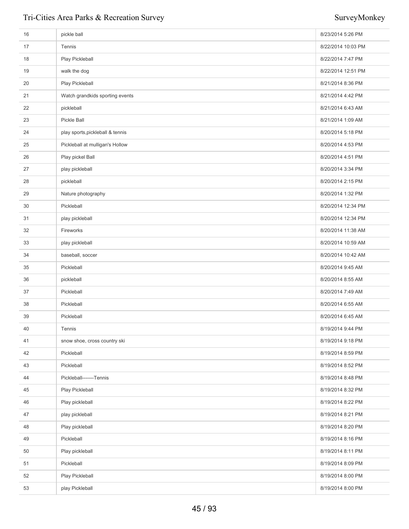| 16 | pickle ball                      | 8/23/2014 5:26 PM  |
|----|----------------------------------|--------------------|
| 17 | Tennis                           | 8/22/2014 10:03 PM |
| 18 | Play Pickleball                  | 8/22/2014 7:47 PM  |
| 19 | walk the dog                     | 8/22/2014 12:51 PM |
| 20 | Play Pickleball                  | 8/21/2014 8:36 PM  |
| 21 | Watch grandkids sporting events  | 8/21/2014 4:42 PM  |
| 22 | pickleball                       | 8/21/2014 6:43 AM  |
| 23 | Pickle Ball                      | 8/21/2014 1:09 AM  |
| 24 | play sports, pickleball & tennis | 8/20/2014 5:18 PM  |
| 25 | Pickleball at mulligan's Hollow  | 8/20/2014 4:53 PM  |
| 26 | Play pickel Ball                 | 8/20/2014 4:51 PM  |
| 27 | play pickleball                  | 8/20/2014 3:34 PM  |
| 28 | pickleball                       | 8/20/2014 2:15 PM  |
| 29 | Nature photography               | 8/20/2014 1:32 PM  |
| 30 | Pickleball                       | 8/20/2014 12:34 PM |
| 31 | play pickleball                  | 8/20/2014 12:34 PM |
| 32 | Fireworks                        | 8/20/2014 11:38 AM |
| 33 | play pickleball                  | 8/20/2014 10:59 AM |
| 34 | baseball, soccer                 | 8/20/2014 10:42 AM |
| 35 | Pickleball                       | 8/20/2014 9:45 AM  |
| 36 | pickleball                       | 8/20/2014 8:55 AM  |
| 37 | Pickleball                       | 8/20/2014 7:49 AM  |
| 38 | Pickleball                       | 8/20/2014 6:55 AM  |
| 39 | Pickleball                       | 8/20/2014 6:45 AM  |
| 40 | Tennis                           | 8/19/2014 9:44 PM  |
| 41 | snow shoe, cross country ski     | 8/19/2014 9:18 PM  |
| 42 | Pickleball                       | 8/19/2014 8:59 PM  |
| 43 | Pickleball                       | 8/19/2014 8:52 PM  |
| 44 | Pickleball-------Tennis          | 8/19/2014 8:48 PM  |
| 45 | Play Pickleball                  | 8/19/2014 8:32 PM  |
| 46 | Play pickleball                  | 8/19/2014 8:22 PM  |
| 47 | play pickleball                  | 8/19/2014 8:21 PM  |
| 48 | Play pickleball                  | 8/19/2014 8:20 PM  |
| 49 | Pickleball                       | 8/19/2014 8:16 PM  |
| 50 | Play pickleball                  | 8/19/2014 8:11 PM  |
| 51 | Pickleball                       | 8/19/2014 8:09 PM  |
| 52 | Play Pickleball                  | 8/19/2014 8:00 PM  |
| 53 | play Pickleball                  | 8/19/2014 8:00 PM  |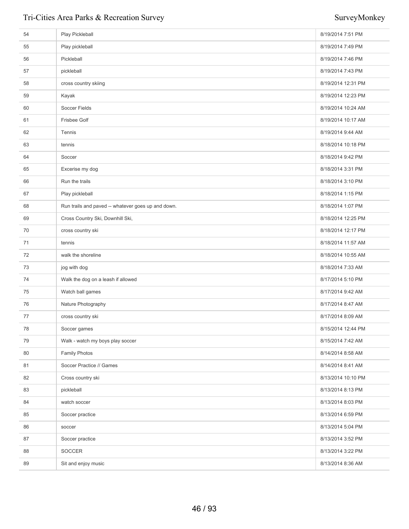| 54 | Play Pickleball                                    | 8/19/2014 7:51 PM  |
|----|----------------------------------------------------|--------------------|
| 55 | Play pickleball                                    | 8/19/2014 7:49 PM  |
| 56 | Pickleball                                         | 8/19/2014 7:46 PM  |
| 57 | pickleball                                         | 8/19/2014 7:43 PM  |
| 58 | cross country skiing                               | 8/19/2014 12:31 PM |
| 59 | Kayak                                              | 8/19/2014 12:23 PM |
| 60 | Soccer Fields                                      | 8/19/2014 10:24 AM |
| 61 | <b>Frisbee Golf</b>                                | 8/19/2014 10:17 AM |
| 62 | Tennis                                             | 8/19/2014 9:44 AM  |
| 63 | tennis                                             | 8/18/2014 10:18 PM |
| 64 | Soccer                                             | 8/18/2014 9:42 PM  |
| 65 | Excerise my dog                                    | 8/18/2014 3:31 PM  |
| 66 | Run the trails                                     | 8/18/2014 3:10 PM  |
| 67 | Play pickleball                                    | 8/18/2014 1:15 PM  |
| 68 | Run trails and paved -- whatever goes up and down. | 8/18/2014 1:07 PM  |
| 69 | Cross Country Ski, Downhill Ski,                   | 8/18/2014 12:25 PM |
| 70 | cross country ski                                  | 8/18/2014 12:17 PM |
| 71 | tennis                                             | 8/18/2014 11:57 AM |
| 72 | walk the shoreline                                 | 8/18/2014 10:55 AM |
| 73 | jog with dog                                       | 8/18/2014 7:33 AM  |
| 74 | Walk the dog on a leash if allowed                 | 8/17/2014 5:10 PM  |
| 75 | Watch ball games                                   | 8/17/2014 9:42 AM  |
| 76 | Nature Photography                                 | 8/17/2014 8:47 AM  |
| 77 | cross country ski                                  | 8/17/2014 8:09 AM  |
| 78 | Soccer games                                       | 8/15/2014 12:44 PM |
| 79 | Walk - watch my boys play soccer                   | 8/15/2014 7:42 AM  |
| 80 | Family Photos                                      | 8/14/2014 8:58 AM  |
| 81 | Soccer Practice // Games                           | 8/14/2014 8:41 AM  |
| 82 | Cross country ski                                  | 8/13/2014 10:10 PM |
| 83 | pickleball                                         | 8/13/2014 8:13 PM  |
| 84 | watch soccer                                       | 8/13/2014 8:03 PM  |
| 85 | Soccer practice                                    | 8/13/2014 6:59 PM  |
| 86 | soccer                                             | 8/13/2014 5:04 PM  |
| 87 | Soccer practice                                    | 8/13/2014 3:52 PM  |
| 88 | <b>SOCCER</b>                                      | 8/13/2014 3:22 PM  |
| 89 | Sit and enjoy music                                | 8/13/2014 8:36 AM  |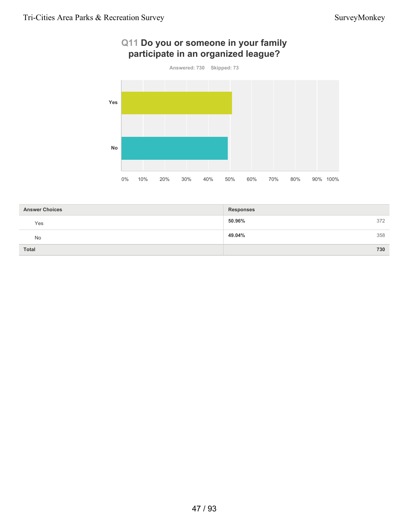# **Q11 Do you or someone in your family participate in an organized league?**



| <b>Answer Choices</b> | <b>Responses</b> |     |
|-----------------------|------------------|-----|
| Yes                   | 50.96%           | 372 |
| No                    | 49.04%           | 358 |
| <b>Total</b>          |                  | 730 |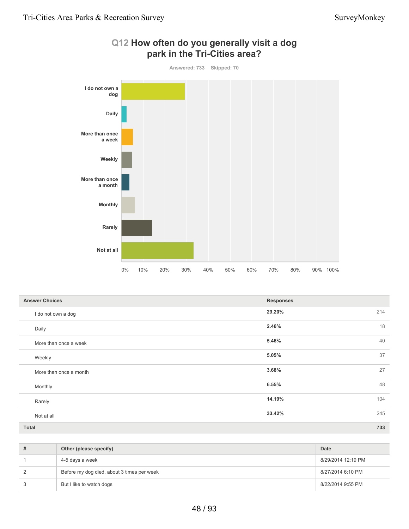

# **Q12 How often do you generally visit a dog park in the Tri-Cities area?**

| <b>Answer Choices</b>  | <b>Responses</b> |    |
|------------------------|------------------|----|
| I do not own a dog     | 29.20%<br>214    |    |
| Daily                  | 2.46%            | 18 |
| More than once a week  | 5.46%            | 40 |
| Weekly                 | 5.05%            | 37 |
| More than once a month | 3.68%            | 27 |
| Monthly                | 6.55%            | 48 |
| Rarely                 | 14.19%<br>104    |    |
| Not at all             | 33.42%<br>245    |    |
| <b>Total</b>           | 733              |    |

| # | Other (please specify)                     | <b>Date</b>        |
|---|--------------------------------------------|--------------------|
|   | 4-5 days a week                            | 8/29/2014 12:19 PM |
| 2 | Before my dog died, about 3 times per week | 8/27/2014 6:10 PM  |
| 3 | But I like to watch dogs                   | 8/22/2014 9:55 PM  |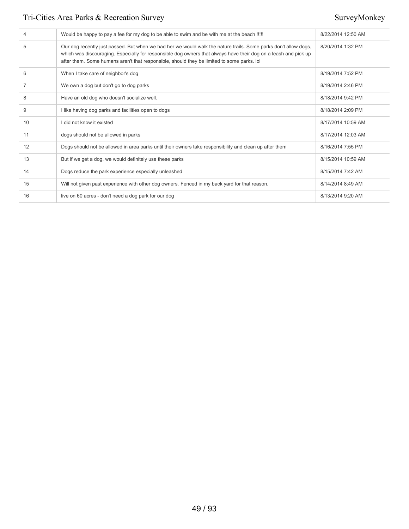| 4              | Would be happy to pay a fee for my dog to be able to swim and be with me at the beach !!!!!                                                                                                                                                                                                                                      | 8/22/2014 12:50 AM |
|----------------|----------------------------------------------------------------------------------------------------------------------------------------------------------------------------------------------------------------------------------------------------------------------------------------------------------------------------------|--------------------|
| 5              | Our dog recently just passed. But when we had her we would walk the nature trails. Some parks don't allow dogs,<br>which was discouraging. Especially for responsible dog owners that always have their dog on a leash and pick up<br>after them. Some humans aren't that responsible, should they be limited to some parks. Iol | 8/20/2014 1:32 PM  |
| 6              | When I take care of neighbor's dog                                                                                                                                                                                                                                                                                               | 8/19/2014 7:52 PM  |
| $\overline{7}$ | We own a dog but don't go to dog parks                                                                                                                                                                                                                                                                                           | 8/19/2014 2:46 PM  |
| 8              | Have an old dog who doesn't socialize well.                                                                                                                                                                                                                                                                                      | 8/18/2014 9:42 PM  |
| 9              | I like having dog parks and facilities open to dogs                                                                                                                                                                                                                                                                              | 8/18/2014 2:09 PM  |
| 10             | I did not know it existed                                                                                                                                                                                                                                                                                                        | 8/17/2014 10:59 AM |
| 11             | dogs should not be allowed in parks                                                                                                                                                                                                                                                                                              | 8/17/2014 12:03 AM |
| 12             | Dogs should not be allowed in area parks until their owners take responsibility and clean up after them                                                                                                                                                                                                                          | 8/16/2014 7:55 PM  |
| 13             | But if we get a dog, we would definitely use these parks                                                                                                                                                                                                                                                                         | 8/15/2014 10:59 AM |
| 14             | Dogs reduce the park experience especially unleashed                                                                                                                                                                                                                                                                             | 8/15/2014 7:42 AM  |
| 15             | Will not given past experience with other dog owners. Fenced in my back yard for that reason.                                                                                                                                                                                                                                    | 8/14/2014 8:49 AM  |
| 16             | live on 60 acres - don't need a dog park for our dog                                                                                                                                                                                                                                                                             | 8/13/2014 9:20 AM  |
|                |                                                                                                                                                                                                                                                                                                                                  |                    |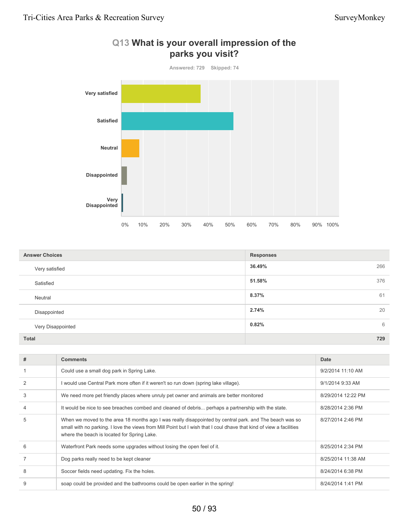

| Q13 What is your overall impression of the |  |
|--------------------------------------------|--|
| parks you visit?                           |  |

| <b>Answer Choices</b> | <b>Responses</b> |  |
|-----------------------|------------------|--|
| Very satisfied        | 36.49%<br>266    |  |
| Satisfied             | 51.58%<br>376    |  |
| Neutral               | 61<br>8.37%      |  |
| Disappointed          | 20<br>2.74%      |  |
| Very Disappointed     | 6<br>0.82%       |  |
| <b>Total</b>          | 729              |  |

| #              | <b>Comments</b>                                                                                                                                                                                                                                                               | Date               |
|----------------|-------------------------------------------------------------------------------------------------------------------------------------------------------------------------------------------------------------------------------------------------------------------------------|--------------------|
|                | Could use a small dog park in Spring Lake.                                                                                                                                                                                                                                    | 9/2/2014 11:10 AM  |
| $\overline{2}$ | I would use Central Park more often if it weren't so run down (spring lake village).                                                                                                                                                                                          | 9/1/2014 9:33 AM   |
| 3              | We need more pet friendly places where unruly pet owner and animals are better monitored                                                                                                                                                                                      | 8/29/2014 12:22 PM |
| 4              | It would be nice to see breaches combed and cleaned of debris perhaps a partnership with the state.                                                                                                                                                                           | 8/28/2014 2:36 PM  |
| 5              | When we moved to the area 18 months ago I was really disappointed by central park, and The beach was so<br>small with no parking. I love the views from Mill Point but I wish that I coul dhave that kind of view a facilities<br>where the beach is located for Spring Lake. | 8/27/2014 2:46 PM  |
| 6              | Waterfront Park needs some upgrades without losing the open feel of it.                                                                                                                                                                                                       | 8/25/2014 2:34 PM  |
|                | Dog parks really need to be kept cleaner                                                                                                                                                                                                                                      | 8/25/2014 11:38 AM |
| 8              | Soccer fields need updating. Fix the holes.                                                                                                                                                                                                                                   | 8/24/2014 6:38 PM  |
| 9              | soap could be provided and the bathrooms could be open earlier in the spring!                                                                                                                                                                                                 | 8/24/2014 1:41 PM  |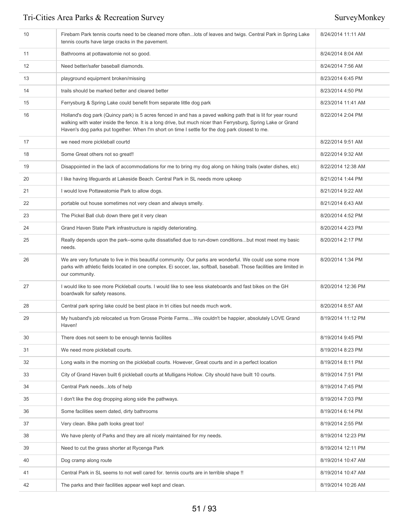| 10 | Firebarn Park tennis courts need to be cleaned more oftenlots of leaves and twigs. Central Park in Spring Lake<br>tennis courts have large cracks in the pavement.                                                                                                                                                                | 8/24/2014 11:11 AM |
|----|-----------------------------------------------------------------------------------------------------------------------------------------------------------------------------------------------------------------------------------------------------------------------------------------------------------------------------------|--------------------|
| 11 | Bathrooms at pottawatomie not so good.                                                                                                                                                                                                                                                                                            | 8/24/2014 8:04 AM  |
| 12 | Need better/safer baseball diamonds.                                                                                                                                                                                                                                                                                              | 8/24/2014 7:56 AM  |
| 13 | playground equipment broken/missing                                                                                                                                                                                                                                                                                               | 8/23/2014 6:45 PM  |
| 14 | trails should be marked better and cleared better                                                                                                                                                                                                                                                                                 | 8/23/2014 4:50 PM  |
| 15 | Ferrysburg & Spring Lake could benefit from separate little dog park                                                                                                                                                                                                                                                              | 8/23/2014 11:41 AM |
| 16 | Holland's dog park (Quincy park) is 5 acres fenced in and has a paved walking path that is lit for year round<br>walking with water inside the fence. It is a long drive, but much nicer than Ferrysburg, Spring Lake or Grand<br>Haven's dog parks put together. When I'm short on time I settle for the dog park closest to me. | 8/22/2014 2:04 PM  |
| 17 | we need more pickleball courtd                                                                                                                                                                                                                                                                                                    | 8/22/2014 9:51 AM  |
| 18 | Some Great others not so great!!                                                                                                                                                                                                                                                                                                  | 8/22/2014 9:32 AM  |
| 19 | Disappointed in the lack of accommodations for me to bring my dog along on hiking trails (water dishes, etc)                                                                                                                                                                                                                      | 8/22/2014 12:38 AM |
| 20 | I like having lifeguards at Lakeside Beach. Central Park in SL needs more upkeep                                                                                                                                                                                                                                                  | 8/21/2014 1:44 PM  |
| 21 | I would love Pottawatomie Park to allow dogs.                                                                                                                                                                                                                                                                                     | 8/21/2014 9:22 AM  |
| 22 | portable out house sometimes not very clean and always smelly.                                                                                                                                                                                                                                                                    | 8/21/2014 6:43 AM  |
| 23 | The Pickel Ball club down there get it very clean                                                                                                                                                                                                                                                                                 | 8/20/2014 4:52 PM  |
| 24 | Grand Haven State Park infrastructure is rapidly deteriorating.                                                                                                                                                                                                                                                                   | 8/20/2014 4:23 PM  |
| 25 | Really depends upon the park--some quite dissatisfied due to run-down conditionsbut most meet my basic<br>needs.                                                                                                                                                                                                                  | 8/20/2014 2:17 PM  |
| 26 | We are very fortunate to live in this beautiful community. Our parks are wonderful. We could use some more<br>parks with athletic fields located in one complex. Ei soccer, lax, softball, baseball. Those facilities are limited in<br>our community.                                                                            | 8/20/2014 1:34 PM  |
| 27 | I would like to see more Pickleball courts. I would like to see less skateboards and fast bikes on the GH<br>boardwalk for safety reasons.                                                                                                                                                                                        | 8/20/2014 12:36 PM |
| 28 | Central park spring lake could be best place in tri cities but needs much work.                                                                                                                                                                                                                                                   | 8/20/2014 8:57 AM  |
| 29 | My husband's job relocated us from Grosse Pointe FarmsWe couldn't be happier, absolutely LOVE Grand<br>Haven!                                                                                                                                                                                                                     | 8/19/2014 11:12 PM |
| 30 | There does not seem to be enough tennis facilites                                                                                                                                                                                                                                                                                 | 8/19/2014 9:45 PM  |
| 31 | We need more pickleball courts.                                                                                                                                                                                                                                                                                                   | 8/19/2014 8:23 PM  |
| 32 | Long waits in the morning on the pickleball courts. However, Great courts and in a perfect location                                                                                                                                                                                                                               | 8/19/2014 8:11 PM  |
| 33 | City of Grand Haven built 6 pickleball courts at Mulligans Hollow. City should have built 10 courts.                                                                                                                                                                                                                              | 8/19/2014 7:51 PM  |
| 34 | Central Park needslots of help                                                                                                                                                                                                                                                                                                    | 8/19/2014 7:45 PM  |
| 35 | I don't like the dog dropping along side the pathways.                                                                                                                                                                                                                                                                            | 8/19/2014 7:03 PM  |
| 36 | Some facilities seem dated, dirty bathrooms                                                                                                                                                                                                                                                                                       | 8/19/2014 6:14 PM  |
| 37 | Very clean. Bike path looks great too!                                                                                                                                                                                                                                                                                            | 8/19/2014 2:55 PM  |
| 38 | We have plenty of Parks and they are all nicely maintained for my needs.                                                                                                                                                                                                                                                          | 8/19/2014 12:23 PM |
| 39 | Need to cut the grass shorter at Rycenga Park                                                                                                                                                                                                                                                                                     | 8/19/2014 12:11 PM |
| 40 | Dog cramp along route                                                                                                                                                                                                                                                                                                             | 8/19/2014 10:47 AM |
| 41 | Central Park in SL seems to not well cared for. tennis courts are in terrible shape !!                                                                                                                                                                                                                                            | 8/19/2014 10:47 AM |
| 42 | The parks and their facilities appear well kept and clean.                                                                                                                                                                                                                                                                        | 8/19/2014 10:26 AM |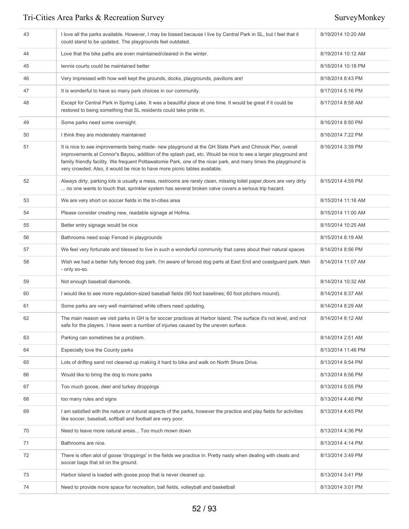| 43 | I love all the parks available. However, I may be biased because I live by Central Park in SL, but I feel that it<br>could stand to be updated. The playgrounds feel outdated.                                                                                                                                                                                                                                              | 8/19/2014 10:20 AM |
|----|-----------------------------------------------------------------------------------------------------------------------------------------------------------------------------------------------------------------------------------------------------------------------------------------------------------------------------------------------------------------------------------------------------------------------------|--------------------|
| 44 | Love that the bike paths are even maintained/cleared in the winter.                                                                                                                                                                                                                                                                                                                                                         | 8/19/2014 10:12 AM |
| 45 | tennis courts could be maintained better                                                                                                                                                                                                                                                                                                                                                                                    | 8/18/2014 10:18 PM |
| 46 | Very impressed with how well kept the grounds, docks, playgrounds, pavilions are!                                                                                                                                                                                                                                                                                                                                           | 8/18/2014 8:43 PM  |
| 47 | It is wonderful to have so many park choices in our community.                                                                                                                                                                                                                                                                                                                                                              | 8/17/2014 5:16 PM  |
| 48 | Except for Central Park in Spring Lake. It was a beautiful place at one time. It would be great if it could be<br>restored to being something that SL residents could take pride in.                                                                                                                                                                                                                                        | 8/17/2014 8:58 AM  |
| 49 | Some parks need some oversight.                                                                                                                                                                                                                                                                                                                                                                                             | 8/16/2014 8:50 PM  |
| 50 | I think they are moderately maintained                                                                                                                                                                                                                                                                                                                                                                                      | 8/16/2014 7:22 PM  |
| 51 | It is nice to see improvements being made- new playground at the GH State Park and Chinook Pier, overall<br>improvements at Connor's Bayou, addition of the splash pad, etc. Would be nice to see a larger playground and<br>family friendly facility. We frequent Pottawatomie Park, one of the nicer park, and many times the playground is<br>very crowded. Also, it would be nice to have more picnic tables available. | 8/16/2014 3:39 PM  |
| 52 | Always dirty, parking lots is usually a mess, restrooms are rarely clean, missing toilet paper, doors are very dirty<br>no one wants to touch that, sprinkler system has several broken valve covers a serious trip hazard.                                                                                                                                                                                                 | 8/15/2014 4:59 PM  |
| 53 | We are very short on soccer fields in the tri-cities area                                                                                                                                                                                                                                                                                                                                                                   | 8/15/2014 11:16 AM |
| 54 | Please consider creating new, readable signage at Hofma.                                                                                                                                                                                                                                                                                                                                                                    | 8/15/2014 11:00 AM |
| 55 | Better entry signage would be nice                                                                                                                                                                                                                                                                                                                                                                                          | 8/15/2014 10:25 AM |
| 56 | Bathrooms need soap Fenced in playgrounds                                                                                                                                                                                                                                                                                                                                                                                   | 8/15/2014 8:19 AM  |
| 57 | We feel very fortunate and blessed to live in such a wonderful community that cares about their natural spaces                                                                                                                                                                                                                                                                                                              | 8/14/2014 8:56 PM  |
| 58 | Wish we had a better fully fenced dog park. I'm aware of fenced dog parts at East End and coastguard park. Meh<br>- only so-so.                                                                                                                                                                                                                                                                                             | 8/14/2014 11:07 AM |
| 59 | Not enough baseball diamonds.                                                                                                                                                                                                                                                                                                                                                                                               | 8/14/2014 10:32 AM |
| 60 | I would like to see more regulation-sized baseball fields (90 foot baselines; 60 foot pitchers mound).                                                                                                                                                                                                                                                                                                                      | 8/14/2014 8:37 AM  |
| 61 | Some parks are very well maintained while others need updating.                                                                                                                                                                                                                                                                                                                                                             | 8/14/2014 8:29 AM  |
| 62 | The main reason we visit parks in GH is for soccer practices at Harbor Island. The surface it's not level, and not<br>safe for the players. I have seen a number of injuries caused by the uneven surface.                                                                                                                                                                                                                  | 8/14/2014 8:12 AM  |
| 63 | Parking can sometimes be a problem.                                                                                                                                                                                                                                                                                                                                                                                         | 8/14/2014 2:51 AM  |
| 64 | Especially love the County parks                                                                                                                                                                                                                                                                                                                                                                                            | 8/13/2014 11:46 PM |
| 65 | Lots of drifting sand not cleaned up making it hard to bike and walk on North Shore Drive.                                                                                                                                                                                                                                                                                                                                  | 8/13/2014 9:54 PM  |
| 66 | Would like to bring the dog to more parks                                                                                                                                                                                                                                                                                                                                                                                   | 8/13/2014 6:56 PM  |
| 67 | Too much goose, deer and turkey droppings                                                                                                                                                                                                                                                                                                                                                                                   | 8/13/2014 5:05 PM  |
| 68 | too many rules and signs                                                                                                                                                                                                                                                                                                                                                                                                    | 8/13/2014 4:46 PM  |
| 69 | I am satisfied with the nature or natural aspects of the parks, however the practice and play fields for activities<br>like soccer, baseball, softball and football are very poor.                                                                                                                                                                                                                                          | 8/13/2014 4:45 PM  |
| 70 | Need to leave more natural areas Too much mown down                                                                                                                                                                                                                                                                                                                                                                         | 8/13/2014 4:36 PM  |
| 71 | Bathrooms are nice.                                                                                                                                                                                                                                                                                                                                                                                                         | 8/13/2014 4:14 PM  |
| 72 | There is often alot of goose 'droppings' in the fields we practice in. Pretty nasty when dealing with cleats and<br>soccer bags that sit on the ground.                                                                                                                                                                                                                                                                     | 8/13/2014 3:49 PM  |
| 73 | Harbor island is loaded with goose poop that is never cleaned up.                                                                                                                                                                                                                                                                                                                                                           | 8/13/2014 3:41 PM  |
| 74 | Need to provide more space for recreation, ball fields, volleyball and basketball                                                                                                                                                                                                                                                                                                                                           | 8/13/2014 3:01 PM  |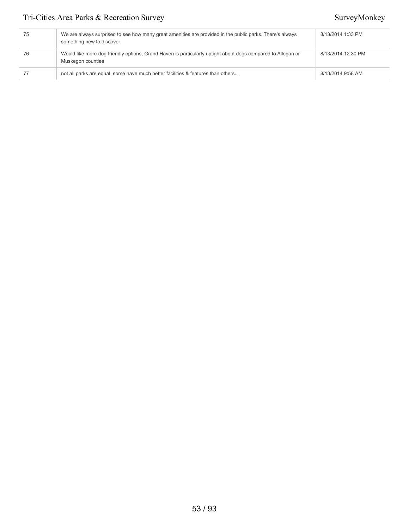| 75 | We are always surprised to see how many great amenities are provided in the public parks. There's always<br>something new to discover. | 8/13/2014 1:33 PM  |
|----|----------------------------------------------------------------------------------------------------------------------------------------|--------------------|
| 76 | Would like more dog friendly options, Grand Haven is particularly uptight about dogs compared to Allegan or<br>Muskegon counties       | 8/13/2014 12:30 PM |
|    | not all parks are equal. some have much better facilities & features than others                                                       | 8/13/2014 9:58 AM  |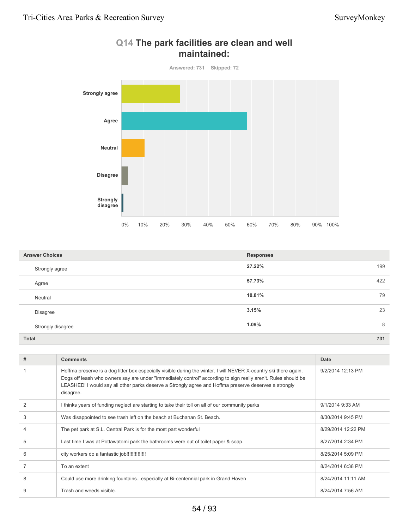

## **Q14 The park facilities are clean and well maintained:**

| <b>Answer Choices</b> | <b>Responses</b> |
|-----------------------|------------------|
| Strongly agree        | 27.22%<br>199    |
| Agree                 | 57.73%<br>422    |
| Neutral               | 10.81%<br>79     |
| Disagree              | 23<br>3.15%      |
| Strongly disagree     | 1.09%<br>8       |
| <b>Total</b>          | 731              |

| #              | <b>Comments</b>                                                                                                                                                                                                                                                                                                                                           | Date               |
|----------------|-----------------------------------------------------------------------------------------------------------------------------------------------------------------------------------------------------------------------------------------------------------------------------------------------------------------------------------------------------------|--------------------|
|                | Hoffma preserve is a dog litter box especially visible during the winter. I will NEVER X-country ski there again.<br>Dogs off leash who owners say are under "immediately control" according to sign really aren't. Rules should be<br>LEASHED! I would say all other parks deserve a Strongly agree and Hoffma preserve deserves a strongly<br>disagree. | 9/2/2014 12:13 PM  |
| $\overline{2}$ | I thinks years of funding neglect are starting to take their toll on all of our community parks                                                                                                                                                                                                                                                           | 9/1/2014 9:33 AM   |
| 3              | Was disappointed to see trash left on the beach at Buchanan St. Beach.                                                                                                                                                                                                                                                                                    | 8/30/2014 9:45 PM  |
| $\overline{4}$ | The pet park at S.L. Central Park is for the most part wonderful                                                                                                                                                                                                                                                                                          | 8/29/2014 12:22 PM |
| 5              | Last time I was at Pottawatomi park the bathrooms were out of toilet paper & soap.                                                                                                                                                                                                                                                                        | 8/27/2014 2:34 PM  |
| 6              | city workers do a fantastic job!!!!!!!!!!!!!!!!                                                                                                                                                                                                                                                                                                           | 8/25/2014 5:09 PM  |
|                | To an extent                                                                                                                                                                                                                                                                                                                                              | 8/24/2014 6:38 PM  |
| 8              | Could use more drinking fountainsespecially at Bi-centennial park in Grand Haven                                                                                                                                                                                                                                                                          | 8/24/2014 11:11 AM |
| 9              | Trash and weeds visible.                                                                                                                                                                                                                                                                                                                                  | 8/24/2014 7:56 AM  |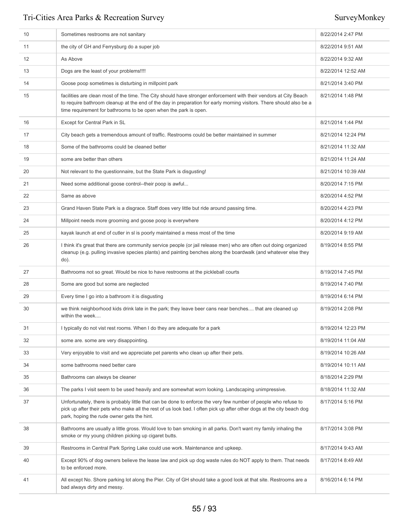| 10 | Sometimes restrooms are not sanitary                                                                                                                                                                                                                                                                         | 8/22/2014 2:47 PM  |
|----|--------------------------------------------------------------------------------------------------------------------------------------------------------------------------------------------------------------------------------------------------------------------------------------------------------------|--------------------|
| 11 | the city of GH and Ferrysburg do a super job                                                                                                                                                                                                                                                                 | 8/22/2014 9:51 AM  |
| 12 | As Above                                                                                                                                                                                                                                                                                                     | 8/22/2014 9:32 AM  |
| 13 | Dogs are the least of your problems!!!!                                                                                                                                                                                                                                                                      | 8/22/2014 12:52 AM |
| 14 | Goose poop sometimes is disturbing in millpoint park                                                                                                                                                                                                                                                         | 8/21/2014 3:40 PM  |
| 15 | facilities are clean most of the time. The City should have stronger enforcement with their vendors at City Beach<br>to require bathroom cleanup at the end of the day in preparation for early morning visitors. There should also be a<br>time requirement for bathrooms to be open when the park is open. | 8/21/2014 1:48 PM  |
| 16 | Except for Central Park in SL                                                                                                                                                                                                                                                                                | 8/21/2014 1:44 PM  |
| 17 | City beach gets a tremendous amount of traffic. Restrooms could be better maintained in summer                                                                                                                                                                                                               | 8/21/2014 12:24 PM |
| 18 | Some of the bathrooms could be cleaned better                                                                                                                                                                                                                                                                | 8/21/2014 11:32 AM |
| 19 | some are better than others                                                                                                                                                                                                                                                                                  | 8/21/2014 11:24 AM |
| 20 | Not relevant to the questionnaire, but the State Park is disgusting!                                                                                                                                                                                                                                         | 8/21/2014 10:39 AM |
| 21 | Need some additional goose control--their poop is awful                                                                                                                                                                                                                                                      | 8/20/2014 7:15 PM  |
| 22 | Same as above                                                                                                                                                                                                                                                                                                | 8/20/2014 4:52 PM  |
| 23 | Grand Haven State Park is a disgrace. Staff does very little but ride around passing time.                                                                                                                                                                                                                   | 8/20/2014 4:23 PM  |
| 24 | Millpoint needs more grooming and goose poop is everywhere                                                                                                                                                                                                                                                   | 8/20/2014 4:12 PM  |
| 25 | kayak launch at end of cutler in sl is poorly maintained a mess most of the time                                                                                                                                                                                                                             | 8/20/2014 9:19 AM  |
| 26 | I think it's great that there are community service people (or jail release men) who are often out doing organized<br>cleanup (e.g. pulling invasive species plants) and painting benches along the boardwalk (and whatever else they<br>do).                                                                | 8/19/2014 8:55 PM  |
| 27 | Bathrooms not so great. Would be nice to have restrooms at the pickleball courts                                                                                                                                                                                                                             | 8/19/2014 7:45 PM  |
| 28 | Some are good but some are neglected                                                                                                                                                                                                                                                                         | 8/19/2014 7:40 PM  |
| 29 | Every time I go into a bathroom it is disgusting                                                                                                                                                                                                                                                             | 8/19/2014 6:14 PM  |
| 30 | we think neighborhood kids drink late in the park; they leave beer cans near benches that are cleaned up<br>within the week                                                                                                                                                                                  | 8/19/2014 2:08 PM  |
| 31 | I typically do not vist rest rooms. When I do they are adequate for a park                                                                                                                                                                                                                                   | 8/19/2014 12:23 PM |
| 32 | some are, some are very disappointing.                                                                                                                                                                                                                                                                       | 8/19/2014 11:04 AM |
| 33 | Very enjoyable to visit and we appreciate pet parents who clean up after their pets.                                                                                                                                                                                                                         | 8/19/2014 10:26 AM |
| 34 | some bathrooms need better care                                                                                                                                                                                                                                                                              | 8/19/2014 10:11 AM |
| 35 | Bathrooms can always be cleaner                                                                                                                                                                                                                                                                              | 8/18/2014 2:29 PM  |
| 36 | The parks I visit seem to be used heavily and are somewhat worn looking. Landscaping unimpressive.                                                                                                                                                                                                           | 8/18/2014 11:32 AM |
| 37 | Unfortunately, there is probably little that can be done to enforce the very few number of people who refuse to<br>pick up after their pets who make all the rest of us look bad. I often pick up after other dogs at the city beach dog<br>park, hoping the rude owner gets the hint.                       | 8/17/2014 5:16 PM  |
| 38 | Bathrooms are usually a little gross. Would love to ban smoking in all parks. Don't want my family inhaling the<br>smoke or my young children picking up cigaret butts.                                                                                                                                      | 8/17/2014 3:08 PM  |
| 39 | Restrooms in Central Park Spring Lake could use work. Maintenance and upkeep.                                                                                                                                                                                                                                | 8/17/2014 9:43 AM  |
| 40 | Except 90% of dog owners believe the lease law and pick up dog waste rules do NOT apply to them. That needs<br>to be enforced more.                                                                                                                                                                          | 8/17/2014 8:49 AM  |
| 41 | All except No. Shore parking lot along the Pier. City of GH should take a good look at that site. Restrooms are a<br>bad always dirty and messy.                                                                                                                                                             | 8/16/2014 6:14 PM  |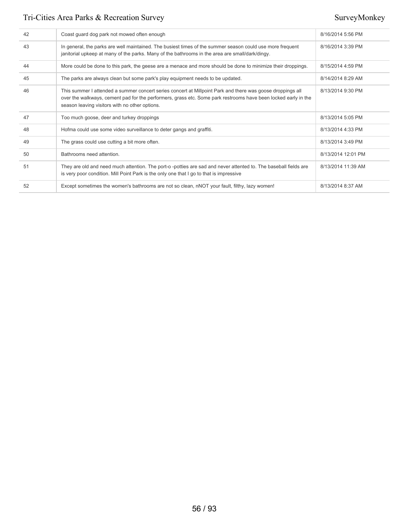| 42 | Coast guard dog park not mowed often enough                                                                                                                                                                                                                                    | 8/16/2014 5:56 PM  |
|----|--------------------------------------------------------------------------------------------------------------------------------------------------------------------------------------------------------------------------------------------------------------------------------|--------------------|
| 43 | In general, the parks are well maintained. The busiest times of the summer season could use more frequent<br>janitorial upkeep at many of the parks. Many of the bathrooms in the area are small/dark/dingy.                                                                   | 8/16/2014 3:39 PM  |
| 44 | More could be done to this park, the geese are a menace and more should be done to minimize their droppings.                                                                                                                                                                   | 8/15/2014 4:59 PM  |
| 45 | The parks are always clean but some park's play equipment needs to be updated.                                                                                                                                                                                                 | 8/14/2014 8:29 AM  |
| 46 | This summer I attended a summer concert series concert at Millpoint Park and there was goose droppings all<br>over the walkways, cement pad for the performers, grass etc. Some park restrooms have been locked early in the<br>season leaving visitors with no other options. | 8/13/2014 9:30 PM  |
| 47 | Too much goose, deer and turkey droppings                                                                                                                                                                                                                                      | 8/13/2014 5:05 PM  |
| 48 | Hofma could use some video surveillance to deter gangs and graffiti.                                                                                                                                                                                                           | 8/13/2014 4:33 PM  |
| 49 | The grass could use cutting a bit more often.                                                                                                                                                                                                                                  | 8/13/2014 3:49 PM  |
| 50 | Bathrooms need attention.                                                                                                                                                                                                                                                      | 8/13/2014 12:01 PM |
| 51 | They are old and need much attention. The port-o-potties are sad and never attented to. The baseball fields are<br>is very poor condition. Mill Point Park is the only one that I go to that is impressive                                                                     | 8/13/2014 11:39 AM |
| 52 | Except sometimes the women's bathrooms are not so clean, nNOT your fault, filthy, lazy women!                                                                                                                                                                                  | 8/13/2014 8:37 AM  |
|    |                                                                                                                                                                                                                                                                                |                    |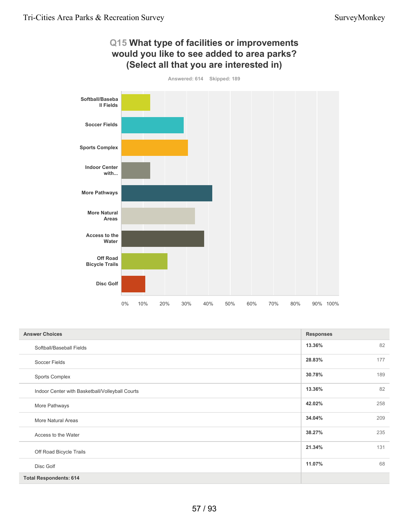

| <b>Answer Choices</b>                           | <b>Responses</b> |     |
|-------------------------------------------------|------------------|-----|
| Softball/Baseball Fields                        | 13.36%           | 82  |
| Soccer Fields                                   | 28.83%           | 177 |
| <b>Sports Complex</b>                           | 30.78%           | 189 |
| Indoor Center with Basketball/Volleyball Courts | 13.36%           | 82  |
| More Pathways                                   | 42.02%           | 258 |
| More Natural Areas                              | 34.04%           | 209 |
| Access to the Water                             | 38.27%           | 235 |
| Off Road Bicycle Trails                         | 21.34%           | 131 |
| Disc Golf                                       | 11.07%           | 68  |
| <b>Total Respondents: 614</b>                   |                  |     |

## 57 / 93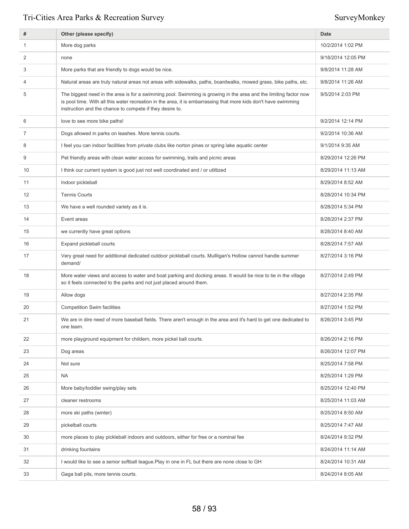| #  | Other (please specify)                                                                                                                                                                                                                                                                          | <b>Date</b>        |
|----|-------------------------------------------------------------------------------------------------------------------------------------------------------------------------------------------------------------------------------------------------------------------------------------------------|--------------------|
| 1  | More dog parks                                                                                                                                                                                                                                                                                  | 10/2/2014 1:02 PM  |
| 2  | none                                                                                                                                                                                                                                                                                            | 9/18/2014 12:05 PM |
| 3  | More parks that are friendly to dogs would be nice.                                                                                                                                                                                                                                             | 9/8/2014 11:28 AM  |
| 4  | Natural areas are truly natural areas not areas with sidewalks, paths, boardwalks, mowed grass, bike paths, etc.                                                                                                                                                                                | 9/8/2014 11:26 AM  |
| 5  | The biggest need in the area is for a swimming pool. Swimming is growing in the area and the limiting factor now<br>is pool time. With all this water recreation in the area, it is embarrassing that more kids don't have swimming<br>instruction and the chance to compete if they desire to. | 9/5/2014 2:03 PM   |
| 6  | love to see more bike paths!                                                                                                                                                                                                                                                                    | 9/2/2014 12:14 PM  |
| 7  | Dogs allowed in parks on leashes. More tennis courts.                                                                                                                                                                                                                                           | 9/2/2014 10:36 AM  |
| 8  | I feel you can indoor facilities from private clubs like norton pines or spring lake aquatic center                                                                                                                                                                                             | 9/1/2014 9:35 AM   |
| 9  | Pet friendly areas with clean water access for swimming, trails and picnic areas                                                                                                                                                                                                                | 8/29/2014 12:26 PM |
| 10 | I think our current system is good just not well coordinated and / or utiltized                                                                                                                                                                                                                 | 8/29/2014 11:13 AM |
| 11 | Indoor pickleball                                                                                                                                                                                                                                                                               | 8/29/2014 8:52 AM  |
| 12 | <b>Tennis Courts</b>                                                                                                                                                                                                                                                                            | 8/28/2014 10:34 PM |
| 13 | We have a well rounded variety as it is.                                                                                                                                                                                                                                                        | 8/28/2014 5:34 PM  |
| 14 | Event areas                                                                                                                                                                                                                                                                                     | 8/28/2014 2:37 PM  |
| 15 | we currently have great options                                                                                                                                                                                                                                                                 | 8/28/2014 8:40 AM  |
| 16 | Expand pickleball courts                                                                                                                                                                                                                                                                        | 8/28/2014 7:57 AM  |
| 17 | Very great need for additional dedicated outdoor pickleball courts. Mullligan's Hollow cannot handle summer<br>demand/                                                                                                                                                                          | 8/27/2014 3:16 PM  |
| 18 | More water views and access to water and boat parking and docking areas. It would be nice to tie in the village<br>so it feels connected to the parks and not just placed around them.                                                                                                          | 8/27/2014 2:49 PM  |
| 19 | Allow dogs                                                                                                                                                                                                                                                                                      | 8/27/2014 2:35 PM  |
| 20 | <b>Competition Swim facilities</b>                                                                                                                                                                                                                                                              | 8/27/2014 1:52 PM  |
| 21 | We are in dire need of more baseball fields. There aren't enough in the area and it's hard to get one dedicated to<br>one team                                                                                                                                                                  | 8/26/2014 3:45 PM  |
| 22 | more playground equipment for childern, more pickel ball courts.                                                                                                                                                                                                                                | 8/26/2014 2:16 PM  |
| 23 | Dog areas                                                                                                                                                                                                                                                                                       | 8/26/2014 12:07 PM |
| 24 | Not sure                                                                                                                                                                                                                                                                                        | 8/25/2014 7:58 PM  |
| 25 | <b>NA</b>                                                                                                                                                                                                                                                                                       | 8/25/2014 1:29 PM  |
| 26 | More baby/toddler swing/play sets                                                                                                                                                                                                                                                               | 8/25/2014 12:40 PM |
| 27 | cleaner restrooms                                                                                                                                                                                                                                                                               | 8/25/2014 11:03 AM |
| 28 | more ski paths (winter)                                                                                                                                                                                                                                                                         | 8/25/2014 8:50 AM  |
| 29 | pickelball courts                                                                                                                                                                                                                                                                               | 8/25/2014 7:47 AM  |
| 30 | more places to play pickleball indoors and outdoors, either for free or a nominal fee                                                                                                                                                                                                           | 8/24/2014 9:32 PM  |
| 31 | drinking fountains                                                                                                                                                                                                                                                                              | 8/24/2014 11:14 AM |
| 32 | I would like to see a senior softball league. Play in one in FL but there are none close to GH                                                                                                                                                                                                  | 8/24/2014 10:31 AM |
| 33 | Gaga ball pits, more tennis courts.                                                                                                                                                                                                                                                             | 8/24/2014 8:05 AM  |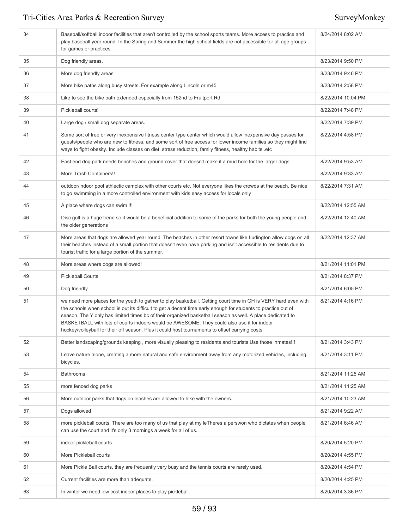| 34 | Baseball/softball indoor facilities that aren't controlled by the school sports teams. More access to practice and<br>play baseball year round. In the Spring and Summer the high school fields are not accessible for all age groups<br>for games or practices.                                                                                                                                                                                                                                                                                  | 8/24/2014 8:02 AM  |
|----|---------------------------------------------------------------------------------------------------------------------------------------------------------------------------------------------------------------------------------------------------------------------------------------------------------------------------------------------------------------------------------------------------------------------------------------------------------------------------------------------------------------------------------------------------|--------------------|
| 35 | Dog friendly areas.                                                                                                                                                                                                                                                                                                                                                                                                                                                                                                                               | 8/23/2014 9:50 PM  |
| 36 | More dog friendly areas                                                                                                                                                                                                                                                                                                                                                                                                                                                                                                                           | 8/23/2014 9:46 PM  |
| 37 | More bike paths along busy streets. For example along Lincoln or m45                                                                                                                                                                                                                                                                                                                                                                                                                                                                              | 8/23/2014 2:58 PM  |
| 38 | Like to see the bike path extended especially from 152nd to Fruitport Rd.                                                                                                                                                                                                                                                                                                                                                                                                                                                                         | 8/22/2014 10:04 PM |
| 39 | Pickleball courts!                                                                                                                                                                                                                                                                                                                                                                                                                                                                                                                                | 8/22/2014 7:48 PM  |
| 40 | Large dog / small dog separate areas.                                                                                                                                                                                                                                                                                                                                                                                                                                                                                                             | 8/22/2014 7:39 PM  |
| 41 | Some sort of free or very inexpensive fitness center type center which would allow inexpensive day passes for<br>guests/people who are new to fitness, and some sort of free access for lower income families so they might find<br>ways to fight obesity. Include classes on diet, stress reduction, family fitness, healthy habitsetc                                                                                                                                                                                                           | 8/22/2014 4:58 PM  |
| 42 | East end dog park needs benches and ground cover that doesn't make it a mud hole for the larger dogs                                                                                                                                                                                                                                                                                                                                                                                                                                              | 8/22/2014 9:53 AM  |
| 43 | More Trash Containers!!                                                                                                                                                                                                                                                                                                                                                                                                                                                                                                                           | 8/22/2014 9:33 AM  |
| 44 | outdoor/indoor pool athlectic camplex with other courts etc. Not everyone likes the crowds at the beach. Be nice<br>to go swimming in a more controlled environment with kids easy access for locals only                                                                                                                                                                                                                                                                                                                                         | 8/22/2014 7:31 AM  |
| 45 | A place where dogs can swim !!!                                                                                                                                                                                                                                                                                                                                                                                                                                                                                                                   | 8/22/2014 12:55 AM |
| 46 | Disc golf is a huge trend so it would be a beneficial addition to some of the parks for both the young people and<br>the older generations                                                                                                                                                                                                                                                                                                                                                                                                        | 8/22/2014 12:40 AM |
| 47 | More areas that dogs are allowed year round. The beaches in other resort towns like Ludington allow dogs on all<br>their beaches instead of a small portion that doesn't even have parking and isn't accessible to residents due to<br>tourist traffic for a large portion of the summer.                                                                                                                                                                                                                                                         | 8/22/2014 12:37 AM |
| 48 | More areas where dogs are allowed!                                                                                                                                                                                                                                                                                                                                                                                                                                                                                                                | 8/21/2014 11:01 PM |
| 49 | <b>Pickleball Courts</b>                                                                                                                                                                                                                                                                                                                                                                                                                                                                                                                          | 8/21/2014 8:37 PM  |
| 50 | Dog friendly                                                                                                                                                                                                                                                                                                                                                                                                                                                                                                                                      | 8/21/2014 6:05 PM  |
| 51 | we need more places for the youth to gather to play basketball. Getting court time in GH is VERY hard even with<br>the schools when school is out its difficult to get a decent time early enough for students to practice out of<br>season. The Y only has limited times bc of their organized basketball season as well. A place dedicated to<br>BASKETBALL with lots of courts indoors would be AWESOME. They could also use it for indoor<br>hockey/volleyball for their off season. Plus it could host tournaments to offset carrying costs. | 8/21/2014 4:16 PM  |
| 52 | Better landscaping/grounds keeping, more visually pleasing to residents and tourists Use those inmates!!!                                                                                                                                                                                                                                                                                                                                                                                                                                         | 8/21/2014 3:43 PM  |
| 53 | Leave nature alone, creating a more natural and safe environment away from any motorized vehicles, including<br>bicycles.                                                                                                                                                                                                                                                                                                                                                                                                                         | 8/21/2014 3:11 PM  |
| 54 | <b>Bathrooms</b>                                                                                                                                                                                                                                                                                                                                                                                                                                                                                                                                  | 8/21/2014 11:25 AM |
| 55 | more fenced dog parks                                                                                                                                                                                                                                                                                                                                                                                                                                                                                                                             | 8/21/2014 11:25 AM |
| 56 | More outdoor parks that dogs on leashes are allowed to hike with the owners.                                                                                                                                                                                                                                                                                                                                                                                                                                                                      | 8/21/2014 10:23 AM |
| 57 | Dogs allowed                                                                                                                                                                                                                                                                                                                                                                                                                                                                                                                                      | 8/21/2014 9:22 AM  |
| 58 | more pickleball courts. There are too many of us that play at my leTheres a perswon who dictates when people<br>can use the court and it's only 3 mornings a week for all of us                                                                                                                                                                                                                                                                                                                                                                   | 8/21/2014 6:46 AM  |
| 59 | indoor pickleball courts                                                                                                                                                                                                                                                                                                                                                                                                                                                                                                                          | 8/20/2014 5:20 PM  |
| 60 | More Pickleball courts                                                                                                                                                                                                                                                                                                                                                                                                                                                                                                                            | 8/20/2014 4:55 PM  |
| 61 | More Pickle Ball courts, they are frequently very busy and the tennis courts are rarely used.                                                                                                                                                                                                                                                                                                                                                                                                                                                     | 8/20/2014 4:54 PM  |
| 62 | Current facilities are more than adequate.                                                                                                                                                                                                                                                                                                                                                                                                                                                                                                        | 8/20/2014 4:25 PM  |
| 63 | In winter we need low cost indoor places to play pickleball.                                                                                                                                                                                                                                                                                                                                                                                                                                                                                      | 8/20/2014 3:36 PM  |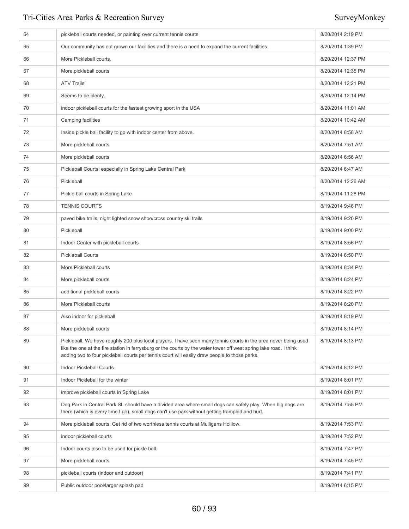| 64 | pickleball courts needed, or painting over current tennis courts                                                                                                                                                                                                                                                                       | 8/20/2014 2:19 PM  |
|----|----------------------------------------------------------------------------------------------------------------------------------------------------------------------------------------------------------------------------------------------------------------------------------------------------------------------------------------|--------------------|
| 65 | Our community has out grown our facilities and there is a need to expand the current facilities.                                                                                                                                                                                                                                       | 8/20/2014 1:39 PM  |
| 66 | More Pickleball courts.                                                                                                                                                                                                                                                                                                                | 8/20/2014 12:37 PM |
| 67 | More pickleball courts                                                                                                                                                                                                                                                                                                                 | 8/20/2014 12:35 PM |
| 68 | <b>ATV Trails!</b>                                                                                                                                                                                                                                                                                                                     | 8/20/2014 12:21 PM |
| 69 | Seems to be plenty.                                                                                                                                                                                                                                                                                                                    | 8/20/2014 12:14 PM |
| 70 | indoor pickleball courts for the fastest growing sport in the USA                                                                                                                                                                                                                                                                      | 8/20/2014 11:01 AM |
| 71 | Camping facilities                                                                                                                                                                                                                                                                                                                     | 8/20/2014 10:42 AM |
| 72 | Inside pickle ball facility to go with indoor center from above.                                                                                                                                                                                                                                                                       | 8/20/2014 8:58 AM  |
| 73 | More pickleball courts                                                                                                                                                                                                                                                                                                                 | 8/20/2014 7:51 AM  |
| 74 | More pickleball courts                                                                                                                                                                                                                                                                                                                 | 8/20/2014 6:56 AM  |
| 75 | Pickleball Courts; especially in Spring Lake Central Park                                                                                                                                                                                                                                                                              | 8/20/2014 6:47 AM  |
| 76 | Pickleball                                                                                                                                                                                                                                                                                                                             | 8/20/2014 12:26 AM |
| 77 | Pickle ball courts in Spring Lake                                                                                                                                                                                                                                                                                                      | 8/19/2014 11:28 PM |
| 78 | <b>TENNIS COURTS</b>                                                                                                                                                                                                                                                                                                                   | 8/19/2014 9:46 PM  |
| 79 | paved bike trails, night lighted snow shoe/cross country ski trails                                                                                                                                                                                                                                                                    | 8/19/2014 9:20 PM  |
| 80 | Pickleball                                                                                                                                                                                                                                                                                                                             | 8/19/2014 9:00 PM  |
| 81 | Indoor Center with pickleball courts                                                                                                                                                                                                                                                                                                   | 8/19/2014 8:56 PM  |
| 82 | <b>Pickleball Courts</b>                                                                                                                                                                                                                                                                                                               | 8/19/2014 8:50 PM  |
| 83 | More Pickleball courts                                                                                                                                                                                                                                                                                                                 | 8/19/2014 8:34 PM  |
| 84 | More pickleball courts                                                                                                                                                                                                                                                                                                                 | 8/19/2014 8:24 PM  |
| 85 | additional pickleball courts                                                                                                                                                                                                                                                                                                           | 8/19/2014 8:22 PM  |
| 86 | More Pickleball courts                                                                                                                                                                                                                                                                                                                 | 8/19/2014 8:20 PM  |
| 87 | Also indoor for pickleball                                                                                                                                                                                                                                                                                                             | 8/19/2014 8:19 PM  |
| 88 | More pickleball courts                                                                                                                                                                                                                                                                                                                 | 8/19/2014 8:14 PM  |
| 89 | Pickleball. We have roughly 200 plus local players. I have seen many tennis courts in the area never being used<br>like the one at the fire station in ferrysburg or the courts by the water tower off west spring lake road. I think<br>adding two to four pickleball courts per tennis court will easily draw people to those parks. | 8/19/2014 8:13 PM  |
| 90 | <b>Indoor Pickleball Courts</b>                                                                                                                                                                                                                                                                                                        | 8/19/2014 8:12 PM  |
| 91 | Indoor Pickleball for the winter                                                                                                                                                                                                                                                                                                       | 8/19/2014 8:01 PM  |
| 92 | improve pickleball courts in Spring Lake                                                                                                                                                                                                                                                                                               | 8/19/2014 8:01 PM  |
| 93 | Dog Park in Central Park SL should have a divided area where small dogs can safely play. When big dogs are<br>there (which is every time I go), small dogs can't use park without getting trampled and hurt.                                                                                                                           | 8/19/2014 7:55 PM  |
| 94 | More pickleball courts. Get rid of two worthless tennis courts at Mulligans Holllow.                                                                                                                                                                                                                                                   | 8/19/2014 7:53 PM  |
| 95 | indoor pickleball courts                                                                                                                                                                                                                                                                                                               | 8/19/2014 7:52 PM  |
| 96 | Indoor courts also to be used for pickle ball.                                                                                                                                                                                                                                                                                         | 8/19/2014 7:47 PM  |
| 97 | More pickleball courts                                                                                                                                                                                                                                                                                                                 | 8/19/2014 7:45 PM  |
| 98 | pickleball courts (indoor and outdoor)                                                                                                                                                                                                                                                                                                 | 8/19/2014 7:41 PM  |
| 99 | Public outdoor pool/larger splash pad                                                                                                                                                                                                                                                                                                  | 8/19/2014 6:15 PM  |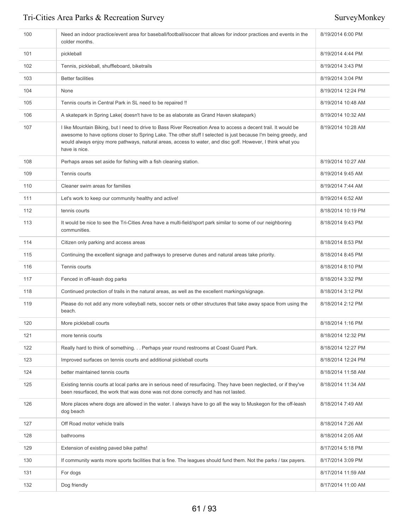| 100 | Need an indoor practice/event area for baseball/football/soccer that allows for indoor practices and events in the<br>colder months.                                                                                                                                                                                                                              | 8/19/2014 6:00 PM  |
|-----|-------------------------------------------------------------------------------------------------------------------------------------------------------------------------------------------------------------------------------------------------------------------------------------------------------------------------------------------------------------------|--------------------|
| 101 | pickleball                                                                                                                                                                                                                                                                                                                                                        | 8/19/2014 4:44 PM  |
| 102 | Tennis, pickleball, shuffleboard, biketrails                                                                                                                                                                                                                                                                                                                      | 8/19/2014 3:43 PM  |
| 103 | <b>Better facilities</b>                                                                                                                                                                                                                                                                                                                                          | 8/19/2014 3:04 PM  |
| 104 | None                                                                                                                                                                                                                                                                                                                                                              | 8/19/2014 12:24 PM |
| 105 | Tennis courts in Central Park in SL need to be repaired !!                                                                                                                                                                                                                                                                                                        | 8/19/2014 10:48 AM |
| 106 | A skatepark in Spring Lake( doesn't have to be as elaborate as Grand Haven skatepark)                                                                                                                                                                                                                                                                             | 8/19/2014 10:32 AM |
| 107 | I like Mountain Biking, but I need to drive to Bass River Recreation Area to access a decent trail. It would be<br>awesome to have options closer to Spring Lake. The other stuff I selected is just because I'm being greedy, and<br>would always enjoy more pathways, natural areas, access to water, and disc golf. However, I think what you<br>have is nice. | 8/19/2014 10:28 AM |
| 108 | Perhaps areas set aside for fishing with a fish cleaning station.                                                                                                                                                                                                                                                                                                 | 8/19/2014 10:27 AM |
| 109 | Tennis courts                                                                                                                                                                                                                                                                                                                                                     | 8/19/2014 9:45 AM  |
| 110 | Cleaner swim areas for families                                                                                                                                                                                                                                                                                                                                   | 8/19/2014 7:44 AM  |
| 111 | Let's work to keep our community healthy and active!                                                                                                                                                                                                                                                                                                              | 8/19/2014 6:52 AM  |
| 112 | tennis courts                                                                                                                                                                                                                                                                                                                                                     | 8/18/2014 10:19 PM |
| 113 | It would be nice to see the Tri-Cities Area have a multi-field/sport park similar to some of our neighboring<br>communities.                                                                                                                                                                                                                                      | 8/18/2014 9:43 PM  |
| 114 | Citizen only parking and access areas                                                                                                                                                                                                                                                                                                                             | 8/18/2014 8:53 PM  |
| 115 | Continuing the excellent signage and pathways to preserve dunes and natural areas take priority.                                                                                                                                                                                                                                                                  | 8/18/2014 8:45 PM  |
| 116 | Tennis courts                                                                                                                                                                                                                                                                                                                                                     | 8/18/2014 8:10 PM  |
| 117 | Fenced in off-leash dog parks                                                                                                                                                                                                                                                                                                                                     | 8/18/2014 3:32 PM  |
| 118 | Continued protection of trails in the natural areas, as well as the excellent markings/signage.                                                                                                                                                                                                                                                                   | 8/18/2014 3:12 PM  |
| 119 | Please do not add any more volleyball nets, soccer nets or other structures that take away space from using the<br>beach.                                                                                                                                                                                                                                         | 8/18/2014 2:12 PM  |
| 120 | More pickleball courts                                                                                                                                                                                                                                                                                                                                            | 8/18/2014 1:16 PM  |
| 121 | more tennis courts                                                                                                                                                                                                                                                                                                                                                | 8/18/2014 12:32 PM |
| 122 | Really hard to think of something. Perhaps year round restrooms at Coast Guard Park.                                                                                                                                                                                                                                                                              | 8/18/2014 12:27 PM |
| 123 | Improved surfaces on tennis courts and additional pickleball courts                                                                                                                                                                                                                                                                                               | 8/18/2014 12:24 PM |
| 124 | better maintained tennis courts                                                                                                                                                                                                                                                                                                                                   | 8/18/2014 11:58 AM |
| 125 | Existing tennis courts at local parks are in serious need of resurfacing. They have been neglected, or if they've<br>been resurfaced, the work that was done was not done correctly and has not lasted.                                                                                                                                                           | 8/18/2014 11:34 AM |
| 126 | More places where dogs are allowed in the water. I always have to go all the way to Muskegon for the off-leash<br>dog beach                                                                                                                                                                                                                                       | 8/18/2014 7:49 AM  |
| 127 | Off Road motor vehicle trails                                                                                                                                                                                                                                                                                                                                     | 8/18/2014 7:26 AM  |
| 128 | bathrooms                                                                                                                                                                                                                                                                                                                                                         | 8/18/2014 2:05 AM  |
| 129 | Extension of existing paved bike paths!                                                                                                                                                                                                                                                                                                                           | 8/17/2014 5:18 PM  |
| 130 | If community wants more sports facilities that is fine. The leagues should fund them. Not the parks / tax payers.                                                                                                                                                                                                                                                 | 8/17/2014 3:09 PM  |
| 131 | For dogs                                                                                                                                                                                                                                                                                                                                                          | 8/17/2014 11:59 AM |
| 132 | Dog friendly                                                                                                                                                                                                                                                                                                                                                      | 8/17/2014 11:00 AM |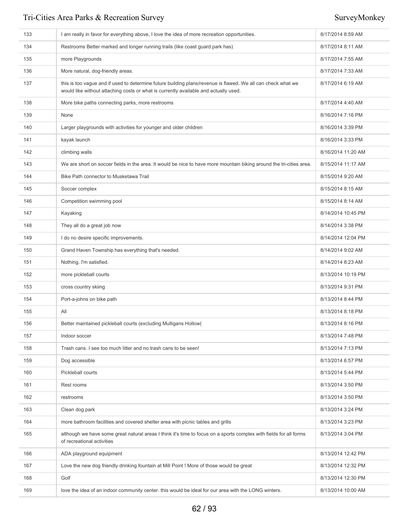| 133 | I am really in favor for everything above, I love the idea of more recreation opportunities.                                                                                                         | 8/17/2014 8:59 AM  |
|-----|------------------------------------------------------------------------------------------------------------------------------------------------------------------------------------------------------|--------------------|
| 134 | Restrooms Better marked and longer running trails (like coast quard park has)                                                                                                                        | 8/17/2014 8:11 AM  |
| 135 | more Playgrounds                                                                                                                                                                                     | 8/17/2014 7:55 AM  |
| 136 | More natural, dog-friendly areas.                                                                                                                                                                    | 8/17/2014 7:33 AM  |
| 137 | this is too vague and if used to determine future building plans/revenue is flawed. We all can check what we<br>would like without attaching costs or what is currently available and actually used. | 8/17/2014 6:19 AM  |
| 138 | More bike paths connecting parks, more restrooms                                                                                                                                                     | 8/17/2014 4:40 AM  |
| 139 | None                                                                                                                                                                                                 | 8/16/2014 7:16 PM  |
| 140 | Larger playgrounds with activities for younger and older children                                                                                                                                    | 8/16/2014 3:39 PM  |
| 141 | kayak launch                                                                                                                                                                                         | 8/16/2014 3:33 PM  |
| 142 | climbing walls                                                                                                                                                                                       | 8/16/2014 11:20 AM |
| 143 | We are short on soccer fields in the area. It would be nice to have more mountain biking around the tri-cities area.                                                                                 | 8/15/2014 11:17 AM |
| 144 | Bike Path connector to Musketawa Trail                                                                                                                                                               | 8/15/2014 9:20 AM  |
| 145 | Soccer complex                                                                                                                                                                                       | 8/15/2014 8:15 AM  |
| 146 | Competition swimming pool                                                                                                                                                                            | 8/15/2014 8:14 AM  |
| 147 | Kayaking                                                                                                                                                                                             | 8/14/2014 10:45 PM |
| 148 | They all do a great job now                                                                                                                                                                          | 8/14/2014 3:38 PM  |
| 149 | I do no desire specific improvements.                                                                                                                                                                | 8/14/2014 12:04 PM |
| 150 | Grand Haven Township has everything that's needed.                                                                                                                                                   | 8/14/2014 9:02 AM  |
| 151 | Nothing. I'm satisfied.                                                                                                                                                                              | 8/14/2014 8:23 AM  |
| 152 | more pickleball courts                                                                                                                                                                               | 8/13/2014 10:19 PM |
| 153 | cross country skiing                                                                                                                                                                                 | 8/13/2014 9:31 PM  |
| 154 | Port-a-johns on bike path                                                                                                                                                                            | 8/13/2014 8:44 PM  |
| 155 | All                                                                                                                                                                                                  | 8/13/2014 8:18 PM  |
| 156 | Better maintained pickleball courts (excluding Mulligans Hollow)                                                                                                                                     | 8/13/2014 8:16 PM  |
| 157 | Indoor soccer                                                                                                                                                                                        | 8/13/2014 7:48 PM  |
| 158 | Trash cans. I see too much litter and no trash cans to be seen!                                                                                                                                      | 8/13/2014 7:13 PM  |
| 159 | Dog accessible                                                                                                                                                                                       | 8/13/2014 6:57 PM  |
| 160 | Pickleball courts                                                                                                                                                                                    | 8/13/2014 5:44 PM  |
| 161 | Rest rooms                                                                                                                                                                                           | 8/13/2014 3:50 PM  |
| 162 | restrooms                                                                                                                                                                                            | 8/13/2014 3:50 PM  |
| 163 | Clean dog park                                                                                                                                                                                       | 8/13/2014 3:24 PM  |
| 164 | more bathroom facilities and covered shelter area with picnic tables and grills                                                                                                                      | 8/13/2014 3:23 PM  |
| 165 | although we have some great natural areas I think it's time to focus on a sports complex with fields for all forms<br>of recreational activities                                                     | 8/13/2014 3:04 PM  |
| 166 | ADA playground equipment                                                                                                                                                                             | 8/13/2014 12:42 PM |
| 167 | Love the new dog friendly drinking fountain at Mill Point ! More of those would be great                                                                                                             | 8/13/2014 12:32 PM |
| 168 | Golf                                                                                                                                                                                                 | 8/13/2014 12:30 PM |
| 169 | love the idea of an indoor community center. this would be ideal for our area with the LONG winters.                                                                                                 | 8/13/2014 10:00 AM |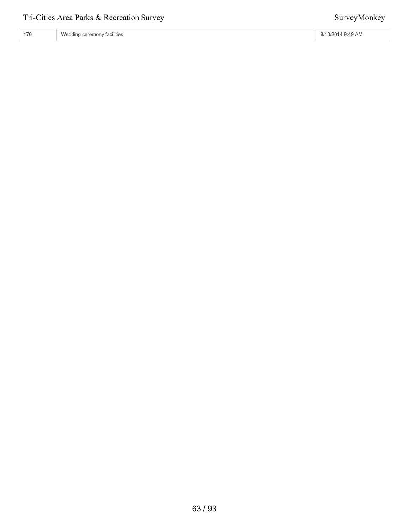| 170 | Wedding ceremony facilities | 8/13/2014 9:49 AM |
|-----|-----------------------------|-------------------|
|-----|-----------------------------|-------------------|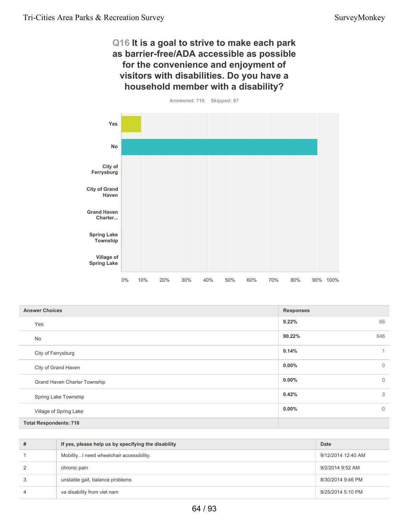# **Q16 It is a goal to strive to make each park as barrier-free/ADA accessible as possible for the convenience and enjoyment of visitors with disabilities. Do you have a household member with a disability?**



| <b>Answer Choices</b>         | <b>Responses</b>           |
|-------------------------------|----------------------------|
| Yes                           | 66<br>9.22%                |
| No                            | 646<br>90.22%              |
| City of Ferrysburg            | 0.14%<br>1                 |
| City of Grand Haven           | $0.00\%$<br>$\mathbf{0}$   |
| Grand Haven Charter Township  | $0.00\%$<br>$\mathbf{0}$   |
| Spring Lake Township          | 3<br>0.42%                 |
| Village of Spring Lake        | $\overline{0}$<br>$0.00\%$ |
| <b>Total Respondents: 716</b> |                            |

| # | If yes, please help us by specifying the disability | Date               |
|---|-----------------------------------------------------|--------------------|
|   | Mobility I need wheelchair accessibility.           | 9/12/2014 12:40 AM |
| 2 | chronic pain                                        | 9/2/2014 9:52 AM   |
| 3 | unstable gait, balance problems                     | 8/30/2014 9:46 PM  |
| 4 | va disability from viet nam                         | 8/25/2014 5:10 PM  |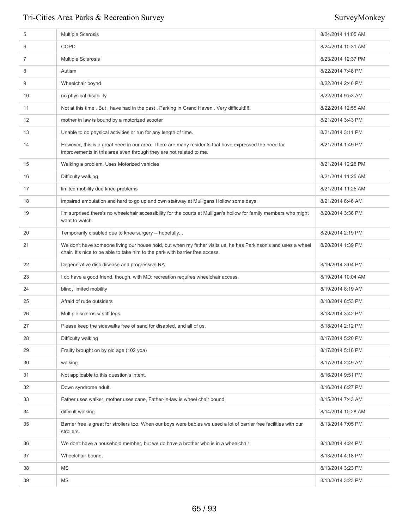| 5  | <b>Multiple Scerosis</b>                                                                                                                                                                        | 8/24/2014 11:05 AM |
|----|-------------------------------------------------------------------------------------------------------------------------------------------------------------------------------------------------|--------------------|
| 6  | <b>COPD</b>                                                                                                                                                                                     | 8/24/2014 10:31 AM |
| 7  | <b>Multiple Sclerosis</b>                                                                                                                                                                       | 8/23/2014 12:37 PM |
| 8  | Autism                                                                                                                                                                                          | 8/22/2014 7:48 PM  |
| 9  | Wheelchair boynd                                                                                                                                                                                | 8/22/2014 2:48 PM  |
| 10 | no physical disability                                                                                                                                                                          | 8/22/2014 9:53 AM  |
| 11 | Not at this time . But, have had in the past . Parking in Grand Haven . Very difficult!!!!!                                                                                                     | 8/22/2014 12:55 AM |
| 12 | mother in law is bound by a motorized scooter                                                                                                                                                   | 8/21/2014 3:43 PM  |
| 13 | Unable to do physical activities or run for any length of time.                                                                                                                                 | 8/21/2014 3:11 PM  |
| 14 | However, this is a great need in our area. There are many residents that have expressed the need for<br>improvements in this area even through they are not related to me.                      | 8/21/2014 1:49 PM  |
| 15 | Walking a problem. Uses Motorized vehicles                                                                                                                                                      | 8/21/2014 12:28 PM |
| 16 | Difficulty walking                                                                                                                                                                              | 8/21/2014 11:25 AM |
| 17 | limited mobility due knee problems                                                                                                                                                              | 8/21/2014 11:25 AM |
| 18 | impaired ambulation and hard to go up and own stairway at Mulligans Hollow some days.                                                                                                           | 8/21/2014 6:46 AM  |
| 19 | I'm surprised there's no wheelchair accessibility for the courts at Mulligan's hollow for family members who might<br>want to watch.                                                            | 8/20/2014 3:36 PM  |
| 20 | Temporarily disabled due to knee surgery -- hopefully                                                                                                                                           | 8/20/2014 2:19 PM  |
| 21 | We don't have someone living our house hold, but when my father visits us, he has Parkinson's and uses a wheel<br>chair. It's nice to be able to take him to the park with barrier free access. | 8/20/2014 1:39 PM  |
| 22 | Degenerative disc disease and progressive RA                                                                                                                                                    | 8/19/2014 3:04 PM  |
| 23 | I do have a good friend, though, with MD; recreation requires wheelchair access.                                                                                                                | 8/19/2014 10:04 AM |
| 24 | blind, limited mobility                                                                                                                                                                         | 8/19/2014 8:19 AM  |
| 25 | Afraid of rude outsiders                                                                                                                                                                        | 8/18/2014 8:53 PM  |
| 26 | Multiple sclerosis/ stiff legs                                                                                                                                                                  | 8/18/2014 3:42 PM  |
| 27 | Please keep the sidewalks free of sand for disabled, and all of us.                                                                                                                             | 8/18/2014 2:12 PM  |
| 28 | Difficulty walking                                                                                                                                                                              | 8/17/2014 5:20 PM  |
| 29 | Frailty brought on by old age (102 yoa)                                                                                                                                                         | 8/17/2014 5:18 PM  |
| 30 | walking                                                                                                                                                                                         | 8/17/2014 2:49 AM  |
| 31 | Not applicable to this question's intent.                                                                                                                                                       | 8/16/2014 9:51 PM  |
| 32 | Down syndrome adult.                                                                                                                                                                            | 8/16/2014 6:27 PM  |
| 33 | Father uses walker, mother uses cane, Father-in-law is wheel chair bound                                                                                                                        | 8/15/2014 7:43 AM  |
| 34 | difficult walking                                                                                                                                                                               | 8/14/2014 10:28 AM |
| 35 | Barrier free is great for strollers too. When our boys were babies we used a lot of barrier free facilities with our<br>strollers.                                                              | 8/13/2014 7:05 PM  |
| 36 | We don't have a household member, but we do have a brother who is in a wheelchair                                                                                                               | 8/13/2014 4:24 PM  |
| 37 | Wheelchair-bound.                                                                                                                                                                               | 8/13/2014 4:18 PM  |
| 38 | MS                                                                                                                                                                                              | 8/13/2014 3:23 PM  |
| 39 | ΜS                                                                                                                                                                                              | 8/13/2014 3:23 PM  |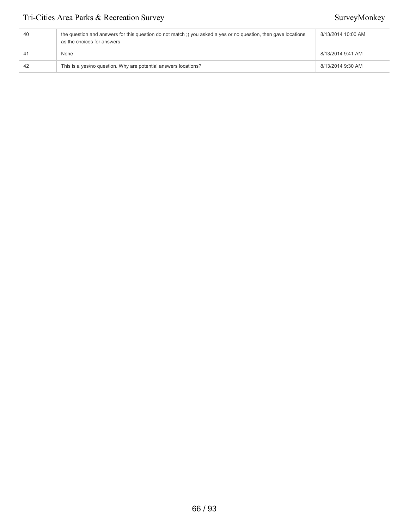| 40             | the question and answers for this question do not match;) you asked a yes or no question, then gave locations<br>as the choices for answers | 8/13/2014 10:00 AM |
|----------------|---------------------------------------------------------------------------------------------------------------------------------------------|--------------------|
| 4 <sup>1</sup> | None                                                                                                                                        | 8/13/2014 9:41 AM  |
| 42             | This is a yes/no question. Why are potential answers locations?                                                                             | 8/13/2014 9:30 AM  |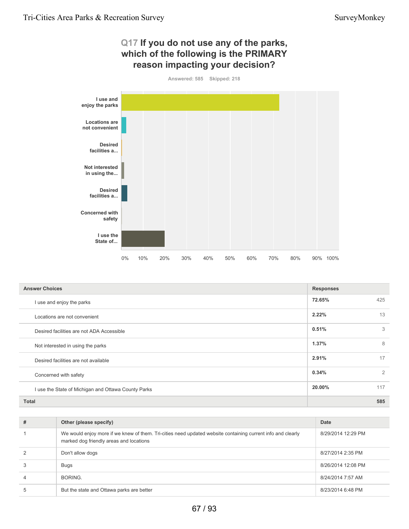# **Q17 If you do not use any of the parks, which of the following is the PRIMARY reason impacting your decision?**



| <b>Answer Choices</b>                               | <b>Responses</b> |     |
|-----------------------------------------------------|------------------|-----|
| I use and enjoy the parks                           | 72.65%           | 425 |
| Locations are not convenient                        | 2.22%            | 13  |
| Desired facilities are not ADA Accessible           | 0.51%            | 3   |
| Not interested in using the parks                   | 1.37%            | 8   |
| Desired facilities are not available                | 2.91%            | 17  |
| Concerned with safety                               | 0.34%            | 2   |
| I use the State of Michigan and Ottawa County Parks | 20.00%           | 117 |
| <b>Total</b>                                        |                  | 585 |

| # | Other (please specify)                                                                                                                                 | <b>Date</b>        |
|---|--------------------------------------------------------------------------------------------------------------------------------------------------------|--------------------|
|   | We would enjoy more if we knew of them. Tri-cities need updated website containing current info and clearly<br>marked dog friendly areas and locations | 8/29/2014 12:29 PM |
|   | Don't allow dogs                                                                                                                                       | 8/27/2014 2:35 PM  |
|   | Bugs                                                                                                                                                   | 8/26/2014 12:08 PM |
|   | BORING.                                                                                                                                                | 8/24/2014 7:57 AM  |
|   | But the state and Ottawa parks are better                                                                                                              | 8/23/2014 6:48 PM  |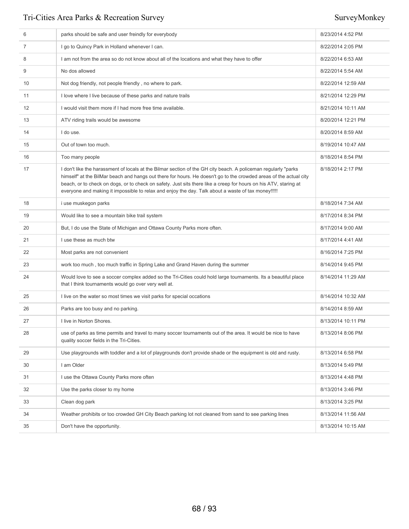| 6  | parks should be safe and user freindly for everybody                                                                                                                                                                                                                                                                                                                                                                                                          | 8/23/2014 4:52 PM  |
|----|---------------------------------------------------------------------------------------------------------------------------------------------------------------------------------------------------------------------------------------------------------------------------------------------------------------------------------------------------------------------------------------------------------------------------------------------------------------|--------------------|
| 7  | I go to Quincy Park in Holland whenever I can.                                                                                                                                                                                                                                                                                                                                                                                                                | 8/22/2014 2:05 PM  |
| 8  | I am not from the area so do not know about all of the locations and what they have to offer                                                                                                                                                                                                                                                                                                                                                                  | 8/22/2014 6:53 AM  |
| 9  | No dos allowed                                                                                                                                                                                                                                                                                                                                                                                                                                                | 8/22/2014 5:54 AM  |
| 10 | Not dog friendly, not people friendly, no where to park.                                                                                                                                                                                                                                                                                                                                                                                                      | 8/22/2014 12:59 AM |
| 11 | I love where I live because of these parks and nature trails                                                                                                                                                                                                                                                                                                                                                                                                  | 8/21/2014 12:29 PM |
| 12 | I would visit them more if I had more free time available.                                                                                                                                                                                                                                                                                                                                                                                                    | 8/21/2014 10:11 AM |
| 13 | ATV riding trails would be awesome                                                                                                                                                                                                                                                                                                                                                                                                                            | 8/20/2014 12:21 PM |
| 14 | I do use.                                                                                                                                                                                                                                                                                                                                                                                                                                                     | 8/20/2014 8:59 AM  |
| 15 | Out of town too much.                                                                                                                                                                                                                                                                                                                                                                                                                                         | 8/19/2014 10:47 AM |
| 16 | Too many people                                                                                                                                                                                                                                                                                                                                                                                                                                               | 8/18/2014 8:54 PM  |
| 17 | I don't like the harassment of locals at the Bilmar section of the GH city beach. A policeman regularly "parks<br>himself" at the BilMar beach and hangs out there for hours. He doesn't go to the crowded areas of the actual city<br>beach, or to check on dogs, or to check on safety. Just sits there like a creep for hours on his ATV, staring at<br>everyone and making it impossible to relax and enjoy the day. Talk about a waste of tax money!!!!! | 8/18/2014 2:17 PM  |
| 18 | i use muskegon parks                                                                                                                                                                                                                                                                                                                                                                                                                                          | 8/18/2014 7:34 AM  |
| 19 | Would like to see a mountain bike trail system                                                                                                                                                                                                                                                                                                                                                                                                                | 8/17/2014 8:34 PM  |
| 20 | But, I do use the State of Michigan and Ottawa County Parks more often.                                                                                                                                                                                                                                                                                                                                                                                       | 8/17/2014 9:00 AM  |
| 21 | I use these as much btw                                                                                                                                                                                                                                                                                                                                                                                                                                       | 8/17/2014 4:41 AM  |
| 22 | Most parks are not convenient                                                                                                                                                                                                                                                                                                                                                                                                                                 | 8/16/2014 7:25 PM  |
| 23 | work too much, too much traffic in Spring Lake and Grand Haven during the summer                                                                                                                                                                                                                                                                                                                                                                              | 8/14/2014 9:45 PM  |
| 24 | Would love to see a soccer complex added so the Tri-Cities could hold large tournaments. Its a beautiful place<br>that I think tournaments would go over very well at.                                                                                                                                                                                                                                                                                        | 8/14/2014 11:29 AM |
| 25 | I live on the water so most times we visit parks for special occations                                                                                                                                                                                                                                                                                                                                                                                        | 8/14/2014 10:32 AM |
| 26 | Parks are too busy and no parking.                                                                                                                                                                                                                                                                                                                                                                                                                            | 8/14/2014 8:59 AM  |
| 27 | I live in Norton Shores.                                                                                                                                                                                                                                                                                                                                                                                                                                      | 8/13/2014 10:11 PM |
| 28 | use of parks as time permits and travel to many soccer tournaments out of the area. It would be nice to have<br>quality soccer fields in the Tri-Cities.                                                                                                                                                                                                                                                                                                      | 8/13/2014 8:06 PM  |
| 29 | Use playgrounds with toddler and a lot of playgrounds don't provide shade or the equipment is old and rusty.                                                                                                                                                                                                                                                                                                                                                  | 8/13/2014 6:58 PM  |
| 30 | I am Older                                                                                                                                                                                                                                                                                                                                                                                                                                                    | 8/13/2014 5:49 PM  |
| 31 | I use the Ottawa County Parks more often                                                                                                                                                                                                                                                                                                                                                                                                                      | 8/13/2014 4:48 PM  |
| 32 | Use the parks closer to my home                                                                                                                                                                                                                                                                                                                                                                                                                               | 8/13/2014 3:46 PM  |
| 33 | Clean dog park                                                                                                                                                                                                                                                                                                                                                                                                                                                | 8/13/2014 3:25 PM  |
| 34 | Weather prohibits or too crowded GH City Beach parking lot not cleaned from sand to see parking lines                                                                                                                                                                                                                                                                                                                                                         | 8/13/2014 11:56 AM |
| 35 | Don't have the opportunity.                                                                                                                                                                                                                                                                                                                                                                                                                                   | 8/13/2014 10:15 AM |
|    |                                                                                                                                                                                                                                                                                                                                                                                                                                                               |                    |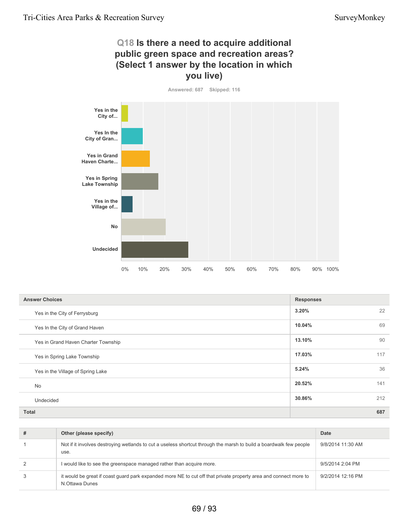# **Q18 Is there a need to acquire additional public green space and recreation areas? (Select 1 answer by the location in which you live)**



| <b>Answer Choices</b>               | <b>Responses</b> |     |
|-------------------------------------|------------------|-----|
| Yes in the City of Ferrysburg       | 3.20%            | 22  |
| Yes In the City of Grand Haven      | 10.04%           | 69  |
| Yes in Grand Haven Charter Township | 13.10%           | 90  |
| Yes in Spring Lake Township         | 17.03%           | 117 |
| Yes in the Village of Spring Lake   | 5.24%            | 36  |
| <b>No</b>                           | 20.52%           | 141 |
| Undecided                           | 30.86%           | 212 |
| <b>Total</b>                        |                  | 687 |

| # | Other (please specify)                                                                                                             | Date              |
|---|------------------------------------------------------------------------------------------------------------------------------------|-------------------|
|   | Not if it involves destroying wetlands to cut a useless shortcut through the marsh to build a boardwalk few people<br>use.         | 9/8/2014 11:30 AM |
|   | I would like to see the greenspace managed rather than acquire more.                                                               | 9/5/2014 2:04 PM  |
|   | it would be great if coast quard park expanded more NE to cut off that private property area and connect more to<br>N.Ottawa Dunes | 9/2/2014 12:16 PM |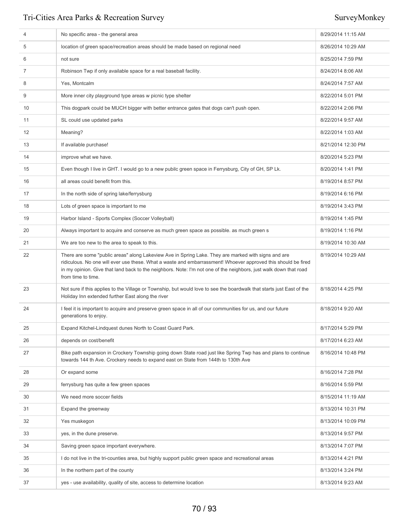| 4  | No specific area - the general area                                                                                                                                                                                                                                                                                                                             | 8/29/2014 11:15 AM |
|----|-----------------------------------------------------------------------------------------------------------------------------------------------------------------------------------------------------------------------------------------------------------------------------------------------------------------------------------------------------------------|--------------------|
| 5  | location of green space/recreation areas should be made based on regional need                                                                                                                                                                                                                                                                                  | 8/26/2014 10:29 AM |
| 6  | not sure                                                                                                                                                                                                                                                                                                                                                        | 8/25/2014 7:59 PM  |
| 7  | Robinson Twp if only available space for a real baseball facility.                                                                                                                                                                                                                                                                                              | 8/24/2014 8:06 AM  |
| 8  | Yes, Montcalm                                                                                                                                                                                                                                                                                                                                                   | 8/24/2014 7:57 AM  |
| 9  | More inner city playground type areas w picnic type shelter                                                                                                                                                                                                                                                                                                     | 8/22/2014 5:01 PM  |
| 10 | This dogpark could be MUCH bigger with better entrance gates that dogs can't push open.                                                                                                                                                                                                                                                                         | 8/22/2014 2:06 PM  |
| 11 | SL could use updated parks                                                                                                                                                                                                                                                                                                                                      | 8/22/2014 9:57 AM  |
| 12 | Meaning?                                                                                                                                                                                                                                                                                                                                                        | 8/22/2014 1:03 AM  |
| 13 | If available purchase!                                                                                                                                                                                                                                                                                                                                          | 8/21/2014 12:30 PM |
| 14 | improve what we have.                                                                                                                                                                                                                                                                                                                                           | 8/20/2014 5:23 PM  |
| 15 | Even though I live in GHT. I would go to a new pubilc green space in Ferrysburg, City of GH, SP Lk.                                                                                                                                                                                                                                                             | 8/20/2014 1:41 PM  |
| 16 | all areas could benefit from this.                                                                                                                                                                                                                                                                                                                              | 8/19/2014 8:57 PM  |
| 17 | In the north side of spring lake/ferrysburg                                                                                                                                                                                                                                                                                                                     | 8/19/2014 6:16 PM  |
| 18 | Lots of green space is important to me                                                                                                                                                                                                                                                                                                                          | 8/19/2014 3:43 PM  |
| 19 | Harbor Island - Sports Complex (Soccer Volleyball)                                                                                                                                                                                                                                                                                                              | 8/19/2014 1:45 PM  |
| 20 | Always important to acquire and conserve as much green space as possible. as much green s                                                                                                                                                                                                                                                                       | 8/19/2014 1:16 PM  |
| 21 | We are too new to the area to speak to this.                                                                                                                                                                                                                                                                                                                    | 8/19/2014 10:30 AM |
| 22 | There are some "public areas" along Lakeview Ave in Spring Lake. They are marked with signs and are<br>ridiculous. No one will ever use these. What a waste and embarrassment! Whoever approved this should be fired<br>in my opinion. Give that land back to the neighbors. Note: I'm not one of the neighbors, just walk down that road<br>from time to time. | 8/19/2014 10:29 AM |
| 23 | Not sure if this applies to the Village or Township, but would love to see the boardwalk that starts just East of the<br>Holiday Inn extended further East along the river                                                                                                                                                                                      | 8/18/2014 4:25 PM  |
| 24 | I feel it is important to acquire and preserve green space in all of our communities for us, and our future<br>generations to enjoy.                                                                                                                                                                                                                            | 8/18/2014 9:20 AM  |
| 25 | Expand Kitchel-Lindquest dunes North to Coast Guard Park.                                                                                                                                                                                                                                                                                                       | 8/17/2014 5:29 PM  |
| 26 | depends on cost/benefit                                                                                                                                                                                                                                                                                                                                         | 8/17/2014 6:23 AM  |
| 27 | Bike path expansion in Crockery Township going down State road just like Spring Twp has and plans to continue<br>towards 144 th Ave. Crockery needs to expand east on State from 144th to 130th Ave                                                                                                                                                             | 8/16/2014 10:48 PM |
| 28 | Or expand some                                                                                                                                                                                                                                                                                                                                                  | 8/16/2014 7:28 PM  |
| 29 | ferrysburg has quite a few green spaces                                                                                                                                                                                                                                                                                                                         | 8/16/2014 5:59 PM  |
| 30 | We need more soccer fields                                                                                                                                                                                                                                                                                                                                      | 8/15/2014 11:19 AM |
| 31 | Expand the greenway                                                                                                                                                                                                                                                                                                                                             | 8/13/2014 10:31 PM |
| 32 | Yes muskegon                                                                                                                                                                                                                                                                                                                                                    | 8/13/2014 10:09 PM |
| 33 | yes, in the dune preserve.                                                                                                                                                                                                                                                                                                                                      | 8/13/2014 9:57 PM  |
| 34 | Saving green space important everywhere.                                                                                                                                                                                                                                                                                                                        | 8/13/2014 7:07 PM  |
| 35 | I do not live in the tri-counties area, but highly support public green space and recreational areas                                                                                                                                                                                                                                                            | 8/13/2014 4:21 PM  |
| 36 | In the northern part of the county                                                                                                                                                                                                                                                                                                                              | 8/13/2014 3:24 PM  |
| 37 | yes - use availability, quality of site, access to determine location                                                                                                                                                                                                                                                                                           | 8/13/2014 9:23 AM  |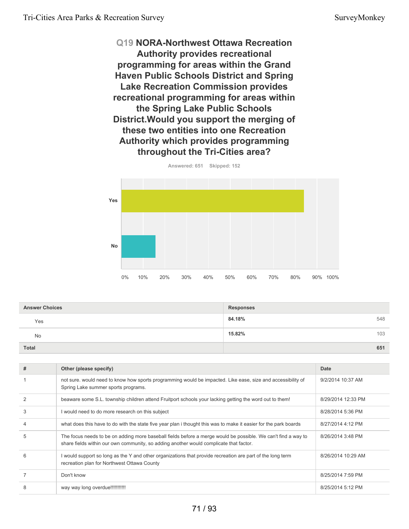**Q19 NORA-Northwest Ottawa Recreation Authority provides recreational programming for areas within the Grand Haven Public Schools District and Spring Lake Recreation Commission provides recreational programming for areas within the Spring Lake Public Schools District.Would you support the merging of these two entities into one Recreation Authority which provides programming throughout the Tri-Cities area?**



**Answered: 651 Skipped: 152**

| <b>Answer Choices</b> | <b>Responses</b> |
|-----------------------|------------------|
| Yes                   | 84.18%<br>548    |
| <b>No</b>             | 15.82%<br>103    |
| <b>Total</b>          | 651              |

| # | Other (please specify)                                                                                                                                                                                  | Date               |
|---|---------------------------------------------------------------------------------------------------------------------------------------------------------------------------------------------------------|--------------------|
|   | not sure, would need to know how sports programming would be impacted. Like ease, size and accessibility of<br>Spring Lake summer sports programs.                                                      | 9/2/2014 10:37 AM  |
|   | beaware some S.L. township children attend Fruitport schools your lacking getting the word out to them!                                                                                                 | 8/29/2014 12:33 PM |
| 3 | I would need to do more research on this subject                                                                                                                                                        | 8/28/2014 5:36 PM  |
| 4 | what does this have to do with the state five year plan i thought this was to make it easier for the park boards                                                                                        | 8/27/2014 4:12 PM  |
| 5 | The focus needs to be on adding more baseball fields before a merge would be possible. We can't find a way to<br>share fields within our own community, so adding another would complicate that factor. | 8/26/2014 3:48 PM  |
| 6 | I would support so long as the Y and other organizations that provide recreation are part of the long term<br>recreation plan for Northwest Ottawa County                                               | 8/26/2014 10:29 AM |
|   | Don't know                                                                                                                                                                                              | 8/25/2014 7:59 PM  |
| 8 | way way long overdue!!!!!!!!!!!!                                                                                                                                                                        | 8/25/2014 5:12 PM  |
|   |                                                                                                                                                                                                         |                    |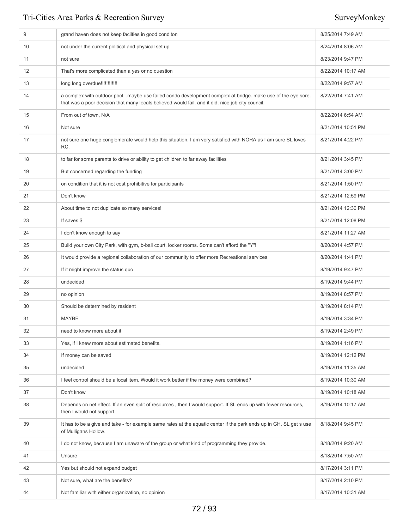| 9  | grand haven does not keep facilties in good conditon                                                                                                                                                               | 8/25/2014 7:49 AM  |
|----|--------------------------------------------------------------------------------------------------------------------------------------------------------------------------------------------------------------------|--------------------|
| 10 | not under the current political and physical set up                                                                                                                                                                | 8/24/2014 8:06 AM  |
| 11 | not sure                                                                                                                                                                                                           | 8/23/2014 9:47 PM  |
| 12 | That's more complicated than a yes or no question                                                                                                                                                                  | 8/22/2014 10:17 AM |
| 13 | long long overdue!!!!!!!!!!!!                                                                                                                                                                                      | 8/22/2014 9:57 AM  |
| 14 | a complex with outdoor pool. .maybe use failed condo development complex at bridge. make use of the eye sore.<br>that was a poor decision that many locals believed would fail, and it did, nice job city council. | 8/22/2014 7:41 AM  |
| 15 | From out of town, N/A                                                                                                                                                                                              | 8/22/2014 6:54 AM  |
| 16 | Not sure                                                                                                                                                                                                           | 8/21/2014 10:51 PM |
| 17 | not sure one huge conglomerate would help this situation. I am very satisfied with NORA as I am sure SL loves<br>RC.                                                                                               | 8/21/2014 4:22 PM  |
| 18 | to far for some parents to drive or ability to get children to far away facilities                                                                                                                                 | 8/21/2014 3:45 PM  |
| 19 | But concerned regarding the funding                                                                                                                                                                                | 8/21/2014 3:00 PM  |
| 20 | on condition that it is not cost prohibitive for participants                                                                                                                                                      | 8/21/2014 1:50 PM  |
| 21 | Don't know                                                                                                                                                                                                         | 8/21/2014 12:59 PM |
| 22 | About time to not duplicate so many services!                                                                                                                                                                      | 8/21/2014 12:30 PM |
| 23 | If saves \$                                                                                                                                                                                                        | 8/21/2014 12:08 PM |
| 24 | I don't know enough to say                                                                                                                                                                                         | 8/21/2014 11:27 AM |
| 25 | Build your own City Park, with gym, b-ball court, locker rooms. Some can't afford the "Y"!                                                                                                                         | 8/20/2014 4:57 PM  |
| 26 | It would provide a regional collaboration of our community to offer more Recreational services.                                                                                                                    | 8/20/2014 1:41 PM  |
| 27 | If it might improve the status quo                                                                                                                                                                                 | 8/19/2014 9:47 PM  |
| 28 | undecided                                                                                                                                                                                                          | 8/19/2014 9:44 PM  |
| 29 | no opinion                                                                                                                                                                                                         | 8/19/2014 8:57 PM  |
| 30 | Should be determined by resident                                                                                                                                                                                   | 8/19/2014 8:14 PM  |
| 31 | <b>MAYBE</b>                                                                                                                                                                                                       | 8/19/2014 3:34 PM  |
| 32 | need to know more about it                                                                                                                                                                                         | 8/19/2014 2:49 PM  |
| 33 | Yes, if I knew more about estimated benefits.                                                                                                                                                                      | 8/19/2014 1:16 PM  |
| 34 | If money can be saved                                                                                                                                                                                              | 8/19/2014 12:12 PM |
| 35 | undecided                                                                                                                                                                                                          | 8/19/2014 11:35 AM |
| 36 | I feel control should be a local item. Would it work better if the money were combined?                                                                                                                            | 8/19/2014 10:30 AM |
| 37 | Don't know                                                                                                                                                                                                         | 8/19/2014 10:18 AM |
| 38 | Depends on net effect. If an even split of resources, then I would support. If SL ends up with fewer resources,<br>then I would not support.                                                                       | 8/19/2014 10:17 AM |
| 39 | It has to be a give and take - for example same rates at the aquatic center if the park ends up in GH. SL get s use<br>of Mulligans Hollow.                                                                        | 8/18/2014 9:45 PM  |
| 40 | I do not know, because I am unaware of the group or what kind of programming they provide.                                                                                                                         | 8/18/2014 9:20 AM  |
| 41 | Unsure                                                                                                                                                                                                             | 8/18/2014 7:50 AM  |
| 42 | Yes but should not expand budget                                                                                                                                                                                   | 8/17/2014 3:11 PM  |
| 43 | Not sure, what are the benefits?                                                                                                                                                                                   | 8/17/2014 2:10 PM  |
| 44 | Not familiar with either organization, no opinion                                                                                                                                                                  | 8/17/2014 10:31 AM |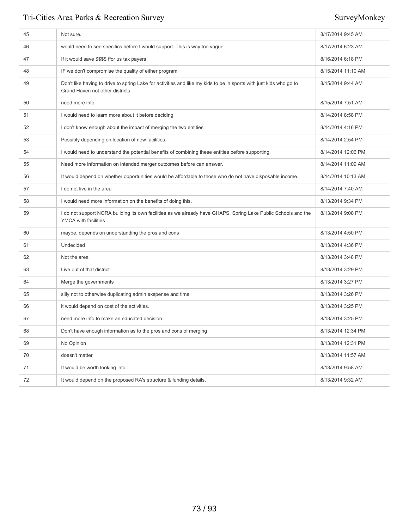| 45 | Not sure.                                                                                                                                             | 8/17/2014 9:45 AM  |
|----|-------------------------------------------------------------------------------------------------------------------------------------------------------|--------------------|
| 46 | would need to see specifics before I would support. This is way too vague                                                                             | 8/17/2014 6:23 AM  |
| 47 | If it would save \$\$\$\$ ffor us tax payers                                                                                                          | 8/16/2014 6:18 PM  |
| 48 | IF we don't compromise the quality of either program                                                                                                  | 8/15/2014 11:10 AM |
| 49 | Don't like having to drive to spring Lake for activities and like my kids to be in sports with just kids who go to<br>Grand Haven not other districts | 8/15/2014 9:44 AM  |
| 50 | need more info                                                                                                                                        | 8/15/2014 7:51 AM  |
| 51 | I would need to learn more about it before deciding                                                                                                   | 8/14/2014 8:58 PM  |
| 52 | I don't know enough about the impact of merging the two entities                                                                                      | 8/14/2014 4:16 PM  |
| 53 | Possibly depending on location of new facilities.                                                                                                     | 8/14/2014 2:54 PM  |
| 54 | I would need to understand the potential benefits of combining these entities before supporting.                                                      | 8/14/2014 12:06 PM |
| 55 | Need more information on intended merger outcomes before can answer.                                                                                  | 8/14/2014 11:09 AM |
| 56 | It would depend on whether opportunities would be affordable to those who do not have disposable income.                                              | 8/14/2014 10:13 AM |
| 57 | I do not live in the area                                                                                                                             | 8/14/2014 7:40 AM  |
| 58 | I would need more information on the benefits of doing this.                                                                                          | 8/13/2014 9:34 PM  |
| 59 | I do not support NORA building its own facilities as we already have GHAPS, Spring Lake Public Schools and the<br><b>YMCA</b> with facilities         | 8/13/2014 9:08 PM  |
| 60 | maybe, depends on understanding the pros and cons                                                                                                     | 8/13/2014 4:50 PM  |
| 61 | Undecided                                                                                                                                             | 8/13/2014 4:36 PM  |
| 62 | Not the area                                                                                                                                          | 8/13/2014 3:48 PM  |
| 63 | Live out of that district                                                                                                                             | 8/13/2014 3:29 PM  |
| 64 | Merge the governments                                                                                                                                 | 8/13/2014 3:27 PM  |
| 65 | silly not to otherwise duplicating admin exspense and time                                                                                            | 8/13/2014 3:26 PM  |
| 66 | it would depend on cost of the activities.                                                                                                            | 8/13/2014 3:25 PM  |
| 67 | need more info to make an educated decision                                                                                                           | 8/13/2014 3:25 PM  |
| 68 | Don't have enough information as to the pros and cons of merging                                                                                      | 8/13/2014 12:34 PM |
| 69 | No Opinion                                                                                                                                            | 8/13/2014 12:31 PM |
| 70 | doesn't matter                                                                                                                                        | 8/13/2014 11:57 AM |
|    | It would be worth looking into                                                                                                                        | 8/13/2014 9:58 AM  |
| 71 |                                                                                                                                                       |                    |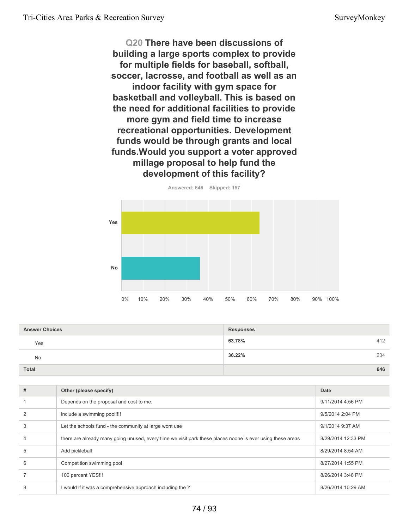**Q20 There have been discussions of building a large sports complex to provide for multiple fields for baseball, softball, soccer, lacrosse, and football as well as an indoor facility with gym space for basketball and volleyball. This is based on the need for additional facilities to provide more gym and field time to increase recreational opportunities. Development funds would be through grants and local funds.Would you support a voter approved millage proposal to help fund the development of this facility?**



**63.78%** 412 **36.22%** 234 **Total 646 Answer Choices Responses** Yes No

| # | Other (please specify)                                                                                     | Date               |
|---|------------------------------------------------------------------------------------------------------------|--------------------|
|   | Depends on the proposal and cost to me.                                                                    | 9/11/2014 4:56 PM  |
|   | include a swimming pool!!!!                                                                                | 9/5/2014 2:04 PM   |
| 3 | Let the schools fund - the community at large wont use                                                     | 9/1/2014 9:37 AM   |
| 4 | there are already many going unused, every time we visit park these places noone is ever using these areas | 8/29/2014 12:33 PM |
| 5 | Add pickleball                                                                                             | 8/29/2014 8:54 AM  |
| 6 | Competition swimming pool                                                                                  | 8/27/2014 1:55 PM  |
|   | 100 percent YES!!!                                                                                         | 8/26/2014 3:48 PM  |
| 8 | would if it was a comprehensive approach including the Y                                                   | 8/26/2014 10:29 AM |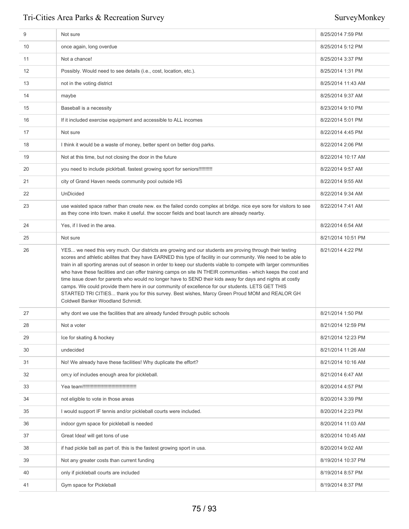| 9  | Not sure                                                                                                                                                                                                                                                                                                                                                                                                                                                                                                                                                                                                                                                                                                                                                                                                                      | 8/25/2014 7:59 PM  |
|----|-------------------------------------------------------------------------------------------------------------------------------------------------------------------------------------------------------------------------------------------------------------------------------------------------------------------------------------------------------------------------------------------------------------------------------------------------------------------------------------------------------------------------------------------------------------------------------------------------------------------------------------------------------------------------------------------------------------------------------------------------------------------------------------------------------------------------------|--------------------|
| 10 | once again, long overdue                                                                                                                                                                                                                                                                                                                                                                                                                                                                                                                                                                                                                                                                                                                                                                                                      | 8/25/2014 5:12 PM  |
| 11 | Not a chance!                                                                                                                                                                                                                                                                                                                                                                                                                                                                                                                                                                                                                                                                                                                                                                                                                 | 8/25/2014 3:37 PM  |
| 12 | Possibly. Would need to see details (i.e., cost, location, etc.).                                                                                                                                                                                                                                                                                                                                                                                                                                                                                                                                                                                                                                                                                                                                                             | 8/25/2014 1:31 PM  |
| 13 | not in the voting district                                                                                                                                                                                                                                                                                                                                                                                                                                                                                                                                                                                                                                                                                                                                                                                                    | 8/25/2014 11:43 AM |
| 14 | maybe                                                                                                                                                                                                                                                                                                                                                                                                                                                                                                                                                                                                                                                                                                                                                                                                                         | 8/25/2014 9:37 AM  |
| 15 | Baseball is a necessity                                                                                                                                                                                                                                                                                                                                                                                                                                                                                                                                                                                                                                                                                                                                                                                                       | 8/23/2014 9:10 PM  |
| 16 | If it included exercise equipment and accessible to ALL incomes                                                                                                                                                                                                                                                                                                                                                                                                                                                                                                                                                                                                                                                                                                                                                               | 8/22/2014 5:01 PM  |
| 17 | Not sure                                                                                                                                                                                                                                                                                                                                                                                                                                                                                                                                                                                                                                                                                                                                                                                                                      | 8/22/2014 4:45 PM  |
| 18 | I think it would be a waste of money, better spent on better dog parks.                                                                                                                                                                                                                                                                                                                                                                                                                                                                                                                                                                                                                                                                                                                                                       | 8/22/2014 2:06 PM  |
| 19 | Not at this time, but not closing the door in the future                                                                                                                                                                                                                                                                                                                                                                                                                                                                                                                                                                                                                                                                                                                                                                      | 8/22/2014 10:17 AM |
| 20 | you need to include picklrball. fastest growing sport for seniors!!!!!!!!!!!                                                                                                                                                                                                                                                                                                                                                                                                                                                                                                                                                                                                                                                                                                                                                  | 8/22/2014 9:57 AM  |
| 21 | city of Grand Haven needs community pool outside HS                                                                                                                                                                                                                                                                                                                                                                                                                                                                                                                                                                                                                                                                                                                                                                           | 8/22/2014 9:55 AM  |
| 22 | UnDicided                                                                                                                                                                                                                                                                                                                                                                                                                                                                                                                                                                                                                                                                                                                                                                                                                     | 8/22/2014 9:34 AM  |
| 23 | use waisted space rather than create new. ex the failed condo complex at bridge, nice eye sore for visitors to see<br>as they cone into town. make it useful. thw soccer fields and boat launch are already nearby.                                                                                                                                                                                                                                                                                                                                                                                                                                                                                                                                                                                                           | 8/22/2014 7:41 AM  |
| 24 | Yes, if I lived in the area.                                                                                                                                                                                                                                                                                                                                                                                                                                                                                                                                                                                                                                                                                                                                                                                                  | 8/22/2014 6:54 AM  |
| 25 | Not sure                                                                                                                                                                                                                                                                                                                                                                                                                                                                                                                                                                                                                                                                                                                                                                                                                      | 8/21/2014 10:51 PM |
| 26 | YES we need this very much. Our districts are growing and our students are proving through their testing<br>scores and athletic abilites that they have EARNED this type of facility in our community. We need to be able to<br>train in all sporting arenas out of season in order to keep our students viable to compete with larger communities<br>who have these facilities and can offer training camps on site IN THEIR communities - which keeps the cost and<br>time issue down for parents who would no longer have to SEND their kids away for days and nights at costly<br>camps. We could provide them here in our community of excellence for our students. LETS GET THIS<br>STARTED TRI CITIES thank you for this survey. Best wishes, Marcy Green Proud MOM and REALOR GH<br>Coldwell Banker Woodland Schmidt. | 8/21/2014 4:22 PM  |
| 27 | why dont we use the facilities that are already funded through public schools                                                                                                                                                                                                                                                                                                                                                                                                                                                                                                                                                                                                                                                                                                                                                 | 8/21/2014 1:50 PM  |
| 28 | Not a voter                                                                                                                                                                                                                                                                                                                                                                                                                                                                                                                                                                                                                                                                                                                                                                                                                   | 8/21/2014 12:59 PM |
| 29 | Ice for skating & hockey                                                                                                                                                                                                                                                                                                                                                                                                                                                                                                                                                                                                                                                                                                                                                                                                      | 8/21/2014 12:23 PM |
| 30 | undecided                                                                                                                                                                                                                                                                                                                                                                                                                                                                                                                                                                                                                                                                                                                                                                                                                     | 8/21/2014 11:26 AM |
| 31 | No! We already have these facilities! Why duplicate the effort?                                                                                                                                                                                                                                                                                                                                                                                                                                                                                                                                                                                                                                                                                                                                                               | 8/21/2014 10:16 AM |
| 32 | om; y iof includes enough area for pickleball.                                                                                                                                                                                                                                                                                                                                                                                                                                                                                                                                                                                                                                                                                                                                                                                | 8/21/2014 6:47 AM  |
| 33 |                                                                                                                                                                                                                                                                                                                                                                                                                                                                                                                                                                                                                                                                                                                                                                                                                               | 8/20/2014 4:57 PM  |
| 34 | not eligible to vote in those areas                                                                                                                                                                                                                                                                                                                                                                                                                                                                                                                                                                                                                                                                                                                                                                                           | 8/20/2014 3:39 PM  |
| 35 | I would support IF tennis and/or pickleball courts were included.                                                                                                                                                                                                                                                                                                                                                                                                                                                                                                                                                                                                                                                                                                                                                             | 8/20/2014 2:23 PM  |
| 36 | indoor gym space for pickleball is needed                                                                                                                                                                                                                                                                                                                                                                                                                                                                                                                                                                                                                                                                                                                                                                                     | 8/20/2014 11:03 AM |
| 37 | Great Idea! will get tons of use                                                                                                                                                                                                                                                                                                                                                                                                                                                                                                                                                                                                                                                                                                                                                                                              | 8/20/2014 10:45 AM |
| 38 | if had pickle ball as part of. this is the fastest growing sport in usa.                                                                                                                                                                                                                                                                                                                                                                                                                                                                                                                                                                                                                                                                                                                                                      | 8/20/2014 9:02 AM  |
| 39 | Not any greater costs than current funding                                                                                                                                                                                                                                                                                                                                                                                                                                                                                                                                                                                                                                                                                                                                                                                    | 8/19/2014 10:37 PM |
| 40 | only if pickleball courts are included                                                                                                                                                                                                                                                                                                                                                                                                                                                                                                                                                                                                                                                                                                                                                                                        | 8/19/2014 8:57 PM  |
| 41 | Gym space for Pickleball                                                                                                                                                                                                                                                                                                                                                                                                                                                                                                                                                                                                                                                                                                                                                                                                      | 8/19/2014 8:37 PM  |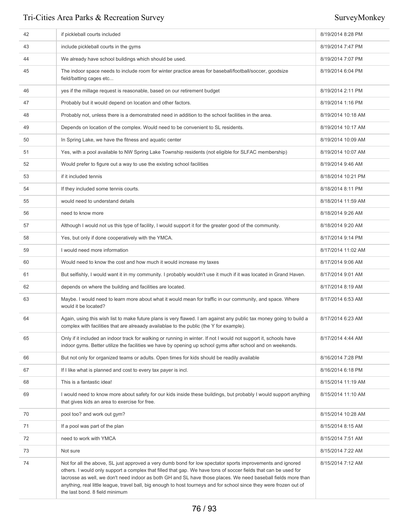| 42 | if pickleball courts included                                                                                                                                                                                                                                                                                                                                                                                                                                                                           | 8/19/2014 8:28 PM  |
|----|---------------------------------------------------------------------------------------------------------------------------------------------------------------------------------------------------------------------------------------------------------------------------------------------------------------------------------------------------------------------------------------------------------------------------------------------------------------------------------------------------------|--------------------|
| 43 | include pickleball courts in the gyms                                                                                                                                                                                                                                                                                                                                                                                                                                                                   | 8/19/2014 7:47 PM  |
| 44 | We already have school buildings which should be used.                                                                                                                                                                                                                                                                                                                                                                                                                                                  | 8/19/2014 7:07 PM  |
| 45 | The indoor space needs to include room for winter practice areas for baseball/football/soccer, goodsize<br>field/batting cages etc                                                                                                                                                                                                                                                                                                                                                                      | 8/19/2014 6:04 PM  |
| 46 | yes if the millage request is reasonable, based on our retirement budget                                                                                                                                                                                                                                                                                                                                                                                                                                | 8/19/2014 2:11 PM  |
| 47 | Probably but it would depend on location and other factors.                                                                                                                                                                                                                                                                                                                                                                                                                                             | 8/19/2014 1:16 PM  |
| 48 | Probably not, unless there is a demonstrated need in addition to the school facilities in the area.                                                                                                                                                                                                                                                                                                                                                                                                     | 8/19/2014 10:18 AM |
| 49 | Depends on location of the complex. Would need to be convenient to SL residents.                                                                                                                                                                                                                                                                                                                                                                                                                        | 8/19/2014 10:17 AM |
| 50 | In Spring Lake, we have the fitness and aquatic center                                                                                                                                                                                                                                                                                                                                                                                                                                                  | 8/19/2014 10:09 AM |
| 51 | Yes, with a pool available to NW Spring Lake Township residents (not eligible for SLFAC membership)                                                                                                                                                                                                                                                                                                                                                                                                     | 8/19/2014 10:07 AM |
| 52 | Would prefer to figure out a way to use the existing school facilities                                                                                                                                                                                                                                                                                                                                                                                                                                  | 8/19/2014 9:46 AM  |
| 53 | if it included tennis                                                                                                                                                                                                                                                                                                                                                                                                                                                                                   | 8/18/2014 10:21 PM |
| 54 | If they included some tennis courts.                                                                                                                                                                                                                                                                                                                                                                                                                                                                    | 8/18/2014 8:11 PM  |
| 55 | would need to understand details                                                                                                                                                                                                                                                                                                                                                                                                                                                                        | 8/18/2014 11:59 AM |
| 56 | need to know more                                                                                                                                                                                                                                                                                                                                                                                                                                                                                       | 8/18/2014 9:26 AM  |
| 57 | Although I would not us this type of facility, I would support it for the greater good of the community.                                                                                                                                                                                                                                                                                                                                                                                                | 8/18/2014 9:20 AM  |
| 58 | Yes, but only if done cooperatively with the YMCA.                                                                                                                                                                                                                                                                                                                                                                                                                                                      | 8/17/2014 9:14 PM  |
| 59 | I would need more information                                                                                                                                                                                                                                                                                                                                                                                                                                                                           | 8/17/2014 11:02 AM |
| 60 | Would need to know the cost and how much it would increase my taxes                                                                                                                                                                                                                                                                                                                                                                                                                                     | 8/17/2014 9:06 AM  |
| 61 | But selfishly, I would want it in my community. I probably wouldn't use it much if it was located in Grand Haven.                                                                                                                                                                                                                                                                                                                                                                                       | 8/17/2014 9:01 AM  |
| 62 | depends on where the building and facilities are located.                                                                                                                                                                                                                                                                                                                                                                                                                                               | 8/17/2014 8:19 AM  |
| 63 | Maybe. I would need to learn more about what it would mean for traffic in our community, and space. Where<br>would it be located?                                                                                                                                                                                                                                                                                                                                                                       | 8/17/2014 6:53 AM  |
| 64 | Again, using this wish list to make future plans is very flawed. I am against any public tax money going to build a<br>complex with facilities that are alreaady availablae to the public (the Y for example).                                                                                                                                                                                                                                                                                          | 8/17/2014 6:23 AM  |
| 65 | Only if it included an indoor track for walking or running in winter. If not I would not support it, schools have<br>indoor gyms. Better utilize the facilities we have by opening up school gyms after school and on weekends.                                                                                                                                                                                                                                                                         | 8/17/2014 4:44 AM  |
| 66 | But not only for organized teams or adults. Open times for kids should be readily available                                                                                                                                                                                                                                                                                                                                                                                                             | 8/16/2014 7:28 PM  |
| 67 | If I like what is planned and cost to every tax payer is incl.                                                                                                                                                                                                                                                                                                                                                                                                                                          | 8/16/2014 6:18 PM  |
| 68 | This is a fantastic idea!                                                                                                                                                                                                                                                                                                                                                                                                                                                                               | 8/15/2014 11:19 AM |
| 69 | I would need to know more about safety for our kids inside these buildings, but probably I would support anything<br>that gives kids an area to exercise for free.                                                                                                                                                                                                                                                                                                                                      | 8/15/2014 11:10 AM |
| 70 | pool too? and work out gym?                                                                                                                                                                                                                                                                                                                                                                                                                                                                             | 8/15/2014 10:28 AM |
| 71 | If a pool was part of the plan                                                                                                                                                                                                                                                                                                                                                                                                                                                                          | 8/15/2014 8:15 AM  |
| 72 | need to work with YMCA                                                                                                                                                                                                                                                                                                                                                                                                                                                                                  | 8/15/2014 7:51 AM  |
| 73 | Not sure                                                                                                                                                                                                                                                                                                                                                                                                                                                                                                | 8/15/2014 7:22 AM  |
| 74 | Not for all the above, SL just approved a very dumb bond for low spectator sports improvements and ignored<br>others. I would only support a complex that filled that gap. We have tons of soccer fields that can be used for<br>lacrosse as well, we don't need indoor as both GH and SL have those places. We need baseball fields more than<br>anything, real little league, travel ball, big enough to host tourneys and for school since they were frozen out of<br>the last bond. 8 field minimum | 8/15/2014 7:12 AM  |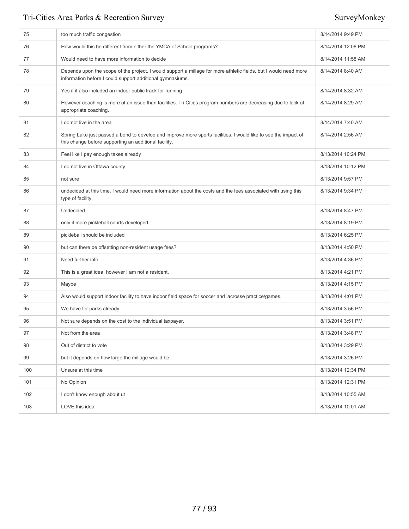| 75  | too much traffic congestion                                                                                                                                                   | 8/14/2014 9:49 PM  |
|-----|-------------------------------------------------------------------------------------------------------------------------------------------------------------------------------|--------------------|
| 76  | How would this be different from either the YMCA of School programs?                                                                                                          | 8/14/2014 12:06 PM |
| 77  | Would need to have more information to decide                                                                                                                                 | 8/14/2014 11:58 AM |
| 78  | Depends upon the scope of the project. I would support a millage for more athletic fields, but I would need more<br>information before I could support additional gymnasiums. | 8/14/2014 8:40 AM  |
| 79  | Yes if it also included an indoor public track for running                                                                                                                    | 8/14/2014 8:32 AM  |
| 80  | However coaching is more of an issue than facilities. Tri Cities program numbers are decreasing due to lack of<br>appropriate coaching.                                       | 8/14/2014 8:29 AM  |
| 81  | I do not live in the area                                                                                                                                                     | 8/14/2014 7:40 AM  |
| 82  | Spring Lake just passed a bond to develop and improve more sports facilities. I would like to see the impact of<br>this change before supporting an additional facility.      | 8/14/2014 2:56 AM  |
| 83  | Feel like I pay enough taxes already                                                                                                                                          | 8/13/2014 10:24 PM |
| 84  | I do not live in Ottawa county                                                                                                                                                | 8/13/2014 10:12 PM |
| 85  | not sure                                                                                                                                                                      | 8/13/2014 9:57 PM  |
| 86  | undecided at this time. I would need more information about the costs and the fees associated with using this<br>type of facility.                                            | 8/13/2014 9:34 PM  |
| 87  | Undecided                                                                                                                                                                     | 8/13/2014 8:47 PM  |
| 88  | only if more pickleball courts developed                                                                                                                                      | 8/13/2014 8:19 PM  |
| 89  | pickleball should be included                                                                                                                                                 | 8/13/2014 6:25 PM  |
| 90  | but can there be offsetting non-resident usage fees?                                                                                                                          | 8/13/2014 4:50 PM  |
| 91  | Need further info                                                                                                                                                             | 8/13/2014 4:36 PM  |
| 92  | This is a great idea, however I am not a resident.                                                                                                                            | 8/13/2014 4:21 PM  |
| 93  | Maybe                                                                                                                                                                         | 8/13/2014 4:15 PM  |
| 94  | Also would support indoor facility to have indoor field space for soccer and lacrosse practice/games.                                                                         | 8/13/2014 4:01 PM  |
| 95  | We have for parks already                                                                                                                                                     | 8/13/2014 3:56 PM  |
| 96  | Not sure depends on the cost to the individual taxpayer.                                                                                                                      | 8/13/2014 3:51 PM  |
| 97  | Not from the area                                                                                                                                                             | 8/13/2014 3:48 PM  |
| 98  | Out of district to vote                                                                                                                                                       | 8/13/2014 3:29 PM  |
| 99  | but it depends on how large the millage would be                                                                                                                              | 8/13/2014 3:26 PM  |
| 100 | Unsure at this time                                                                                                                                                           | 8/13/2014 12:34 PM |
| 101 | No Opinion                                                                                                                                                                    | 8/13/2014 12:31 PM |
| 102 | I don't know enough about ut                                                                                                                                                  | 8/13/2014 10:55 AM |
| 103 | LOVE this idea                                                                                                                                                                | 8/13/2014 10:01 AM |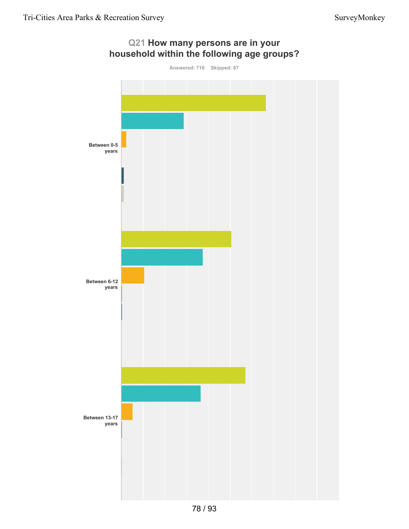

**Q21 How many persons are in your**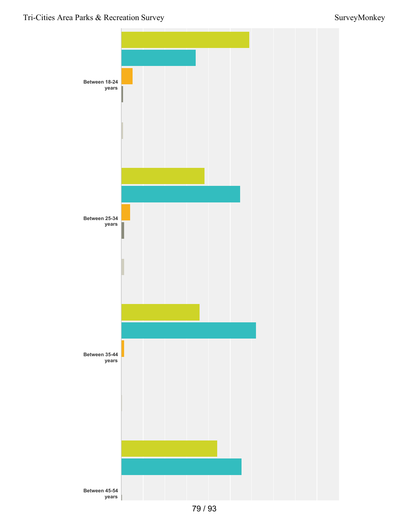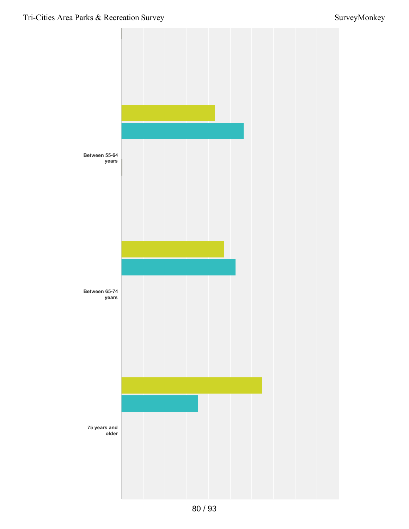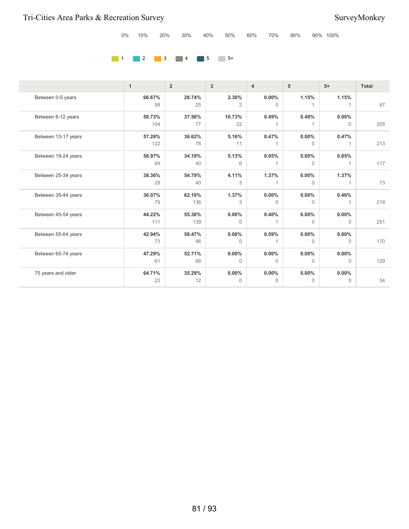|  |  |  |  |  |  | 0% 10% 20% 30% 40% 50% 60% 70% 80% 90% 100% |  |  |  |  |
|--|--|--|--|--|--|---------------------------------------------|--|--|--|--|
|--|--|--|--|--|--|---------------------------------------------|--|--|--|--|

### **1** 2 3 4 5 5 5 5

|                     | $\mathbf{1}$  | $\overline{2}$ | 3                       | $\overline{4}$           | 5                        | $5+$                  | <b>Total</b> |
|---------------------|---------------|----------------|-------------------------|--------------------------|--------------------------|-----------------------|--------------|
| Between 0-5 years   | 66.67%<br>58  | 28.74%<br>25   | 2.30%<br>$\overline{2}$ | $0.00\%$<br>$\mathbf{0}$ | 1.15%<br>1               | 1.15%                 | 87           |
| Between 6-12 years  | 50.73%<br>104 | 37.56%<br>77   | 10.73%<br>22            | 0.49%                    | 0.49%                    | $0.00\%$<br>$\Omega$  | 205          |
| Between 13-17 years | 57.28%<br>122 | 36.62%<br>78   | 5.16%<br>11             | 0.47%<br>1.              | $0.00\%$<br>$\Omega$     | 0.47%                 | 213          |
| Between 18-24 years | 58.97%<br>69  | 34.19%<br>40   | 5.13%<br>6              | 0.85%                    | $0.00\%$<br>$\Omega$     | 0.85%                 | 117          |
| Between 25-34 years | 38.36%<br>28  | 54.79%<br>40   | 4.11%<br>3              | 1.37%<br>$\mathbf{1}$    | $0.00\%$<br>$\Omega$     | 1.37%<br>1            | 73           |
| Between 35-44 years | 36.07%<br>79  | 62.10%<br>136  | 1.37%<br>3              | $0.00\%$<br>$\Omega$     | $0.00\%$<br>$\mathbf 0$  | 0.46%                 | 219          |
| Between 45-54 years | 44.22%<br>111 | 55.38%<br>139  | $0.00\%$<br>$\Omega$    | 0.40%<br>$\mathbf{1}$    | $0.00\%$<br>$\Omega$     | 0.00%<br>$\Omega$     | 251          |
| Between 55-64 years | 42.94%<br>73  | 56.47%<br>96   | 0.00%<br>$\Omega$       | 0.59%<br>1               | $0.00\%$<br>$\mathbf{0}$ | 0.00%<br>0            | 170          |
| Between 65-74 years | 47.29%<br>61  | 52.71%<br>68   | 0.00%<br>$\Omega$       | $0.00\%$<br>$\Omega$     | $0.00\%$<br>$\Omega$     | 0.00%<br>$\Omega$     | 129          |
| 75 years and older  | 64.71%<br>22  | 35.29%<br>12   | 0.00%<br>$\mathbf{0}$   | $0.00\%$<br>$\Omega$     | $0.00\%$<br>0            | 0.00%<br>$\mathbf{0}$ | 34           |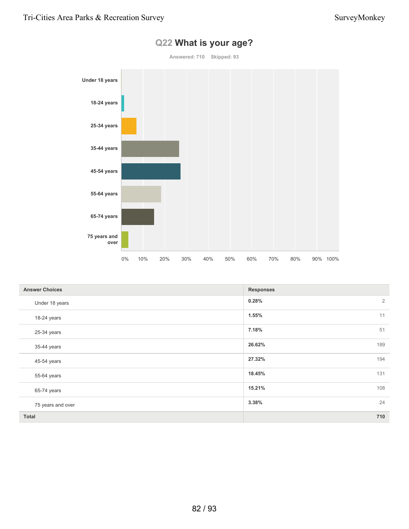

### **Q22 What is your age?**

| <b>Answer Choices</b> | <b>Responses</b>        |
|-----------------------|-------------------------|
| Under 18 years        | $\overline{2}$<br>0.28% |
| 18-24 years           | 11<br>1.55%             |
| 25-34 years           | 51<br>7.18%             |
| 35-44 years           | 26.62%<br>189           |
| 45-54 years           | 194<br>27.32%           |
| 55-64 years           | 18.45%<br>131           |
| 65-74 years           | 15.21%<br>108           |
| 75 years and over     | 24<br>3.38%             |
| Total                 | 710                     |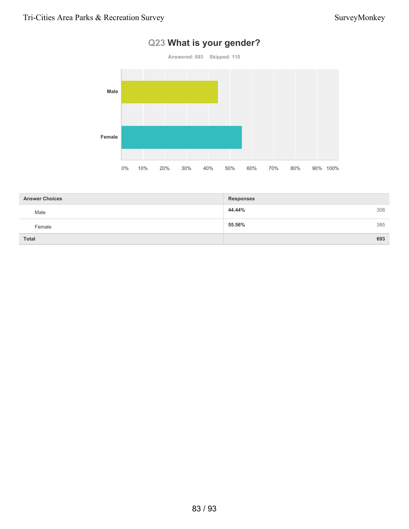# **Answered: 693 Skipped: 110 Male Female** 0% 10% 20% 30% 40% 50% 60% 70% 80% 90% 100%

|  | Q23 What is your gender? |
|--|--------------------------|
|  |                          |

| <b>Answer Choices</b> | <b>Responses</b> |     |
|-----------------------|------------------|-----|
| Male                  | 44.44%           | 308 |
| Female                | 55.56%           | 385 |
| <b>Total</b>          |                  | 693 |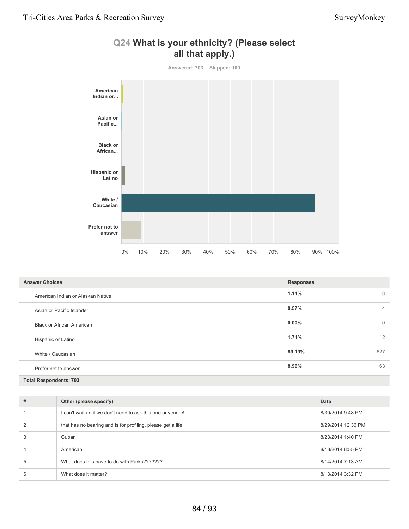

| <b>Answer Choices</b>             | <b>Responses</b>           |  |
|-----------------------------------|----------------------------|--|
| American Indian or Alaskan Native | 1.14%<br>8                 |  |
| Asian or Pacific Islander         | 0.57%<br>$\overline{4}$    |  |
| <b>Black or African American</b>  | $0.00\%$<br>$\overline{0}$ |  |
| Hispanic or Latino                | 12<br>1.71%                |  |
| White / Caucasian                 | 89.19%<br>627              |  |
| Prefer not to answer              | 63<br>8.96%                |  |
| <b>Total Respondents: 703</b>     |                            |  |

| #              | Other (please specify)                                       | Date               |
|----------------|--------------------------------------------------------------|--------------------|
|                | I can't wait until we don't need to ask this one any more!   | 8/30/2014 9:48 PM  |
| 2              | that has no bearing and is for profiling, please get a life! | 8/29/2014 12:36 PM |
| 3              | Cuban                                                        | 8/23/2014 1:40 PM  |
| $\overline{4}$ | American                                                     | 8/18/2014 8:55 PM  |
| 5              | What does this have to do with Parks???????                  | 8/14/2014 7:13 AM  |
| 6              | What does it matter?                                         | 8/13/2014 3:32 PM  |

### **Q24 What is your ethnicity? (Please select all that apply.)**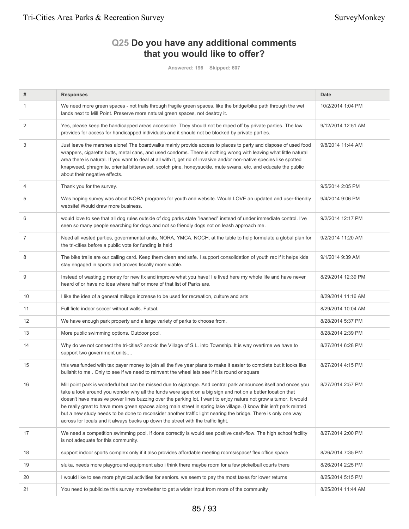### **Q25 Do you have any additional comments that you would like to offer?**

**Answered: 196 Skipped: 607**

| #  | <b>Responses</b>                                                                                                                                                                                                                                                                                                                                                                                                                                                                                                                                                                                                                                                               | <b>Date</b>        |
|----|--------------------------------------------------------------------------------------------------------------------------------------------------------------------------------------------------------------------------------------------------------------------------------------------------------------------------------------------------------------------------------------------------------------------------------------------------------------------------------------------------------------------------------------------------------------------------------------------------------------------------------------------------------------------------------|--------------------|
| 1  | We need more green spaces - not trails through fragile green spaces, like the bridge/bike path through the wet<br>lands next to Mill Point. Preserve more natural green spaces, not destroy it.                                                                                                                                                                                                                                                                                                                                                                                                                                                                                | 10/2/2014 1:04 PM  |
| 2  | Yes, please keep the handicapped areas accessible. They should not be roped off by private parties. The law<br>provides for access for handicapped individuals and it should not be blocked by private parties.                                                                                                                                                                                                                                                                                                                                                                                                                                                                | 9/12/2014 12:51 AM |
| 3  | Just leave the marshes alone! The boardwalks mainly provide access to places to party and dispose of used food<br>wrappers, cigarette butts, metal cans, and used condoms. There is nothing wrong with leaving what little natural<br>area there is natural. If you want to deal at all with it, get rid of invasive and/or non-native species like spotted<br>knapweed, phragmite, oriental bittersweet, scotch pine, honeysuckle, mute swans, etc. and educate the public<br>about their negative effects.                                                                                                                                                                   | 9/8/2014 11:44 AM  |
| 4  | Thank you for the survey.                                                                                                                                                                                                                                                                                                                                                                                                                                                                                                                                                                                                                                                      | 9/5/2014 2:05 PM   |
| 5  | Was hoping survey was about NORA programs for youth and website. Would LOVE an updated and user-friendly<br>website! Would draw more business.                                                                                                                                                                                                                                                                                                                                                                                                                                                                                                                                 | 9/4/2014 9:06 PM   |
| 6  | would love to see that all dog rules outside of dog parks state "leashed" instead of under immediate control. I've<br>seen so many people searching for dogs and not so friendly dogs not on leash approach me.                                                                                                                                                                                                                                                                                                                                                                                                                                                                | 9/2/2014 12:17 PM  |
| 7  | Need all vested parties, governmental units, NORA, YMCA, NOCH, at the table to help formulate a global plan for<br>the tri-cities before a public vote for funding is held                                                                                                                                                                                                                                                                                                                                                                                                                                                                                                     | 9/2/2014 11:20 AM  |
| 8  | The bike trails are our calling card. Keep them clean and safe. I support consolidation of youth rec if it helps kids<br>stay engaged in sports and proves fiscally more viable.                                                                                                                                                                                                                                                                                                                                                                                                                                                                                               | 9/1/2014 9:39 AM   |
| 9  | Instead of wasting.g money for new fix and improve what you have! I e lived here my whole life and have never<br>heard of or have no idea where half or more of that list of Parks are.                                                                                                                                                                                                                                                                                                                                                                                                                                                                                        | 8/29/2014 12:39 PM |
| 10 | I like the idea of a general millage increase to be used for recreation, culture and arts                                                                                                                                                                                                                                                                                                                                                                                                                                                                                                                                                                                      | 8/29/2014 11:16 AM |
| 11 | Full field indoor soccer without walls. Futsal.                                                                                                                                                                                                                                                                                                                                                                                                                                                                                                                                                                                                                                | 8/29/2014 10:04 AM |
| 12 | We have enough park property and a large variety of parks to choose from.                                                                                                                                                                                                                                                                                                                                                                                                                                                                                                                                                                                                      | 8/28/2014 5:37 PM  |
| 13 | More public swimming options. Outdoor pool.                                                                                                                                                                                                                                                                                                                                                                                                                                                                                                                                                                                                                                    | 8/28/2014 2:39 PM  |
| 14 | Why do we not connect the tri-cities? anoxic the Village of S.L. into Township. It is way overtime we have to<br>support two government units                                                                                                                                                                                                                                                                                                                                                                                                                                                                                                                                  | 8/27/2014 6:28 PM  |
| 15 | this was funded with tax payer money to join all the five year plans to make it easier to complete but it looks like<br>bullshit to me. Only to see if we need to reinvent the wheel lets see if it is round or square                                                                                                                                                                                                                                                                                                                                                                                                                                                         | 8/27/2014 4:15 PM  |
| 16 | Mill point park is wonderful but can be missed due to signange. And central park announces itself and onces you<br>take a look around you wonder why all the funds were spent on a big sign and not on a better location that<br>doesn't have massive power lines buzzing over the parking lot. I want to enjoy nature not grow a tumor. It would<br>be really great to have more green spaces along main street in spring lake village. (I know this isn't park related<br>but a new study needs to be done to reconsider another traffic light nearing the bridge. There is only one way<br>across for locals and it always backs up down the street with the traffic light. | 8/27/2014 2:57 PM  |
| 17 | We need a competition swimming pool. If done correctly is would see positive cash-flow. The high school facility<br>is not adequate for this community.                                                                                                                                                                                                                                                                                                                                                                                                                                                                                                                        | 8/27/2014 2:00 PM  |
| 18 | support indoor sports complex only if it also provides affordable meeting rooms/space/ flex office space                                                                                                                                                                                                                                                                                                                                                                                                                                                                                                                                                                       | 8/26/2014 7:35 PM  |
| 19 | sluka, needs more playground equipment also i think there maybe room for a few pickelball courts there                                                                                                                                                                                                                                                                                                                                                                                                                                                                                                                                                                         | 8/26/2014 2:25 PM  |
| 20 | I would like to see more physical activities for seniors. we seem to pay the most taxes for lower returns                                                                                                                                                                                                                                                                                                                                                                                                                                                                                                                                                                      | 8/25/2014 5:15 PM  |
| 21 | You need to publicize this survey more/better to get a wider input from more of the community                                                                                                                                                                                                                                                                                                                                                                                                                                                                                                                                                                                  | 8/25/2014 11:44 AM |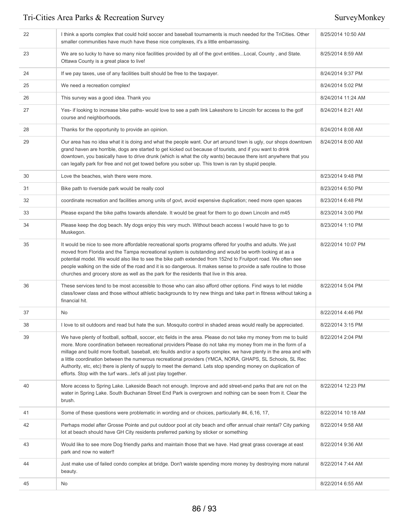| 22 | I think a sports complex that could hold soccer and baseball tournaments is much needed for the TriCities. Other<br>smaller communities have much have these nice complexes, it's a little embarrassing.                                                                                                                                                                                                                                                                                                                                                                                                                                               | 8/25/2014 10:50 AM |
|----|--------------------------------------------------------------------------------------------------------------------------------------------------------------------------------------------------------------------------------------------------------------------------------------------------------------------------------------------------------------------------------------------------------------------------------------------------------------------------------------------------------------------------------------------------------------------------------------------------------------------------------------------------------|--------------------|
| 23 | We are so lucky to have so many nice facilities provided by all of the govt entitiesLocal, County, and State.<br>Ottawa County is a great place to live!                                                                                                                                                                                                                                                                                                                                                                                                                                                                                               | 8/25/2014 8:59 AM  |
| 24 | If we pay taxes, use of any facilities built should be free to the taxpayer.                                                                                                                                                                                                                                                                                                                                                                                                                                                                                                                                                                           | 8/24/2014 9:37 PM  |
| 25 | We need a recreation complex!                                                                                                                                                                                                                                                                                                                                                                                                                                                                                                                                                                                                                          | 8/24/2014 5:02 PM  |
| 26 | This survey was a good idea. Thank you                                                                                                                                                                                                                                                                                                                                                                                                                                                                                                                                                                                                                 | 8/24/2014 11:24 AM |
| 27 | Yes- if looking to increase bike paths- would love to see a path link Lakeshore to Lincoln for access to the golf<br>course and neighborhoods.                                                                                                                                                                                                                                                                                                                                                                                                                                                                                                         | 8/24/2014 8:21 AM  |
| 28 | Thanks for the opportunity to provide an opinion.                                                                                                                                                                                                                                                                                                                                                                                                                                                                                                                                                                                                      | 8/24/2014 8:08 AM  |
| 29 | Our area has no idea what it is doing and what the people want. Our art around town is ugly, our shops downtown<br>grand haven are horrible, dogs are started to get kicked out because of tourists, and if you want to drink<br>downtown, you basically have to drive drunk (which is what the city wants) because there isnt anywhere that you<br>can legally park for free and not get towed before you sober up. This town is ran by stupid people.                                                                                                                                                                                                | 8/24/2014 8:00 AM  |
| 30 | Love the beaches, wish there were more.                                                                                                                                                                                                                                                                                                                                                                                                                                                                                                                                                                                                                | 8/23/2014 9:48 PM  |
| 31 | Bike path to riverside park would be really cool                                                                                                                                                                                                                                                                                                                                                                                                                                                                                                                                                                                                       | 8/23/2014 6:50 PM  |
| 32 | coordinate recreation and facilities among units of govt, avoid expensive duplication; need more open spaces                                                                                                                                                                                                                                                                                                                                                                                                                                                                                                                                           | 8/23/2014 6:48 PM  |
| 33 | Please expand the bike paths towards allendale. It would be great for them to go down Lincoln and m45                                                                                                                                                                                                                                                                                                                                                                                                                                                                                                                                                  | 8/23/2014 3:00 PM  |
| 34 | Please keep the dog beach. My dogs enjoy this very much. Without beach access I would have to go to<br>Muskegon.                                                                                                                                                                                                                                                                                                                                                                                                                                                                                                                                       | 8/23/2014 1:10 PM  |
| 35 | It would be nice to see more affordable recreational sports programs offered for youths and adults. We just<br>moved from Florida and the Tampa recreational system is outstanding and would be worth looking at as a<br>potential model. We would also like to see the bike path extended from 152nd to Fruitport road. We often see<br>people walking on the side of the road and it is so dangerous. It makes sense to provide a safe routine to those<br>churches and grocery store as well as the park for the residents that live in this area.                                                                                                  | 8/22/2014 10:07 PM |
| 36 | These services tend to be most accessible to those who can also afford other options. Find ways to let middle<br>class/lower class and those without athletic backgrounds to try new things and take part in fitness without taking a<br>financial hit.                                                                                                                                                                                                                                                                                                                                                                                                | 8/22/2014 5:04 PM  |
| 37 | No                                                                                                                                                                                                                                                                                                                                                                                                                                                                                                                                                                                                                                                     | 8/22/2014 4:46 PM  |
| 38 | I love to sit outdoors and read but hate the sun. Mosquito control in shaded areas would really be appreciated.                                                                                                                                                                                                                                                                                                                                                                                                                                                                                                                                        | 8/22/2014 3:15 PM  |
| 39 | We have plenty of football, softball, soccer, etc fields in the area. Please do not take my money from me to build<br>more. More coordination between recreational providers Please do not take my money from me in the form of a<br>millage and build more football, baseball, etc feuilds and/or a sports complex. we have plenty in the area and with<br>a little coordination between the numerous recreational providers (YMCA, NORA, GHAPS, SL Schools, SL Rec<br>Authority, etc, etc) there is plenty of supply to meet the demand. Lets stop spending money on duplication of<br>efforts. Stop with the turf warslet's all just play together. | 8/22/2014 2:04 PM  |
| 40 | More access to Spring Lake. Lakeside Beach not enough. Improve and add street-end parks that are not on the<br>water in Spring Lake. South Buchanan Street End Park is overgrown and nothing can be seen from it. Clear the<br>brush.                                                                                                                                                                                                                                                                                                                                                                                                                  | 8/22/2014 12:23 PM |
| 41 | Some of these questions were problematic in wording and or choices, particularly #4, 6,16, 17,                                                                                                                                                                                                                                                                                                                                                                                                                                                                                                                                                         | 8/22/2014 10:18 AM |
| 42 | Perhaps model after Grosse Pointe and put outdoor pool at city beach and offer annual chair rental? City parking<br>lot at beach should have GH City residents preferred parking by sticker or something                                                                                                                                                                                                                                                                                                                                                                                                                                               | 8/22/2014 9:58 AM  |
| 43 | Would like to see more Dog friendly parks and maintain those that we have. Had great grass coverage at east<br>park and now no water!!                                                                                                                                                                                                                                                                                                                                                                                                                                                                                                                 | 8/22/2014 9:36 AM  |
| 44 | Just make use of failed condo complex at bridge. Don't waiste spending more money by destroying more natural<br>beauty.                                                                                                                                                                                                                                                                                                                                                                                                                                                                                                                                | 8/22/2014 7:44 AM  |
| 45 | No                                                                                                                                                                                                                                                                                                                                                                                                                                                                                                                                                                                                                                                     | 8/22/2014 6:55 AM  |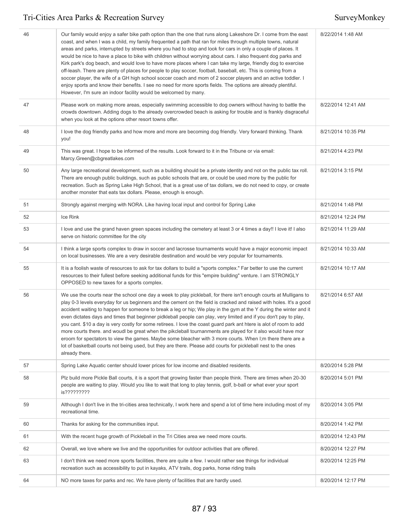| 46 | Our family would enjoy a safer bike path option than the one that runs along Lakeshore Dr. I come from the east<br>coast, and when I was a child, my family frequented a path that ran for miles through multiple towns, natural<br>areas and parks, interrupted by streets where you had to stop and look for cars in only a couple of places. It<br>would be nice to have a place to bike with children without worrying about cars. I also frequent dog parks and<br>Kirk park's dog beach, and would love to have more places where I can take my large, friendly dog to exercise<br>off-leash. There are plenty of places for people to play soccer, football, baseball, etc. This is coming from a<br>soccer player, the wife of a GH high school soccer coach and mom of 2 soccer players and an active toddler. I<br>enjoy sports and know their benefits. I see no need for more sports fields. The options are already plentiful.<br>However, I'm sure an indoor facility would be welcomed by many. | 8/22/2014 1:48 AM  |
|----|----------------------------------------------------------------------------------------------------------------------------------------------------------------------------------------------------------------------------------------------------------------------------------------------------------------------------------------------------------------------------------------------------------------------------------------------------------------------------------------------------------------------------------------------------------------------------------------------------------------------------------------------------------------------------------------------------------------------------------------------------------------------------------------------------------------------------------------------------------------------------------------------------------------------------------------------------------------------------------------------------------------|--------------------|
| 47 | Please work on making more areas, especially swimming accessible to dog owners without having to battle the<br>crowds downtown. Adding dogs to the already overcrowded beach is asking for trouble and is frankly disgraceful<br>when you look at the options other resort towns offer.                                                                                                                                                                                                                                                                                                                                                                                                                                                                                                                                                                                                                                                                                                                        | 8/22/2014 12:41 AM |
| 48 | I love the dog friendly parks and how more and more are becoming dog friendly. Very forward thinking. Thank<br>you!                                                                                                                                                                                                                                                                                                                                                                                                                                                                                                                                                                                                                                                                                                                                                                                                                                                                                            | 8/21/2014 10:35 PM |
| 49 | This was great. I hope to be informed of the results. Look forward to it in the Tribune or via email:<br>Marcy.Green@cbgreatlakes.com                                                                                                                                                                                                                                                                                                                                                                                                                                                                                                                                                                                                                                                                                                                                                                                                                                                                          | 8/21/2014 4:23 PM  |
| 50 | Any large recreational development, such as a building should be a private identity and not on the public tax roll.<br>There are enough public buildings, such as public schools that are, or could be used more by the public for<br>recreation. Such as Spring Lake High School, that is a great use of tax dollars, we do not need to copy, or create<br>another monster that eats tax dollars. Please, enough is enough.                                                                                                                                                                                                                                                                                                                                                                                                                                                                                                                                                                                   | 8/21/2014 3:15 PM  |
| 51 | Strongly against merging with NORA. Like having local input and control for Spring Lake                                                                                                                                                                                                                                                                                                                                                                                                                                                                                                                                                                                                                                                                                                                                                                                                                                                                                                                        | 8/21/2014 1:48 PM  |
| 52 | Ice Rink                                                                                                                                                                                                                                                                                                                                                                                                                                                                                                                                                                                                                                                                                                                                                                                                                                                                                                                                                                                                       | 8/21/2014 12:24 PM |
| 53 | I love and use the grand haven green spaces including the cemetery at least 3 or 4 times a day!! I love it! I also<br>serve on historic committee for the city                                                                                                                                                                                                                                                                                                                                                                                                                                                                                                                                                                                                                                                                                                                                                                                                                                                 | 8/21/2014 11:29 AM |
| 54 | I think a large sports complex to draw in soccer and lacrosse tournaments would have a major economic impact<br>on local businesses. We are a very desirable destination and would be very popular for tournaments.                                                                                                                                                                                                                                                                                                                                                                                                                                                                                                                                                                                                                                                                                                                                                                                            | 8/21/2014 10:33 AM |
| 55 | It is a foolish waste of resources to ask for tax dollars to build a "sports complex." Far better to use the current<br>resources to their fullest before seeking additional funds for this "empire building" venture. I am STRONGLY<br>OPPOSED to new taxes for a sports complex.                                                                                                                                                                                                                                                                                                                                                                                                                                                                                                                                                                                                                                                                                                                             | 8/21/2014 10:17 AM |
| 56 | We use the courts near the school one day a week to play pickleball, for there isn't enough courts at Mulligans to<br>play 0-3 levels everyday for us beginners and the cement on the field is cracked and raised with holes. It's a good<br>accident waiting to happen for someone to break a leg or hip; We play in the gym at the Y during the winter and it<br>even dictates days and times that beginner pidkleball people can play, very limited and if you don't pay to play,<br>you cant. \$10 a day is very costly for some retirees. I love the coast guard park ant htere is alot of room to add<br>more courts there. and woudl be great when the pikcleball tournanments are played for it also would have mor<br>eroom for spectators to view the games. Maybe some bleacher with 3 more courts. When I:m there there are a<br>lot of basketball courts not being used, but they are there. Please add courts for pickleball nest to the ones<br>already there.                                  | 8/21/2014 6:57 AM  |
| 57 | Spring Lake Aquatic center should lower prices for low income and disabled residents.                                                                                                                                                                                                                                                                                                                                                                                                                                                                                                                                                                                                                                                                                                                                                                                                                                                                                                                          | 8/20/2014 5:28 PM  |
| 58 | Plz build more Pickle Ball courts, it is a sport that growing faster than people think. There are times when 20-30<br>people are waiting to play. Would you like to wait that long to play tennis, golf, b-ball or what ever your sport<br>is?????????                                                                                                                                                                                                                                                                                                                                                                                                                                                                                                                                                                                                                                                                                                                                                         | 8/20/2014 5:01 PM  |
| 59 | Although I don't live in the tri-cities area technically, I work here and spend a lot of time here including most of my<br>recreational time.                                                                                                                                                                                                                                                                                                                                                                                                                                                                                                                                                                                                                                                                                                                                                                                                                                                                  | 8/20/2014 3:05 PM  |
| 60 | Thanks for asking for the communities input.                                                                                                                                                                                                                                                                                                                                                                                                                                                                                                                                                                                                                                                                                                                                                                                                                                                                                                                                                                   | 8/20/2014 1:42 PM  |
| 61 | With the recent huge growth of Pickleball in the Tri Cities area we need more courts.                                                                                                                                                                                                                                                                                                                                                                                                                                                                                                                                                                                                                                                                                                                                                                                                                                                                                                                          | 8/20/2014 12:43 PM |
| 62 | Overall, we love where we live and the opportunities for outdoor activities that are offered.                                                                                                                                                                                                                                                                                                                                                                                                                                                                                                                                                                                                                                                                                                                                                                                                                                                                                                                  | 8/20/2014 12:27 PM |
| 63 | I don't think we need more sports facilities, there are quite a few. I would rather see things for individual<br>recreation such as accessibility to put in kayaks, ATV trails, dog parks, horse riding trails                                                                                                                                                                                                                                                                                                                                                                                                                                                                                                                                                                                                                                                                                                                                                                                                 | 8/20/2014 12:25 PM |
| 64 | NO more taxes for parks and rec. We have plenty of facilities that are hardly used.                                                                                                                                                                                                                                                                                                                                                                                                                                                                                                                                                                                                                                                                                                                                                                                                                                                                                                                            | 8/20/2014 12:17 PM |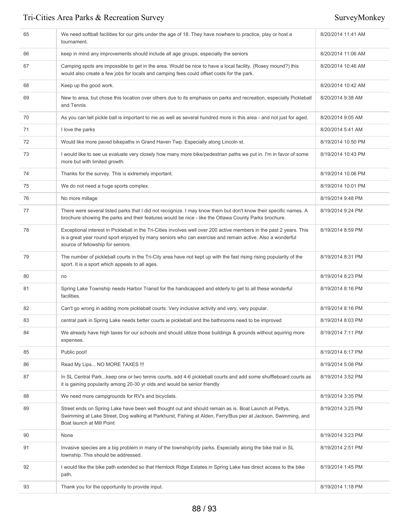| 65 | We need softball facilities for our girls under the age of 18. They have nowhere to practice, play or host a<br>tournament.                                                                                                                                           | 8/20/2014 11:41 AM |
|----|-----------------------------------------------------------------------------------------------------------------------------------------------------------------------------------------------------------------------------------------------------------------------|--------------------|
| 66 | keep in mind any improvements should include all age groups, especially the seniors                                                                                                                                                                                   | 8/20/2014 11:06 AM |
| 67 | Camping spots are impossible to get in the area. Would be nice to have a local facility. (Rosey mound?) this<br>would also create a few jobs for locals and camping fees could offset costs for the park.                                                             | 8/20/2014 10:46 AM |
| 68 | Keep up the good work.                                                                                                                                                                                                                                                | 8/20/2014 10:42 AM |
| 69 | New to area, but chose this location over others due to its emphasis on parks and recreation, especially Pickleball<br>and Tennis                                                                                                                                     | 8/20/2014 9:38 AM  |
| 70 | As you can tell pickle ball is important to me as well as several hundred more in this area - and not just for aged.                                                                                                                                                  | 8/20/2014 9:05 AM  |
| 71 | I love the parks                                                                                                                                                                                                                                                      | 8/20/2014 5:41 AM  |
| 72 | Would like more paved bikepaths in Grand Haven Twp. Especially along Lincoln st.                                                                                                                                                                                      | 8/19/2014 10:50 PM |
| 73 | I would like to see us evaluate very closely how many more bike/pedestrian paths we put in. I'm in favor of some<br>more but with limited growth.                                                                                                                     | 8/19/2014 10:43 PM |
| 74 | Thanks for the survey. This is extremely important.                                                                                                                                                                                                                   | 8/19/2014 10:06 PM |
| 75 | We do not need a huge sports complex.                                                                                                                                                                                                                                 | 8/19/2014 10:01 PM |
| 76 | No more millage                                                                                                                                                                                                                                                       | 8/19/2014 9:48 PM  |
| 77 | There were several listed parks that I did not recognize. I may know them but don't know their specific names. A<br>brochure showing the parks and their features would be nice - like the Ottawa County Parks brochure.                                              | 8/19/2014 9:24 PM  |
| 78 | Exceptional interest in Pickleball in the Tri-Cities involves well over 200 active members in the past 2 years. This<br>is a great year round sport enjoyed by many seniors who can exercise and remain active. Also a wonderful<br>source of fellowship for seniors. | 8/19/2014 8:59 PM  |
| 79 | The number of pickleball courts in the Tri-City area have not kept up with the fast rising rising popularity of the<br>sport. It is a sport which appeals to all ages.                                                                                                | 8/19/2014 8:31 PM  |
| 80 | no                                                                                                                                                                                                                                                                    | 8/19/2014 8:23 PM  |
| 81 | Spring Lake Township needs Harbor Transit for the handicapped and elderly to get to all these wonderful<br>facilities.                                                                                                                                                | 8/19/2014 8:16 PM  |
| 82 | Can't go wrong in adding more pickleball courts. Very inclusive activity and very, very popular.                                                                                                                                                                      | 8/19/2014 8:16 PM  |
| 83 | central park in Spring Lake needs better courts ie pickleball and the bathrooms need to be improved                                                                                                                                                                   | 8/19/2014 8:03 PM  |
| 84 | We already have high taxes for our schools and should utilize those buildings & grounds without aquiring more<br>expenses.                                                                                                                                            | 8/19/2014 7:11 PM  |
| 85 | Public pool!                                                                                                                                                                                                                                                          | 8/19/2014 6:17 PM  |
| 86 | Read My Lips NO MORE TAXES !!!                                                                                                                                                                                                                                        | 8/19/2014 5:08 PM  |
| 87 | In SL Central Parkkeep one or two tennis courts, add 4-6 pickleball courts and add some shuffleboard courts as<br>it is gaining popularity among 20-30 yr olds and would be senior friendly                                                                           | 8/19/2014 3:52 PM  |
| 88 | We need more campgrounds for RV's and bicyclists.                                                                                                                                                                                                                     | 8/19/2014 3:35 PM  |
| 89 | Street ends on Spring Lake have been well thought out and should remain as is. Boat Launch at Pettys,<br>Swimming at Lake Street, Dog walking at Parkhurst, Fishing at Alden, Ferry/Bus pier at Jackson, Swimming, and<br>Boat launch at Mill Point                   | 8/19/2014 3:25 PM  |
| 90 | None                                                                                                                                                                                                                                                                  | 8/19/2014 3:23 PM  |
| 91 | Invasive species are a big problem in many of the township/city parks. Especially along the bike trail in SL<br>township. This should be addressed.                                                                                                                   | 8/19/2014 2:51 PM  |
| 92 | I would like the bike path extended so that Hemlock Ridge Estates in Spring Lake has direct access to the bike<br>path.                                                                                                                                               | 8/19/2014 1:45 PM  |
| 93 | Thank you for the opportunity to provide input.                                                                                                                                                                                                                       | 8/19/2014 1:18 PM  |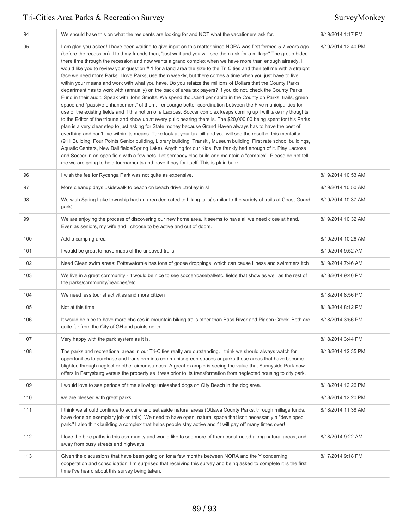| 94  | We should base this on what the residents are looking for and NOT what the vacationers ask for.                                                                                                                                                                                                                                                                                                                                                                                                                                                                                                                                                                                                                                                                                                                                                                                                                                                                                                                                                                                                                                                                                                                                                                                                                                                                                                                                                                                                                                                                                                                                                                                                                                                                                                                                                                                                                                                                                                       | 8/19/2014 1:17 PM  |
|-----|-------------------------------------------------------------------------------------------------------------------------------------------------------------------------------------------------------------------------------------------------------------------------------------------------------------------------------------------------------------------------------------------------------------------------------------------------------------------------------------------------------------------------------------------------------------------------------------------------------------------------------------------------------------------------------------------------------------------------------------------------------------------------------------------------------------------------------------------------------------------------------------------------------------------------------------------------------------------------------------------------------------------------------------------------------------------------------------------------------------------------------------------------------------------------------------------------------------------------------------------------------------------------------------------------------------------------------------------------------------------------------------------------------------------------------------------------------------------------------------------------------------------------------------------------------------------------------------------------------------------------------------------------------------------------------------------------------------------------------------------------------------------------------------------------------------------------------------------------------------------------------------------------------------------------------------------------------------------------------------------------------|--------------------|
| 95  | I am glad you asked! I have been waiting to give input on this matter since NORA was first formed 5-7 years ago<br>(before the recession). I told my friends then, "just wait and you will see them ask for a millage" The group bided<br>there time through the recession and now wants a grand complex when we have more than enough already. I<br>would like you to review your question #1 for a land area the size fo the Tri Cities and then tell me with a straight<br>face we need more Parks. I love Parks, use them weekly, but there comes a time when you just have to live<br>within your means and work with what you have. Do you relaize the millions of Dollars that the County Parks<br>department has to work with (annually) on the back of area tax payers? If you do not, check the County Parks<br>Fund in their audit. Speak with John Smoltz. We spend thousand per capita in the County on Parks, trails, green<br>space and "passive enhancement" of them. I encourge better coordination between the Five municipalities for<br>use of the existing fields and if this notion of a Lacross, Soccer complex keeps coming up I will take my thoughts<br>to the Editor of the tribune and show up at every pulic hearing there is. The \$20,000.00 being spent for this Parks<br>plan is a very clear step to just asking for State money because Grand Haven always has to have the best of<br>everthing and can't live within its means. Take look at your tax bill and you will see the result of this mentailty.<br>(911 Building, Four Points Senior building, Library building, Transit, Museum building, First rate school buildings,<br>Aquatic Centers, New Ball fields(Spring Lake). Anything for our Kids. I've frankly had enough of it. Play Lacross<br>and Soccer in an open field with a few nets. Let sombody else build and maintain a "complex". Please do not tell<br>me we are going to hold tournaments and have it pay for itself. This is plain bunk. | 8/19/2014 12:40 PM |
| 96  | I wish the fee for Rycenga Park was not quite as expensive.                                                                                                                                                                                                                                                                                                                                                                                                                                                                                                                                                                                                                                                                                                                                                                                                                                                                                                                                                                                                                                                                                                                                                                                                                                                                                                                                                                                                                                                                                                                                                                                                                                                                                                                                                                                                                                                                                                                                           | 8/19/2014 10:53 AM |
| 97  | More cleanup dayssidewalk to beach on beach drivetrolley in sl                                                                                                                                                                                                                                                                                                                                                                                                                                                                                                                                                                                                                                                                                                                                                                                                                                                                                                                                                                                                                                                                                                                                                                                                                                                                                                                                                                                                                                                                                                                                                                                                                                                                                                                                                                                                                                                                                                                                        | 8/19/2014 10:50 AM |
| 98  | We wish Spring Lake township had an area dedicated to hiking tails( similar to the variety of trails at Coast Guard<br>park)                                                                                                                                                                                                                                                                                                                                                                                                                                                                                                                                                                                                                                                                                                                                                                                                                                                                                                                                                                                                                                                                                                                                                                                                                                                                                                                                                                                                                                                                                                                                                                                                                                                                                                                                                                                                                                                                          | 8/19/2014 10:37 AM |
| 99  | We are enjoying the process of discovering our new home area. It seems to have all we need close at hand.<br>Even as seniors, my wife and I choose to be active and out of doors.                                                                                                                                                                                                                                                                                                                                                                                                                                                                                                                                                                                                                                                                                                                                                                                                                                                                                                                                                                                                                                                                                                                                                                                                                                                                                                                                                                                                                                                                                                                                                                                                                                                                                                                                                                                                                     | 8/19/2014 10:32 AM |
| 100 | Add a camping area                                                                                                                                                                                                                                                                                                                                                                                                                                                                                                                                                                                                                                                                                                                                                                                                                                                                                                                                                                                                                                                                                                                                                                                                                                                                                                                                                                                                                                                                                                                                                                                                                                                                                                                                                                                                                                                                                                                                                                                    | 8/19/2014 10:26 AM |
| 101 | I would be great to have maps of the unpaved trails.                                                                                                                                                                                                                                                                                                                                                                                                                                                                                                                                                                                                                                                                                                                                                                                                                                                                                                                                                                                                                                                                                                                                                                                                                                                                                                                                                                                                                                                                                                                                                                                                                                                                                                                                                                                                                                                                                                                                                  | 8/19/2014 9:52 AM  |
| 102 | Need Clean swim areas: Pottawatomie has tons of goose droppings, which can cause illness and swimmers itch                                                                                                                                                                                                                                                                                                                                                                                                                                                                                                                                                                                                                                                                                                                                                                                                                                                                                                                                                                                                                                                                                                                                                                                                                                                                                                                                                                                                                                                                                                                                                                                                                                                                                                                                                                                                                                                                                            | 8/19/2014 7:46 AM  |
| 103 | We live in a great community - it would be nice to see soccer/baseball/etc. fields that show as well as the rest of<br>the parks/community/beaches/etc.                                                                                                                                                                                                                                                                                                                                                                                                                                                                                                                                                                                                                                                                                                                                                                                                                                                                                                                                                                                                                                                                                                                                                                                                                                                                                                                                                                                                                                                                                                                                                                                                                                                                                                                                                                                                                                               | 8/18/2014 9:46 PM  |
| 104 | We need less tourist activities and more citizen                                                                                                                                                                                                                                                                                                                                                                                                                                                                                                                                                                                                                                                                                                                                                                                                                                                                                                                                                                                                                                                                                                                                                                                                                                                                                                                                                                                                                                                                                                                                                                                                                                                                                                                                                                                                                                                                                                                                                      | 8/18/2014 8:56 PM  |
| 105 | Not at this time                                                                                                                                                                                                                                                                                                                                                                                                                                                                                                                                                                                                                                                                                                                                                                                                                                                                                                                                                                                                                                                                                                                                                                                                                                                                                                                                                                                                                                                                                                                                                                                                                                                                                                                                                                                                                                                                                                                                                                                      | 8/18/2014 8:12 PM  |
| 106 | It would be nice to have more choices in mountain biking trails other than Bass River and Pigeon Creek. Both are<br>quite far from the City of GH and points north.                                                                                                                                                                                                                                                                                                                                                                                                                                                                                                                                                                                                                                                                                                                                                                                                                                                                                                                                                                                                                                                                                                                                                                                                                                                                                                                                                                                                                                                                                                                                                                                                                                                                                                                                                                                                                                   | 8/18/2014 3:56 PM  |
| 107 | Very happy with the park system as it is.                                                                                                                                                                                                                                                                                                                                                                                                                                                                                                                                                                                                                                                                                                                                                                                                                                                                                                                                                                                                                                                                                                                                                                                                                                                                                                                                                                                                                                                                                                                                                                                                                                                                                                                                                                                                                                                                                                                                                             | 8/18/2014 3:44 PM  |
| 108 | The parks and recreational areas in our Tri-Cities really are outstanding. I think we should always watch for<br>opportunities to purchase and transform into community green-spaces or parks those areas that have become<br>blighted through neglect or other circumstances. A great example is seeing the value that Sunnyside Park now<br>offers in Ferrysburg versus the property as it was prior to its transformation from neglected housing to city park.                                                                                                                                                                                                                                                                                                                                                                                                                                                                                                                                                                                                                                                                                                                                                                                                                                                                                                                                                                                                                                                                                                                                                                                                                                                                                                                                                                                                                                                                                                                                     | 8/18/2014 12:35 PM |
| 109 | I would love to see periods of time allowing unleashed dogs on City Beach in the dog area.                                                                                                                                                                                                                                                                                                                                                                                                                                                                                                                                                                                                                                                                                                                                                                                                                                                                                                                                                                                                                                                                                                                                                                                                                                                                                                                                                                                                                                                                                                                                                                                                                                                                                                                                                                                                                                                                                                            | 8/18/2014 12:26 PM |
| 110 | we are blessed with great parks!                                                                                                                                                                                                                                                                                                                                                                                                                                                                                                                                                                                                                                                                                                                                                                                                                                                                                                                                                                                                                                                                                                                                                                                                                                                                                                                                                                                                                                                                                                                                                                                                                                                                                                                                                                                                                                                                                                                                                                      | 8/18/2014 12:20 PM |
| 111 | I think we should continue to acquire and set aside natural areas (Ottawa County Parks, through millage funds,<br>have done an exemplary job on this). We need to have open, natural space that isn't necessarily a "developed<br>park." I also think building a complex that helps people stay active and fit will pay off many times over!                                                                                                                                                                                                                                                                                                                                                                                                                                                                                                                                                                                                                                                                                                                                                                                                                                                                                                                                                                                                                                                                                                                                                                                                                                                                                                                                                                                                                                                                                                                                                                                                                                                          | 8/18/2014 11:38 AM |
| 112 | I love the bike paths in this community and would like to see more of them constructed along natural areas, and<br>away from busy streets and highways.                                                                                                                                                                                                                                                                                                                                                                                                                                                                                                                                                                                                                                                                                                                                                                                                                                                                                                                                                                                                                                                                                                                                                                                                                                                                                                                                                                                                                                                                                                                                                                                                                                                                                                                                                                                                                                               | 8/18/2014 9:22 AM  |
| 113 | Given the discussions that have been going on for a few months between NORA and the Y concerning<br>cooperation and consolidation, I'm surprised that receiving this survey and being asked to complete it is the first<br>time I've heard about this survey being taken.                                                                                                                                                                                                                                                                                                                                                                                                                                                                                                                                                                                                                                                                                                                                                                                                                                                                                                                                                                                                                                                                                                                                                                                                                                                                                                                                                                                                                                                                                                                                                                                                                                                                                                                             | 8/17/2014 9:18 PM  |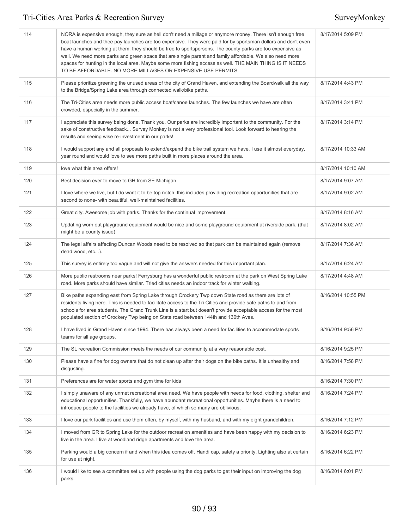| 114 | NORA is expensive enough, they sure as hell don't need a millage or anymore money. There isn't enough free<br>boat launches and thee pay launches are too expensive. They were paid for by sportsman dollars and don't even<br>have a human working at them. they should be free to sportspersons. The county parks are too expensive as<br>well. We need more parks and green space that are single parent and family affordable. We also need more<br>spaces for hunting in the local area. Maybe some more fishing access as well. THE MAIN THING IS IT NEEDS<br>TO BE AFFORDABLE. NO MORE MILLAGES OR EXPENSIVE USE PERMITS. | 8/17/2014 5:09 PM  |
|-----|----------------------------------------------------------------------------------------------------------------------------------------------------------------------------------------------------------------------------------------------------------------------------------------------------------------------------------------------------------------------------------------------------------------------------------------------------------------------------------------------------------------------------------------------------------------------------------------------------------------------------------|--------------------|
| 115 | Please prioritize greening the unused areas of the city of Grand Haven, and extending the Boardwalk all the way<br>to the Bridge/Spring Lake area through connected walk/bike paths.                                                                                                                                                                                                                                                                                                                                                                                                                                             | 8/17/2014 4:43 PM  |
| 116 | The Tri-Cities area needs more public access boat/canoe launches. The few launches we have are often<br>crowded, especially in the summer.                                                                                                                                                                                                                                                                                                                                                                                                                                                                                       | 8/17/2014 3:41 PM  |
| 117 | I appreciate this survey being done. Thank you. Our parks are incredibly important to the community. For the<br>sake of constructive feedback Survey Monkey is not a very professional tool. Look forward to hearing the<br>results and seeing wise re-investment in our parks!                                                                                                                                                                                                                                                                                                                                                  | 8/17/2014 3:14 PM  |
| 118 | I would support any and all proposals to extend/expand the bike trail system we have. I use it almost everyday,<br>year round and would love to see more paths built in more places around the area.                                                                                                                                                                                                                                                                                                                                                                                                                             | 8/17/2014 10:33 AM |
| 119 | love what this area offers!                                                                                                                                                                                                                                                                                                                                                                                                                                                                                                                                                                                                      | 8/17/2014 10:10 AM |
| 120 | Best decision ever to move to GH from SE Michigan                                                                                                                                                                                                                                                                                                                                                                                                                                                                                                                                                                                | 8/17/2014 9:07 AM  |
| 121 | I love where we live, but I do want it to be top notch. this includes providing recreation opportunities that are<br>second to none- with beautiful, well-maintained facilities.                                                                                                                                                                                                                                                                                                                                                                                                                                                 | 8/17/2014 9:02 AM  |
| 122 | Great city. Awesome job with parks. Thanks for the continual improvement.                                                                                                                                                                                                                                                                                                                                                                                                                                                                                                                                                        | 8/17/2014 8:16 AM  |
| 123 | Updating worn out playground equipment would be nice, and some playground equipment at riverside park, (that<br>might be a county issue)                                                                                                                                                                                                                                                                                                                                                                                                                                                                                         | 8/17/2014 8:02 AM  |
| 124 | The legal affairs affecting Duncan Woods need to be resolved so that park can be maintained again (remove<br>dead wood, etc).                                                                                                                                                                                                                                                                                                                                                                                                                                                                                                    | 8/17/2014 7:36 AM  |
| 125 | This survey is entirely too vague and will not give the answers needed for this important plan.                                                                                                                                                                                                                                                                                                                                                                                                                                                                                                                                  | 8/17/2014 6:24 AM  |
| 126 | More public restrooms near parks! Ferrysburg has a wonderful public restroom at the park on West Spring Lake<br>road. More parks should have similar. Tried cities needs an indoor track for winter walking.                                                                                                                                                                                                                                                                                                                                                                                                                     | 8/17/2014 4:48 AM  |
| 127 | Bike paths expanding east from Spring Lake through Crockery Twp down State road as there are lots of<br>residents living here. This is needed to facilitate access to the Tri Cities and provide safe paths to and from<br>schools for area students. The Grand Trunk Line is a start but doesn't provide acceptable access for the most<br>populated section of Crockery Twp being on State road between 144th and 130th Aves.                                                                                                                                                                                                  | 8/16/2014 10:55 PM |
| 128 | I have lived in Grand Haven since 1994. There has always been a need for facilities to accommodate sports<br>teams for all age groups.                                                                                                                                                                                                                                                                                                                                                                                                                                                                                           | 8/16/2014 9:56 PM  |
| 129 | The SL recreation Commission meets the needs of our community at a very reasonable cost.                                                                                                                                                                                                                                                                                                                                                                                                                                                                                                                                         | 8/16/2014 9:25 PM  |
| 130 | Please have a fine for dog owners that do not clean up after their dogs on the bike paths. It is unhealthy and<br>disgusting.                                                                                                                                                                                                                                                                                                                                                                                                                                                                                                    | 8/16/2014 7:58 PM  |
| 131 | Preferences are for water sports and gym time for kids                                                                                                                                                                                                                                                                                                                                                                                                                                                                                                                                                                           | 8/16/2014 7:30 PM  |
| 132 | I simply unaware of any unmet recreational area need. We have people with needs for food, clothing, shelter and<br>educational opportunities. Thankfully, we have abundant recreational opportunities. Maybe there is a need to<br>introduce people to the facilities we already have, of which so many are oblivious.                                                                                                                                                                                                                                                                                                           | 8/16/2014 7:24 PM  |
| 133 | I love our park facilities and use them often, by myself, with my husband, and with my eight grandchildren.                                                                                                                                                                                                                                                                                                                                                                                                                                                                                                                      | 8/16/2014 7:12 PM  |
| 134 | I moved from GR to Spring Lake for the outdoor recreation amenities and have been happy with my decision to<br>live in the area. I live at woodland ridge apartments and love the area.                                                                                                                                                                                                                                                                                                                                                                                                                                          | 8/16/2014 6:23 PM  |
| 135 | Parking would a big concern if and when this idea comes off. Handi cap, safety a priority. Lighting also at certain<br>for use at night.                                                                                                                                                                                                                                                                                                                                                                                                                                                                                         | 8/16/2014 6:22 PM  |
| 136 | I would like to see a committee set up with people using the dog parks to get their input on improving the dog<br>parks.                                                                                                                                                                                                                                                                                                                                                                                                                                                                                                         | 8/16/2014 6:01 PM  |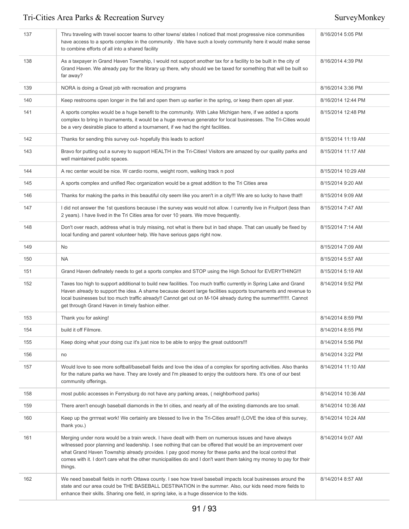| 137 | Thru traveling with travel soccer teams to other towns/ states I noticed that most progressive nice communities<br>have access to a sports complex in the community . We have such a lovely community here it would make sense<br>to combine efforts of all into a shared facility                                                                                                                                                                               | 8/16/2014 5:05 PM  |
|-----|------------------------------------------------------------------------------------------------------------------------------------------------------------------------------------------------------------------------------------------------------------------------------------------------------------------------------------------------------------------------------------------------------------------------------------------------------------------|--------------------|
| 138 | As a taxpayer in Grand Haven Township, I would not support another tax for a facility to be built in the city of<br>Grand Haven. We already pay for the library up there, why should we be taxed for something that will be built so<br>far away?                                                                                                                                                                                                                | 8/16/2014 4:39 PM  |
| 139 | NORA is doing a Great job with recreation and programs                                                                                                                                                                                                                                                                                                                                                                                                           | 8/16/2014 3:36 PM  |
| 140 | Keep restrooms open longer in the fall and open them up earlier in the spring, or keep them open all year.                                                                                                                                                                                                                                                                                                                                                       | 8/16/2014 12:44 PM |
| 141 | A sports complex would be a huge benefit to the community. With Lake Michigan here, if we added a sports<br>complex to bring in tournaments, it would be a huge revenue generator for local businesses. The Tri-Cities would<br>be a very desirable place to attend a tournament, if we had the right facilities.                                                                                                                                                | 8/15/2014 12:48 PM |
| 142 | Thanks for sending this survey out- hopefully this leads to action!                                                                                                                                                                                                                                                                                                                                                                                              | 8/15/2014 11:19 AM |
| 143 | Bravo for putting out a survey to support HEALTH in the Tri-Cities! Visitors are amazed by our quality parks and<br>well maintained public spaces.                                                                                                                                                                                                                                                                                                               | 8/15/2014 11:17 AM |
| 144 | A rec center would be nice. W cardio rooms, weight room, walking track n pool                                                                                                                                                                                                                                                                                                                                                                                    | 8/15/2014 10:29 AM |
| 145 | A sports complex and unified Rec organization would be a great addition to the Tri Cities area                                                                                                                                                                                                                                                                                                                                                                   | 8/15/2014 9:20 AM  |
| 146 | Thanks for making the parks in this beautiful city seem like you aren't in a city!!! We are so lucky to have that!!                                                                                                                                                                                                                                                                                                                                              | 8/15/2014 9:09 AM  |
| 147 | I did not answer the 1st questions because i the survey was would not allow. I currently live in Fruitport (less than<br>2 years). I have lived in the Tri Cities area for over 10 years. We move frequently.                                                                                                                                                                                                                                                    | 8/15/2014 7:47 AM  |
| 148 | Don't over reach, address what is truly missing, not what is there but in bad shape. That can usually be fixed by<br>local funding and parent volunteer help. We have serious gaps right now.                                                                                                                                                                                                                                                                    | 8/15/2014 7:14 AM  |
| 149 | <b>No</b>                                                                                                                                                                                                                                                                                                                                                                                                                                                        | 8/15/2014 7:09 AM  |
| 150 | <b>NA</b>                                                                                                                                                                                                                                                                                                                                                                                                                                                        | 8/15/2014 5:57 AM  |
| 151 | Grand Haven definately needs to get a sports complex and STOP using the High School for EVERYTHING !!!                                                                                                                                                                                                                                                                                                                                                           | 8/15/2014 5:19 AM  |
| 152 | Taxes too high to support additional to build new facilities. Too much traffic currently in Spring Lake and Grand<br>Haven already to support the idea. A shame because decent large facilities supports tournaments and revenue to<br>local businesses but too much traffic already!! Cannot get out on M-104 already during the summer!!!!!!!. Cannot<br>get through Grand Haven in timely fashion either.                                                     | 8/14/2014 9:52 PM  |
| 153 | Thank you for asking!                                                                                                                                                                                                                                                                                                                                                                                                                                            | 8/14/2014 8:59 PM  |
| 154 | build it off Filmore.                                                                                                                                                                                                                                                                                                                                                                                                                                            | 8/14/2014 8:55 PM  |
| 155 | Keep doing what your doing cuz it's just nice to be able to enjoy the great outdoors!!!                                                                                                                                                                                                                                                                                                                                                                          | 8/14/2014 5:56 PM  |
| 156 | no                                                                                                                                                                                                                                                                                                                                                                                                                                                               | 8/14/2014 3:22 PM  |
| 157 | Would love to see more softball/baseball fields and love the idea of a complex for sporting activities. Also thanks<br>for the nature parks we have. They are lovely and I'm pleased to enjoy the outdoors here. It's one of our best<br>community offerings.                                                                                                                                                                                                    | 8/14/2014 11:10 AM |
| 158 | most public accesses in Ferrysburg do not have any parking areas, (neighborhood parks)                                                                                                                                                                                                                                                                                                                                                                           | 8/14/2014 10:36 AM |
| 159 | There aren't enough baseball diamonds in the tri cities, and nearly all of the existing diamonds are too small.                                                                                                                                                                                                                                                                                                                                                  | 8/14/2014 10:36 AM |
| 160 | Keep up the griffeat work! We certainly are blessed to live in the Tri-Cities area!!! (LOVE the idea of this survey,<br>thank you.)                                                                                                                                                                                                                                                                                                                              | 8/14/2014 10:24 AM |
| 161 | Merging under nora would be a train wreck. I have dealt with them on numerous issues and have always<br>witnessed poor planning and leadership. I see nothing that can be offered that would be an improvement over<br>what Grand Haven Township already provides. I pay good money for these parks and the local control that<br>comes with it. I don't care what the other municipalities do and I don't want them taking my money to pay for their<br>things. | 8/14/2014 9:07 AM  |
| 162 | We need baseball fields in north Ottawa county. I see how travel baseball impacts local businesses around the<br>state and our area could be THE BASEBALL DESTINATION in the summer. Also, our kids need more fields to<br>enhance their skills. Sharing one field, in spring lake, is a huge disservice to the kids.                                                                                                                                            | 8/14/2014 8:57 AM  |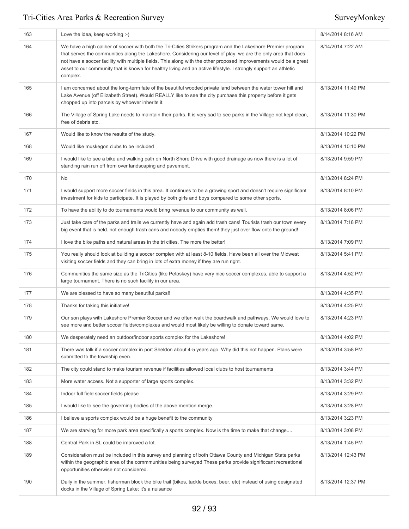| 163 | Love the idea, keep working :-)                                                                                                                                                                                                                                                                                                                                                                                                                                                    | 8/14/2014 8:16 AM  |
|-----|------------------------------------------------------------------------------------------------------------------------------------------------------------------------------------------------------------------------------------------------------------------------------------------------------------------------------------------------------------------------------------------------------------------------------------------------------------------------------------|--------------------|
| 164 | We have a high caliber of soccer with both the Tri-Cities Strikers program and the Lakeshore Premier program<br>that serves the communities along the Lakeshore. Considering our level of play, we are the only area that does<br>not have a soccer facility with multiple fields. This along with the other proposed improvements would be a great<br>asset to our community that is known for healthy living and an active lifestyle. I strongly support an athletic<br>complex. | 8/14/2014 7:22 AM  |
| 165 | I am concerned about the long-term fate of the beautiful wooded private land between the water tower hill and<br>Lake Avenue (off Elizabeth Street). Would REALLY like to see the city purchase this property before it gets<br>chopped up into parcels by whoever inherits it.                                                                                                                                                                                                    | 8/13/2014 11:49 PM |
| 166 | The Village of Spring Lake needs to maintain their parks. It is very sad to see parks in the Village not kept clean,<br>free of debris etc.                                                                                                                                                                                                                                                                                                                                        | 8/13/2014 11:30 PM |
| 167 | Would like to know the results of the study.                                                                                                                                                                                                                                                                                                                                                                                                                                       | 8/13/2014 10:22 PM |
| 168 | Would like muskegon clubs to be included                                                                                                                                                                                                                                                                                                                                                                                                                                           | 8/13/2014 10:10 PM |
| 169 | I would like to see a bike and walking path on North Shore Drive with good drainage as now there is a lot of<br>standing rain run off from over landscaping and pavement.                                                                                                                                                                                                                                                                                                          | 8/13/2014 9:59 PM  |
| 170 | <b>No</b>                                                                                                                                                                                                                                                                                                                                                                                                                                                                          | 8/13/2014 8:24 PM  |
| 171 | I would support more soccer fields in this area. It continues to be a growing sport and doesn't require significant<br>investment for kids to participate. It is played by both girls and boys compared to some other sports.                                                                                                                                                                                                                                                      | 8/13/2014 8:10 PM  |
| 172 | To have the ability to do tournaments would bring revenue to our community as well.                                                                                                                                                                                                                                                                                                                                                                                                | 8/13/2014 8:06 PM  |
| 173 | Just take care of the parks and trails we currently have and again add trash cans! Tourists trash our town every<br>big event that is held. not enough trash cans and nobody empties them! they just over flow onto the ground!                                                                                                                                                                                                                                                    | 8/13/2014 7:18 PM  |
| 174 | I love the bike paths and natural areas in the tri cities. The more the better!                                                                                                                                                                                                                                                                                                                                                                                                    | 8/13/2014 7:09 PM  |
| 175 | You really should look at building a soccer complex with at least 8-10 fields. Have been all over the Midwest<br>visiting soccer fields and they can bring in lots of extra money if they are run right.                                                                                                                                                                                                                                                                           | 8/13/2014 5:41 PM  |
| 176 | Communities the same size as the TriCities (like Petoskey) have very nice soccer complexes, able to support a<br>large tournament. There is no such facility in our area.                                                                                                                                                                                                                                                                                                          | 8/13/2014 4:52 PM  |
| 177 | We are blessed to have so many beautiful parks!!                                                                                                                                                                                                                                                                                                                                                                                                                                   | 8/13/2014 4:35 PM  |
| 178 | Thanks for taking this initiative!                                                                                                                                                                                                                                                                                                                                                                                                                                                 | 8/13/2014 4:25 PM  |
| 179 | Our son plays with Lakeshore Premier Soccer and we often walk the boardwalk and pathways. We would love to<br>see more and better soccer fields/complexes and would most likely be willing to donate toward same.                                                                                                                                                                                                                                                                  | 8/13/2014 4:23 PM  |
| 180 | We desperately need an outdoor/indoor sports complex for the Lakeshore!                                                                                                                                                                                                                                                                                                                                                                                                            | 8/13/2014 4:02 PM  |
| 181 | There was talk if a soccer complex in port Sheldon about 4-5 years ago. Why did this not happen. Plans were<br>submitted to the township even.                                                                                                                                                                                                                                                                                                                                     | 8/13/2014 3:58 PM  |
| 182 | The city could stand to make tourism revenue if facilities allowed local clubs to host tournaments                                                                                                                                                                                                                                                                                                                                                                                 | 8/13/2014 3:44 PM  |
| 183 | More water access. Not a supporter of large sports complex.                                                                                                                                                                                                                                                                                                                                                                                                                        | 8/13/2014 3:32 PM  |
| 184 | Indoor full field soccer fields please                                                                                                                                                                                                                                                                                                                                                                                                                                             | 8/13/2014 3:29 PM  |
| 185 | I would like to see the governing bodies of the above mention merge.                                                                                                                                                                                                                                                                                                                                                                                                               | 8/13/2014 3:28 PM  |
| 186 | I believe a sports complex would be a huge benefit to the community                                                                                                                                                                                                                                                                                                                                                                                                                | 8/13/2014 3:23 PM  |
| 187 | We are starving for more park area specifically a sports complex. Now is the time to make that change                                                                                                                                                                                                                                                                                                                                                                              | 8/13/2014 3:08 PM  |
| 188 | Central Park in SL could be improved a lot.                                                                                                                                                                                                                                                                                                                                                                                                                                        | 8/13/2014 1:45 PM  |
| 189 | Consideration must be included in this survey and planning of both Ottawa County and Michigan State parks<br>within the geographic area of the commmunities being surveyed These parks provide significcant recreational<br>opportunities otherwise not considered.                                                                                                                                                                                                                | 8/13/2014 12:43 PM |
| 190 | Daily in the summer, fisherman block the bike trail (bikes, tackle boxes, beer, etc) instead of using designated<br>docks in the Village of Spring Lake; it's a nuisance                                                                                                                                                                                                                                                                                                           | 8/13/2014 12:37 PM |